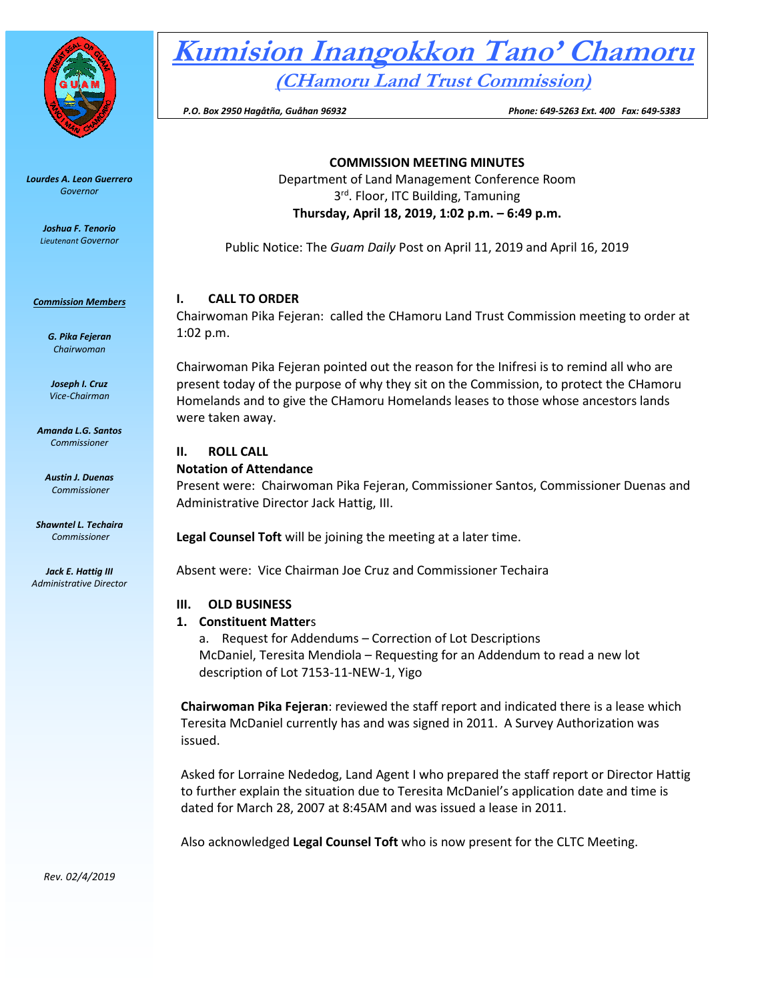

*Lourdes A. Leon Guerrero Governor* 

> *Joshua F. Tenorio Lieutenant Governor*

#### *Commission Members*

*G. Pika Fejeran Chairwoman*

*Joseph I. Cruz Vice-Chairman*

*Amanda L.G. Santos Commissioner*

*Austin J. Duenas Commissioner*

*Shawntel L. Techaira Commissioner*

*Jack E. Hattig III Administrative Director* **Kumision Inangokkon Tano' Chamoru**

**(CHamoru Land Trust Commission)**

 *P.O. Box 2950 Hagåtña, Guåhan 96932 Phone: 649-5263 Ext. 400 Fax: 649-5383*

## **COMMISSION MEETING MINUTES**

Department of Land Management Conference Room 3<sup>rd</sup>. Floor, ITC Building, Tamuning **Thursday, April 18, 2019, 1:02 p.m. – 6:49 p.m.**

Public Notice: The *Guam Daily* Post on April 11, 2019 and April 16, 2019

## **I. CALL TO ORDER**

Chairwoman Pika Fejeran: called the CHamoru Land Trust Commission meeting to order at 1:02 p.m.

Chairwoman Pika Fejeran pointed out the reason for the Inifresi is to remind all who are present today of the purpose of why they sit on the Commission, to protect the CHamoru Homelands and to give the CHamoru Homelands leases to those whose ancestors lands were taken away.

## **II. ROLL CALL**

## **Notation of Attendance**

Present were: Chairwoman Pika Fejeran, Commissioner Santos, Commissioner Duenas and Administrative Director Jack Hattig, III.

**Legal Counsel Toft** will be joining the meeting at a later time.

Absent were: Vice Chairman Joe Cruz and Commissioner Techaira

## **III. OLD BUSINESS**

#### **1. Constituent Matter**s

a. Request for Addendums – Correction of Lot Descriptions McDaniel, Teresita Mendiola – Requesting for an Addendum to read a new lot description of Lot 7153-11-NEW-1, Yigo

**Chairwoman Pika Fejeran**: reviewed the staff report and indicated there is a lease which Teresita McDaniel currently has and was signed in 2011. A Survey Authorization was issued.

Asked for Lorraine Nededog, Land Agent I who prepared the staff report or Director Hattig to further explain the situation due to Teresita McDaniel's application date and time is dated for March 28, 2007 at 8:45AM and was issued a lease in 2011.

Also acknowledged **Legal Counsel Toft** who is now present for the CLTC Meeting.

*Rev. 02/4/2019*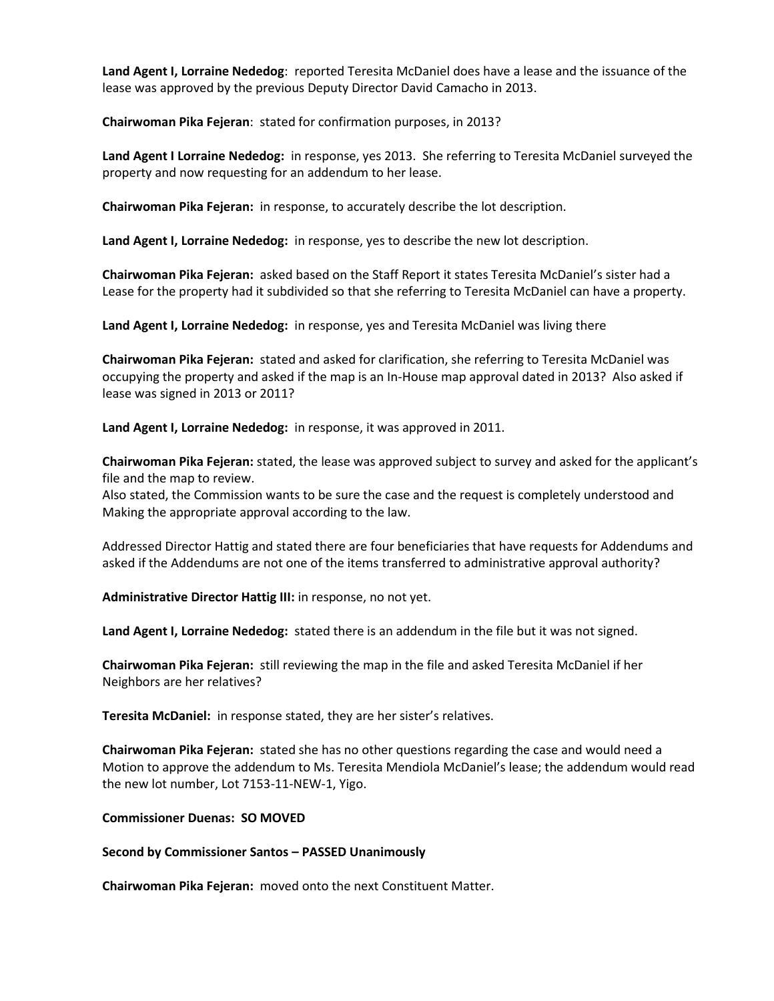**Land Agent I, Lorraine Nededog**: reported Teresita McDaniel does have a lease and the issuance of the lease was approved by the previous Deputy Director David Camacho in 2013.

**Chairwoman Pika Fejeran**: stated for confirmation purposes, in 2013?

**Land Agent I Lorraine Nededog:** in response, yes 2013. She referring to Teresita McDaniel surveyed the property and now requesting for an addendum to her lease.

**Chairwoman Pika Fejeran:** in response, to accurately describe the lot description.

**Land Agent I, Lorraine Nededog:** in response, yes to describe the new lot description.

**Chairwoman Pika Fejeran:** asked based on the Staff Report it states Teresita McDaniel's sister had a Lease for the property had it subdivided so that she referring to Teresita McDaniel can have a property.

**Land Agent I, Lorraine Nededog:** in response, yes and Teresita McDaniel was living there

**Chairwoman Pika Fejeran:** stated and asked for clarification, she referring to Teresita McDaniel was occupying the property and asked if the map is an In-House map approval dated in 2013? Also asked if lease was signed in 2013 or 2011?

**Land Agent I, Lorraine Nededog:** in response, it was approved in 2011.

**Chairwoman Pika Fejeran:** stated, the lease was approved subject to survey and asked for the applicant's file and the map to review.

Also stated, the Commission wants to be sure the case and the request is completely understood and Making the appropriate approval according to the law.

Addressed Director Hattig and stated there are four beneficiaries that have requests for Addendums and asked if the Addendums are not one of the items transferred to administrative approval authority?

**Administrative Director Hattig III:** in response, no not yet.

**Land Agent I, Lorraine Nededog:** stated there is an addendum in the file but it was not signed.

**Chairwoman Pika Fejeran:** still reviewing the map in the file and asked Teresita McDaniel if her Neighbors are her relatives?

**Teresita McDaniel:** in response stated, they are her sister's relatives.

**Chairwoman Pika Fejeran:** stated she has no other questions regarding the case and would need a Motion to approve the addendum to Ms. Teresita Mendiola McDaniel's lease; the addendum would read the new lot number, Lot 7153-11-NEW-1, Yigo.

**Commissioner Duenas: SO MOVED**

**Second by Commissioner Santos – PASSED Unanimously** 

**Chairwoman Pika Fejeran:** moved onto the next Constituent Matter.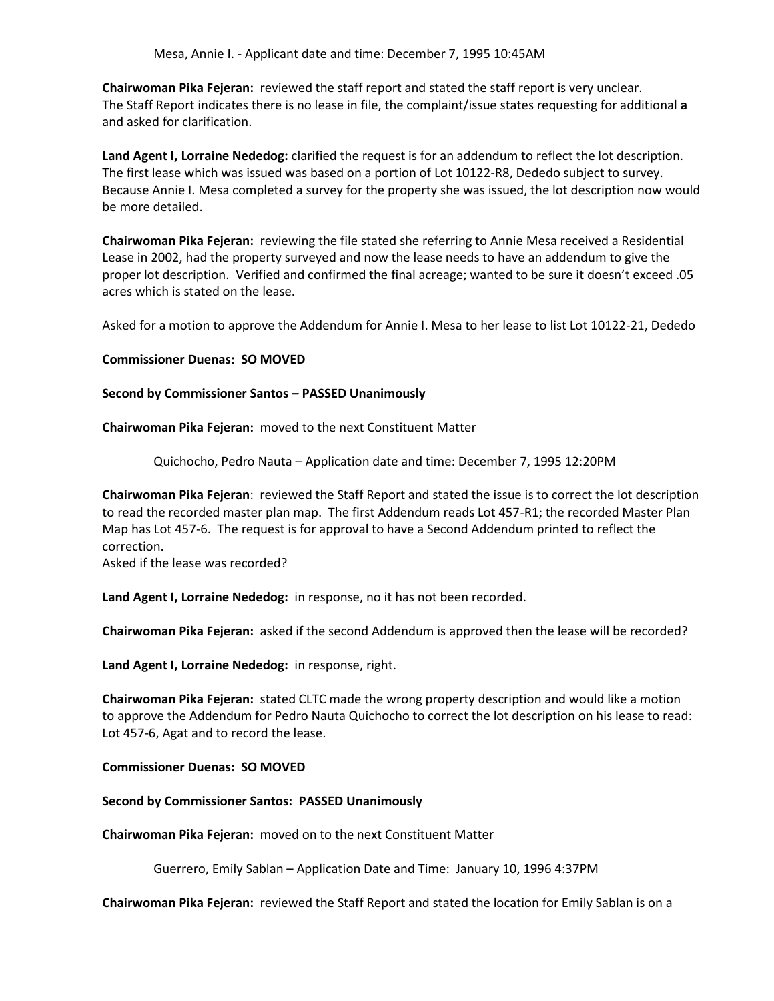**Chairwoman Pika Fejeran:** reviewed the staff report and stated the staff report is very unclear. The Staff Report indicates there is no lease in file, the complaint/issue states requesting for additional **a** and asked for clarification.

**Land Agent I, Lorraine Nededog:** clarified the request is for an addendum to reflect the lot description. The first lease which was issued was based on a portion of Lot 10122-R8, Dededo subject to survey. Because Annie I. Mesa completed a survey for the property she was issued, the lot description now would be more detailed.

**Chairwoman Pika Fejeran:** reviewing the file stated she referring to Annie Mesa received a Residential Lease in 2002, had the property surveyed and now the lease needs to have an addendum to give the proper lot description. Verified and confirmed the final acreage; wanted to be sure it doesn't exceed .05 acres which is stated on the lease.

Asked for a motion to approve the Addendum for Annie I. Mesa to her lease to list Lot 10122-21, Dededo

## **Commissioner Duenas: SO MOVED**

## **Second by Commissioner Santos – PASSED Unanimously**

**Chairwoman Pika Fejeran:** moved to the next Constituent Matter

Quichocho, Pedro Nauta – Application date and time: December 7, 1995 12:20PM

**Chairwoman Pika Fejeran**: reviewed the Staff Report and stated the issue is to correct the lot description to read the recorded master plan map. The first Addendum reads Lot 457-R1; the recorded Master Plan Map has Lot 457-6. The request is for approval to have a Second Addendum printed to reflect the correction.

Asked if the lease was recorded?

**Land Agent I, Lorraine Nededog:** in response, no it has not been recorded.

**Chairwoman Pika Fejeran:** asked if the second Addendum is approved then the lease will be recorded?

**Land Agent I, Lorraine Nededog:** in response, right.

**Chairwoman Pika Fejeran:** stated CLTC made the wrong property description and would like a motion to approve the Addendum for Pedro Nauta Quichocho to correct the lot description on his lease to read: Lot 457-6, Agat and to record the lease.

## **Commissioner Duenas: SO MOVED**

#### **Second by Commissioner Santos: PASSED Unanimously**

**Chairwoman Pika Fejeran:** moved on to the next Constituent Matter

Guerrero, Emily Sablan – Application Date and Time: January 10, 1996 4:37PM

**Chairwoman Pika Fejeran:** reviewed the Staff Report and stated the location for Emily Sablan is on a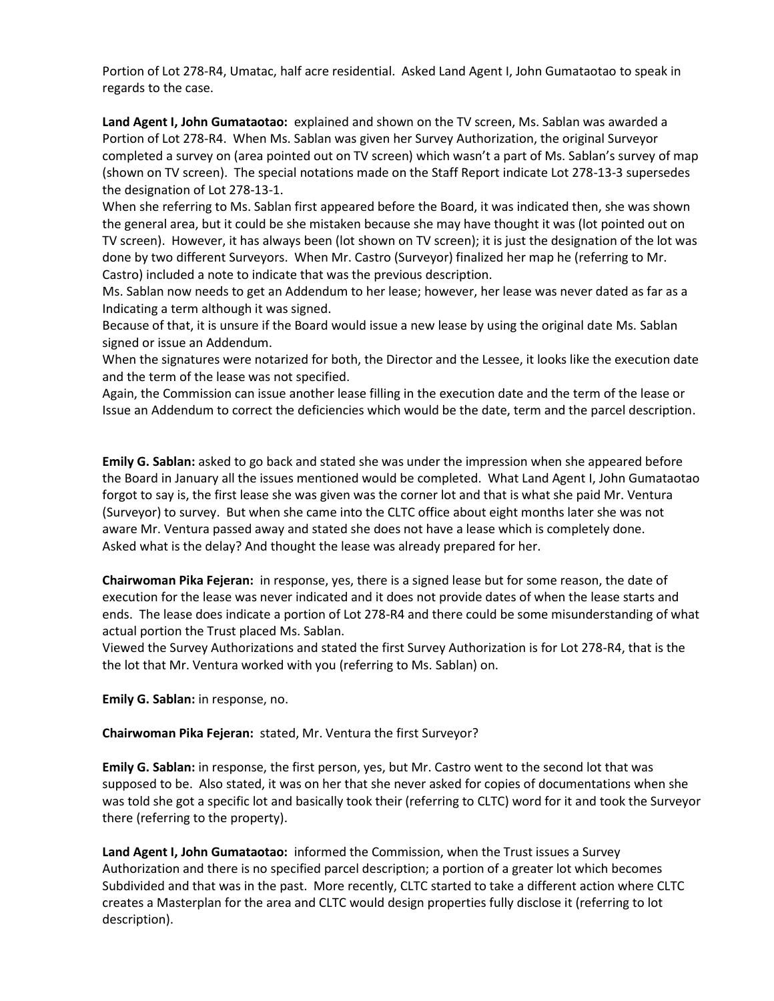Portion of Lot 278-R4, Umatac, half acre residential. Asked Land Agent I, John Gumataotao to speak in regards to the case.

**Land Agent I, John Gumataotao:** explained and shown on the TV screen, Ms. Sablan was awarded a Portion of Lot 278-R4. When Ms. Sablan was given her Survey Authorization, the original Surveyor completed a survey on (area pointed out on TV screen) which wasn't a part of Ms. Sablan's survey of map (shown on TV screen). The special notations made on the Staff Report indicate Lot 278-13-3 supersedes the designation of Lot 278-13-1.

When she referring to Ms. Sablan first appeared before the Board, it was indicated then, she was shown the general area, but it could be she mistaken because she may have thought it was (lot pointed out on TV screen). However, it has always been (lot shown on TV screen); it is just the designation of the lot was done by two different Surveyors. When Mr. Castro (Surveyor) finalized her map he (referring to Mr. Castro) included a note to indicate that was the previous description.

Ms. Sablan now needs to get an Addendum to her lease; however, her lease was never dated as far as a Indicating a term although it was signed.

Because of that, it is unsure if the Board would issue a new lease by using the original date Ms. Sablan signed or issue an Addendum.

When the signatures were notarized for both, the Director and the Lessee, it looks like the execution date and the term of the lease was not specified.

Again, the Commission can issue another lease filling in the execution date and the term of the lease or Issue an Addendum to correct the deficiencies which would be the date, term and the parcel description.

**Emily G. Sablan:** asked to go back and stated she was under the impression when she appeared before the Board in January all the issues mentioned would be completed. What Land Agent I, John Gumataotao forgot to say is, the first lease she was given was the corner lot and that is what she paid Mr. Ventura (Surveyor) to survey. But when she came into the CLTC office about eight months later she was not aware Mr. Ventura passed away and stated she does not have a lease which is completely done. Asked what is the delay? And thought the lease was already prepared for her.

**Chairwoman Pika Fejeran:** in response, yes, there is a signed lease but for some reason, the date of execution for the lease was never indicated and it does not provide dates of when the lease starts and ends. The lease does indicate a portion of Lot 278-R4 and there could be some misunderstanding of what actual portion the Trust placed Ms. Sablan.

Viewed the Survey Authorizations and stated the first Survey Authorization is for Lot 278-R4, that is the the lot that Mr. Ventura worked with you (referring to Ms. Sablan) on.

**Emily G. Sablan:** in response, no.

**Chairwoman Pika Fejeran:** stated, Mr. Ventura the first Surveyor?

**Emily G. Sablan:** in response, the first person, yes, but Mr. Castro went to the second lot that was supposed to be. Also stated, it was on her that she never asked for copies of documentations when she was told she got a specific lot and basically took their (referring to CLTC) word for it and took the Surveyor there (referring to the property).

**Land Agent I, John Gumataotao:** informed the Commission, when the Trust issues a Survey Authorization and there is no specified parcel description; a portion of a greater lot which becomes Subdivided and that was in the past. More recently, CLTC started to take a different action where CLTC creates a Masterplan for the area and CLTC would design properties fully disclose it (referring to lot description).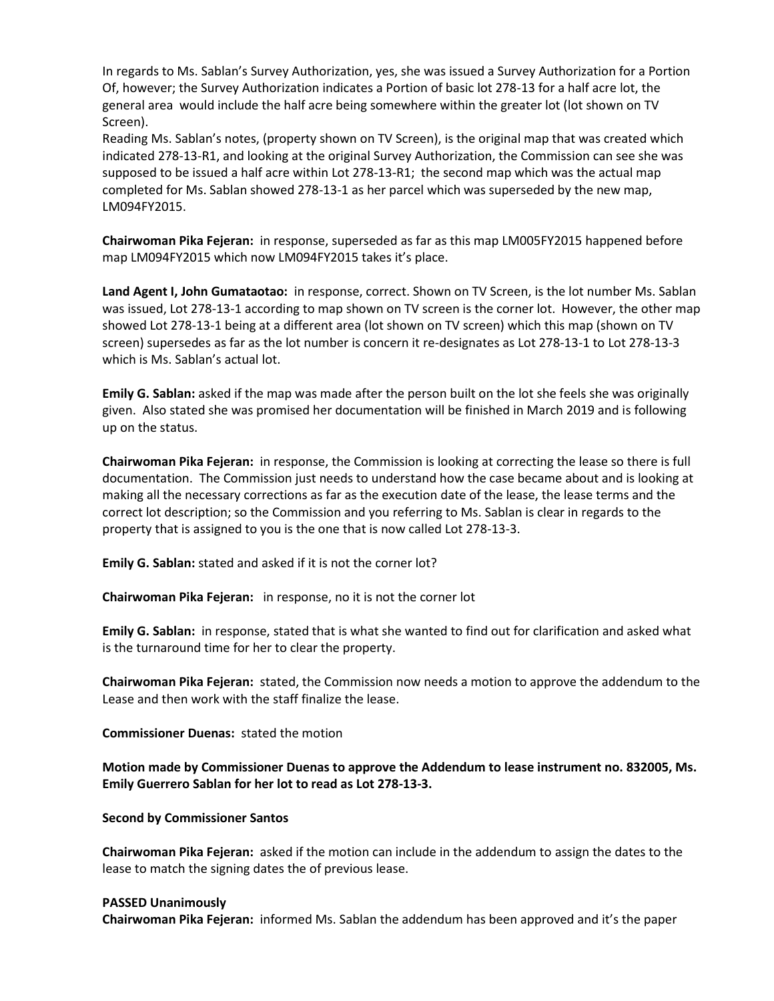In regards to Ms. Sablan's Survey Authorization, yes, she was issued a Survey Authorization for a Portion Of, however; the Survey Authorization indicates a Portion of basic lot 278-13 for a half acre lot, the general area would include the half acre being somewhere within the greater lot (lot shown on TV Screen).

Reading Ms. Sablan's notes, (property shown on TV Screen), is the original map that was created which indicated 278-13-R1, and looking at the original Survey Authorization, the Commission can see she was supposed to be issued a half acre within Lot 278-13-R1; the second map which was the actual map completed for Ms. Sablan showed 278-13-1 as her parcel which was superseded by the new map, LM094FY2015.

**Chairwoman Pika Fejeran:** in response, superseded as far as this map LM005FY2015 happened before map LM094FY2015 which now LM094FY2015 takes it's place.

**Land Agent I, John Gumataotao:** in response, correct. Shown on TV Screen, is the lot number Ms. Sablan was issued, Lot 278-13-1 according to map shown on TV screen is the corner lot. However, the other map showed Lot 278-13-1 being at a different area (lot shown on TV screen) which this map (shown on TV screen) supersedes as far as the lot number is concern it re-designates as Lot 278-13-1 to Lot 278-13-3 which is Ms. Sablan's actual lot.

**Emily G. Sablan:** asked if the map was made after the person built on the lot she feels she was originally given. Also stated she was promised her documentation will be finished in March 2019 and is following up on the status.

**Chairwoman Pika Fejeran:** in response, the Commission is looking at correcting the lease so there is full documentation. The Commission just needs to understand how the case became about and is looking at making all the necessary corrections as far as the execution date of the lease, the lease terms and the correct lot description; so the Commission and you referring to Ms. Sablan is clear in regards to the property that is assigned to you is the one that is now called Lot 278-13-3.

**Emily G. Sablan:** stated and asked if it is not the corner lot?

**Chairwoman Pika Fejeran:** in response, no it is not the corner lot

**Emily G. Sablan:** in response, stated that is what she wanted to find out for clarification and asked what is the turnaround time for her to clear the property.

**Chairwoman Pika Fejeran:** stated, the Commission now needs a motion to approve the addendum to the Lease and then work with the staff finalize the lease.

**Commissioner Duenas:** stated the motion

**Motion made by Commissioner Duenas to approve the Addendum to lease instrument no. 832005, Ms. Emily Guerrero Sablan for her lot to read as Lot 278-13-3.**

## **Second by Commissioner Santos**

**Chairwoman Pika Fejeran:** asked if the motion can include in the addendum to assign the dates to the lease to match the signing dates the of previous lease.

#### **PASSED Unanimously**

**Chairwoman Pika Fejeran:** informed Ms. Sablan the addendum has been approved and it's the paper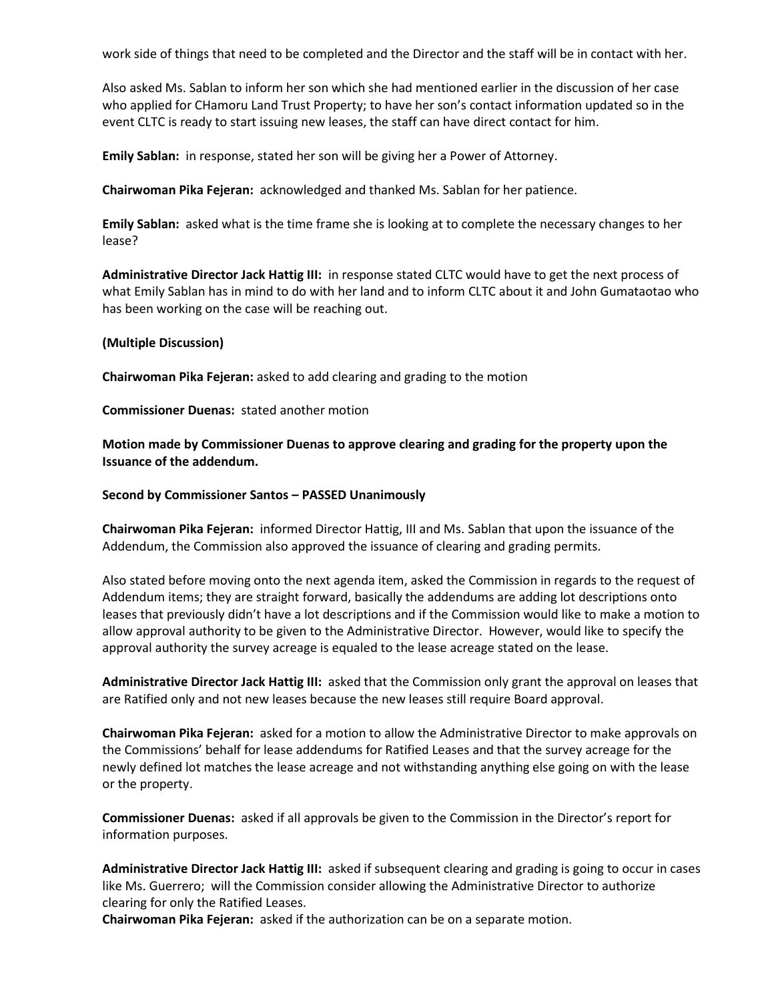work side of things that need to be completed and the Director and the staff will be in contact with her.

Also asked Ms. Sablan to inform her son which she had mentioned earlier in the discussion of her case who applied for CHamoru Land Trust Property; to have her son's contact information updated so in the event CLTC is ready to start issuing new leases, the staff can have direct contact for him.

**Emily Sablan:** in response, stated her son will be giving her a Power of Attorney.

**Chairwoman Pika Fejeran:** acknowledged and thanked Ms. Sablan for her patience.

**Emily Sablan:** asked what is the time frame she is looking at to complete the necessary changes to her lease?

**Administrative Director Jack Hattig III:** in response stated CLTC would have to get the next process of what Emily Sablan has in mind to do with her land and to inform CLTC about it and John Gumataotao who has been working on the case will be reaching out.

## **(Multiple Discussion)**

**Chairwoman Pika Fejeran:** asked to add clearing and grading to the motion

**Commissioner Duenas:** stated another motion

**Motion made by Commissioner Duenas to approve clearing and grading for the property upon the Issuance of the addendum.**

**Second by Commissioner Santos – PASSED Unanimously**

**Chairwoman Pika Fejeran:** informed Director Hattig, III and Ms. Sablan that upon the issuance of the Addendum, the Commission also approved the issuance of clearing and grading permits.

Also stated before moving onto the next agenda item, asked the Commission in regards to the request of Addendum items; they are straight forward, basically the addendums are adding lot descriptions onto leases that previously didn't have a lot descriptions and if the Commission would like to make a motion to allow approval authority to be given to the Administrative Director. However, would like to specify the approval authority the survey acreage is equaled to the lease acreage stated on the lease.

**Administrative Director Jack Hattig III:** asked that the Commission only grant the approval on leases that are Ratified only and not new leases because the new leases still require Board approval.

**Chairwoman Pika Fejeran:** asked for a motion to allow the Administrative Director to make approvals on the Commissions' behalf for lease addendums for Ratified Leases and that the survey acreage for the newly defined lot matches the lease acreage and not withstanding anything else going on with the lease or the property.

**Commissioner Duenas:** asked if all approvals be given to the Commission in the Director's report for information purposes.

**Administrative Director Jack Hattig III:** asked if subsequent clearing and grading is going to occur in cases like Ms. Guerrero; will the Commission consider allowing the Administrative Director to authorize clearing for only the Ratified Leases.

**Chairwoman Pika Fejeran:** asked if the authorization can be on a separate motion.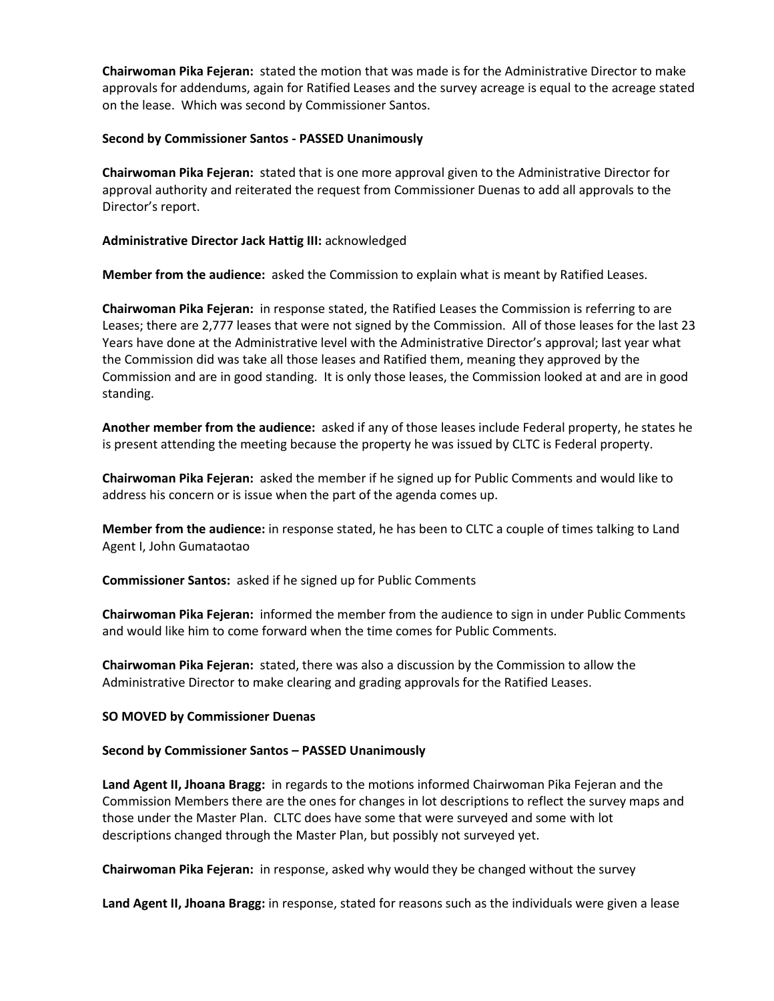**Chairwoman Pika Fejeran:** stated the motion that was made is for the Administrative Director to make approvals for addendums, again for Ratified Leases and the survey acreage is equal to the acreage stated on the lease. Which was second by Commissioner Santos.

## **Second by Commissioner Santos - PASSED Unanimously**

**Chairwoman Pika Fejeran:** stated that is one more approval given to the Administrative Director for approval authority and reiterated the request from Commissioner Duenas to add all approvals to the Director's report.

## **Administrative Director Jack Hattig III:** acknowledged

**Member from the audience:** asked the Commission to explain what is meant by Ratified Leases.

**Chairwoman Pika Fejeran:** in response stated, the Ratified Leases the Commission is referring to are Leases; there are 2,777 leases that were not signed by the Commission. All of those leases for the last 23 Years have done at the Administrative level with the Administrative Director's approval; last year what the Commission did was take all those leases and Ratified them, meaning they approved by the Commission and are in good standing. It is only those leases, the Commission looked at and are in good standing.

**Another member from the audience:** asked if any of those leases include Federal property, he states he is present attending the meeting because the property he was issued by CLTC is Federal property.

**Chairwoman Pika Fejeran:** asked the member if he signed up for Public Comments and would like to address his concern or is issue when the part of the agenda comes up.

**Member from the audience:** in response stated, he has been to CLTC a couple of times talking to Land Agent I, John Gumataotao

**Commissioner Santos:** asked if he signed up for Public Comments

**Chairwoman Pika Fejeran:** informed the member from the audience to sign in under Public Comments and would like him to come forward when the time comes for Public Comments.

**Chairwoman Pika Fejeran:** stated, there was also a discussion by the Commission to allow the Administrative Director to make clearing and grading approvals for the Ratified Leases.

#### **SO MOVED by Commissioner Duenas**

#### **Second by Commissioner Santos – PASSED Unanimously**

**Land Agent II, Jhoana Bragg:** in regards to the motions informed Chairwoman Pika Fejeran and the Commission Members there are the ones for changes in lot descriptions to reflect the survey maps and those under the Master Plan. CLTC does have some that were surveyed and some with lot descriptions changed through the Master Plan, but possibly not surveyed yet.

**Chairwoman Pika Fejeran:** in response, asked why would they be changed without the survey

**Land Agent II, Jhoana Bragg:** in response, stated for reasons such as the individuals were given a lease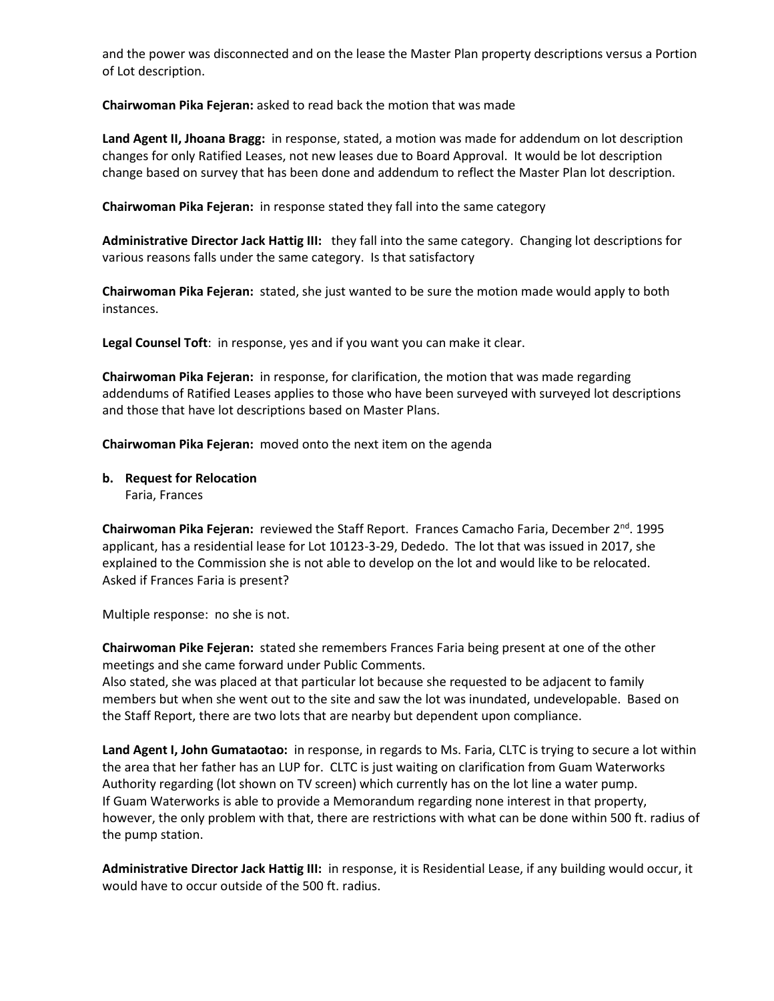and the power was disconnected and on the lease the Master Plan property descriptions versus a Portion of Lot description.

**Chairwoman Pika Fejeran:** asked to read back the motion that was made

**Land Agent II, Jhoana Bragg:** in response, stated, a motion was made for addendum on lot description changes for only Ratified Leases, not new leases due to Board Approval. It would be lot description change based on survey that has been done and addendum to reflect the Master Plan lot description.

**Chairwoman Pika Fejeran:** in response stated they fall into the same category

**Administrative Director Jack Hattig III:** they fall into the same category. Changing lot descriptions for various reasons falls under the same category. Is that satisfactory

**Chairwoman Pika Fejeran:** stated, she just wanted to be sure the motion made would apply to both instances.

**Legal Counsel Toft**: in response, yes and if you want you can make it clear.

**Chairwoman Pika Fejeran:** in response, for clarification, the motion that was made regarding addendums of Ratified Leases applies to those who have been surveyed with surveyed lot descriptions and those that have lot descriptions based on Master Plans.

**Chairwoman Pika Fejeran:** moved onto the next item on the agenda

# **b. Request for Relocation**

Faria, Frances

**Chairwoman Pika Fejeran:** reviewed the Staff Report. Frances Camacho Faria, December 2nd. 1995 applicant, has a residential lease for Lot 10123-3-29, Dededo. The lot that was issued in 2017, she explained to the Commission she is not able to develop on the lot and would like to be relocated. Asked if Frances Faria is present?

Multiple response: no she is not.

**Chairwoman Pike Fejeran:** stated she remembers Frances Faria being present at one of the other meetings and she came forward under Public Comments.

Also stated, she was placed at that particular lot because she requested to be adjacent to family members but when she went out to the site and saw the lot was inundated, undevelopable. Based on the Staff Report, there are two lots that are nearby but dependent upon compliance.

**Land Agent I, John Gumataotao:** in response, in regards to Ms. Faria, CLTC is trying to secure a lot within the area that her father has an LUP for. CLTC is just waiting on clarification from Guam Waterworks Authority regarding (lot shown on TV screen) which currently has on the lot line a water pump. If Guam Waterworks is able to provide a Memorandum regarding none interest in that property, however, the only problem with that, there are restrictions with what can be done within 500 ft. radius of the pump station.

**Administrative Director Jack Hattig III:** in response, it is Residential Lease, if any building would occur, it would have to occur outside of the 500 ft. radius.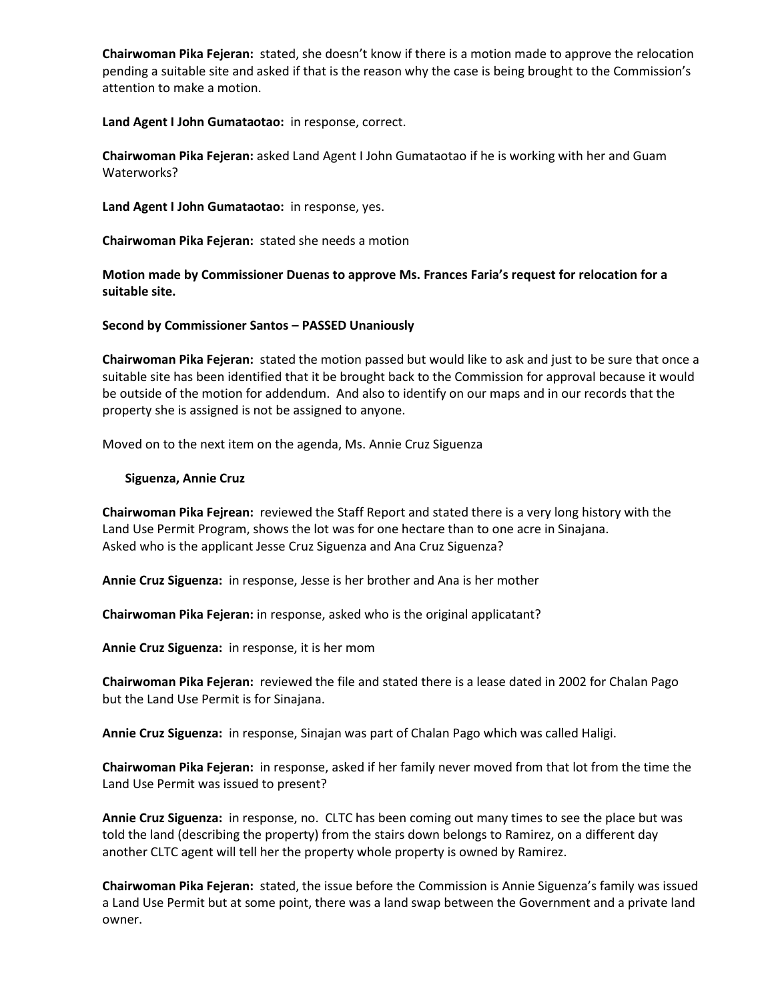**Chairwoman Pika Fejeran:** stated, she doesn't know if there is a motion made to approve the relocation pending a suitable site and asked if that is the reason why the case is being brought to the Commission's attention to make a motion.

**Land Agent I John Gumataotao:** in response, correct.

**Chairwoman Pika Fejeran:** asked Land Agent I John Gumataotao if he is working with her and Guam Waterworks?

**Land Agent I John Gumataotao:** in response, yes.

**Chairwoman Pika Fejeran:** stated she needs a motion

**Motion made by Commissioner Duenas to approve Ms. Frances Faria's request for relocation for a suitable site.** 

**Second by Commissioner Santos – PASSED Unaniously**

**Chairwoman Pika Fejeran:** stated the motion passed but would like to ask and just to be sure that once a suitable site has been identified that it be brought back to the Commission for approval because it would be outside of the motion for addendum. And also to identify on our maps and in our records that the property she is assigned is not be assigned to anyone.

Moved on to the next item on the agenda, Ms. Annie Cruz Siguenza

## **Siguenza, Annie Cruz**

**Chairwoman Pika Fejrean:** reviewed the Staff Report and stated there is a very long history with the Land Use Permit Program, shows the lot was for one hectare than to one acre in Sinajana. Asked who is the applicant Jesse Cruz Siguenza and Ana Cruz Siguenza?

**Annie Cruz Siguenza:** in response, Jesse is her brother and Ana is her mother

**Chairwoman Pika Fejeran:** in response, asked who is the original applicatant?

**Annie Cruz Siguenza:** in response, it is her mom

**Chairwoman Pika Fejeran:** reviewed the file and stated there is a lease dated in 2002 for Chalan Pago but the Land Use Permit is for Sinajana.

**Annie Cruz Siguenza:** in response, Sinajan was part of Chalan Pago which was called Haligi.

**Chairwoman Pika Fejeran:** in response, asked if her family never moved from that lot from the time the Land Use Permit was issued to present?

**Annie Cruz Siguenza:** in response, no. CLTC has been coming out many times to see the place but was told the land (describing the property) from the stairs down belongs to Ramirez, on a different day another CLTC agent will tell her the property whole property is owned by Ramirez.

**Chairwoman Pika Fejeran:** stated, the issue before the Commission is Annie Siguenza's family was issued a Land Use Permit but at some point, there was a land swap between the Government and a private land owner.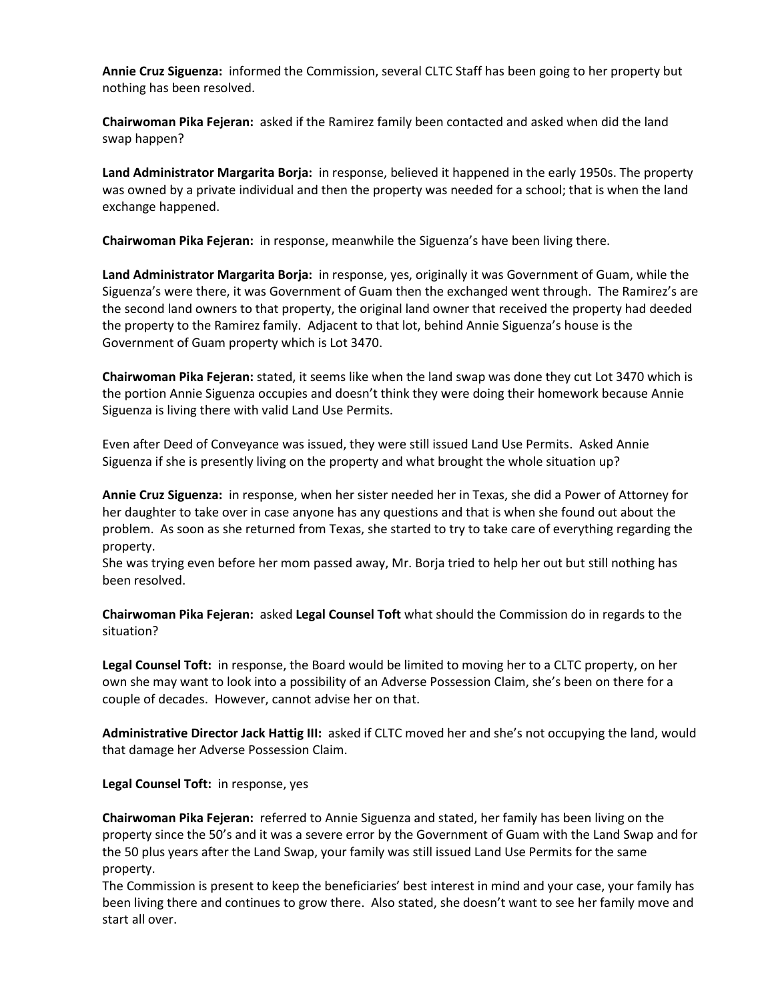**Annie Cruz Siguenza:** informed the Commission, several CLTC Staff has been going to her property but nothing has been resolved.

**Chairwoman Pika Fejeran:** asked if the Ramirez family been contacted and asked when did the land swap happen?

**Land Administrator Margarita Borja:** in response, believed it happened in the early 1950s. The property was owned by a private individual and then the property was needed for a school; that is when the land exchange happened.

**Chairwoman Pika Fejeran:** in response, meanwhile the Siguenza's have been living there.

**Land Administrator Margarita Borja:** in response, yes, originally it was Government of Guam, while the Siguenza's were there, it was Government of Guam then the exchanged went through. The Ramirez's are the second land owners to that property, the original land owner that received the property had deeded the property to the Ramirez family. Adjacent to that lot, behind Annie Siguenza's house is the Government of Guam property which is Lot 3470.

**Chairwoman Pika Fejeran:** stated, it seems like when the land swap was done they cut Lot 3470 which is the portion Annie Siguenza occupies and doesn't think they were doing their homework because Annie Siguenza is living there with valid Land Use Permits.

Even after Deed of Conveyance was issued, they were still issued Land Use Permits. Asked Annie Siguenza if she is presently living on the property and what brought the whole situation up?

**Annie Cruz Siguenza:** in response, when her sister needed her in Texas, she did a Power of Attorney for her daughter to take over in case anyone has any questions and that is when she found out about the problem. As soon as she returned from Texas, she started to try to take care of everything regarding the property.

She was trying even before her mom passed away, Mr. Borja tried to help her out but still nothing has been resolved.

**Chairwoman Pika Fejeran:** asked **Legal Counsel Toft** what should the Commission do in regards to the situation?

**Legal Counsel Toft:** in response, the Board would be limited to moving her to a CLTC property, on her own she may want to look into a possibility of an Adverse Possession Claim, she's been on there for a couple of decades. However, cannot advise her on that.

**Administrative Director Jack Hattig III:** asked if CLTC moved her and she's not occupying the land, would that damage her Adverse Possession Claim.

**Legal Counsel Toft:** in response, yes

**Chairwoman Pika Fejeran:** referred to Annie Siguenza and stated, her family has been living on the property since the 50's and it was a severe error by the Government of Guam with the Land Swap and for the 50 plus years after the Land Swap, your family was still issued Land Use Permits for the same property.

The Commission is present to keep the beneficiaries' best interest in mind and your case, your family has been living there and continues to grow there. Also stated, she doesn't want to see her family move and start all over.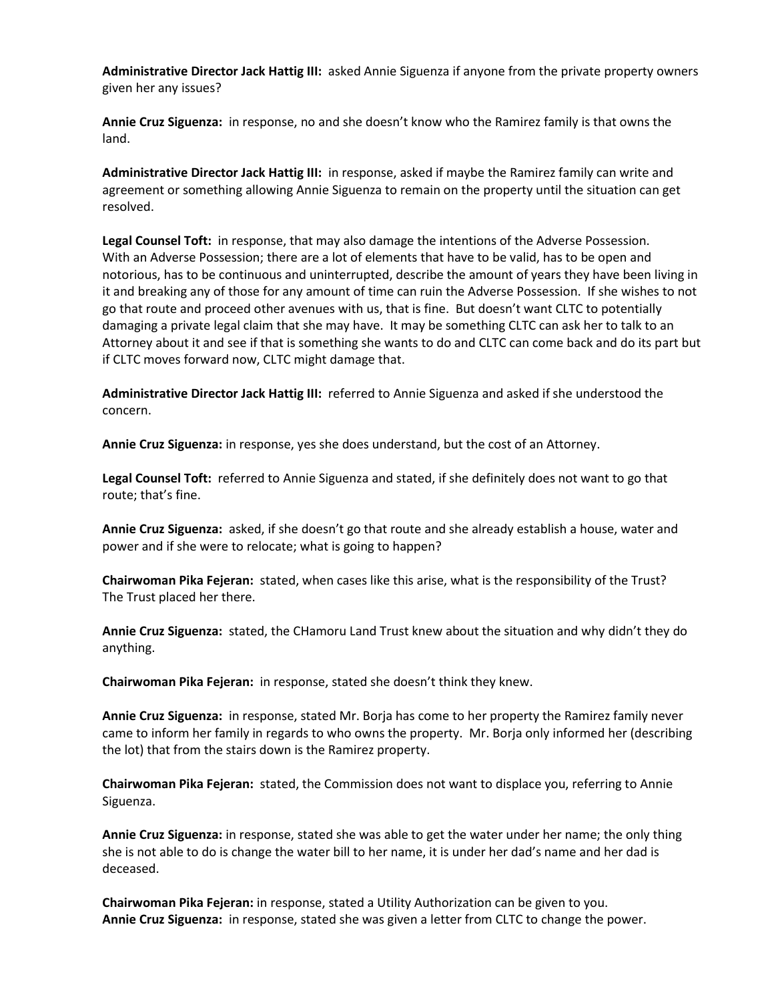**Administrative Director Jack Hattig III:** asked Annie Siguenza if anyone from the private property owners given her any issues?

**Annie Cruz Siguenza:** in response, no and she doesn't know who the Ramirez family is that owns the land.

**Administrative Director Jack Hattig III:** in response, asked if maybe the Ramirez family can write and agreement or something allowing Annie Siguenza to remain on the property until the situation can get resolved.

**Legal Counsel Toft:** in response, that may also damage the intentions of the Adverse Possession. With an Adverse Possession; there are a lot of elements that have to be valid, has to be open and notorious, has to be continuous and uninterrupted, describe the amount of years they have been living in it and breaking any of those for any amount of time can ruin the Adverse Possession. If she wishes to not go that route and proceed other avenues with us, that is fine. But doesn't want CLTC to potentially damaging a private legal claim that she may have. It may be something CLTC can ask her to talk to an Attorney about it and see if that is something she wants to do and CLTC can come back and do its part but if CLTC moves forward now, CLTC might damage that.

**Administrative Director Jack Hattig III:** referred to Annie Siguenza and asked if she understood the concern.

**Annie Cruz Siguenza:** in response, yes she does understand, but the cost of an Attorney.

**Legal Counsel Toft:** referred to Annie Siguenza and stated, if she definitely does not want to go that route; that's fine.

**Annie Cruz Siguenza:** asked, if she doesn't go that route and she already establish a house, water and power and if she were to relocate; what is going to happen?

**Chairwoman Pika Fejeran:** stated, when cases like this arise, what is the responsibility of the Trust? The Trust placed her there.

**Annie Cruz Siguenza:** stated, the CHamoru Land Trust knew about the situation and why didn't they do anything.

**Chairwoman Pika Fejeran:** in response, stated she doesn't think they knew.

**Annie Cruz Siguenza:** in response, stated Mr. Borja has come to her property the Ramirez family never came to inform her family in regards to who owns the property. Mr. Borja only informed her (describing the lot) that from the stairs down is the Ramirez property.

**Chairwoman Pika Fejeran:** stated, the Commission does not want to displace you, referring to Annie Siguenza.

**Annie Cruz Siguenza:** in response, stated she was able to get the water under her name; the only thing she is not able to do is change the water bill to her name, it is under her dad's name and her dad is deceased.

**Chairwoman Pika Fejeran:** in response, stated a Utility Authorization can be given to you. **Annie Cruz Siguenza:** in response, stated she was given a letter from CLTC to change the power.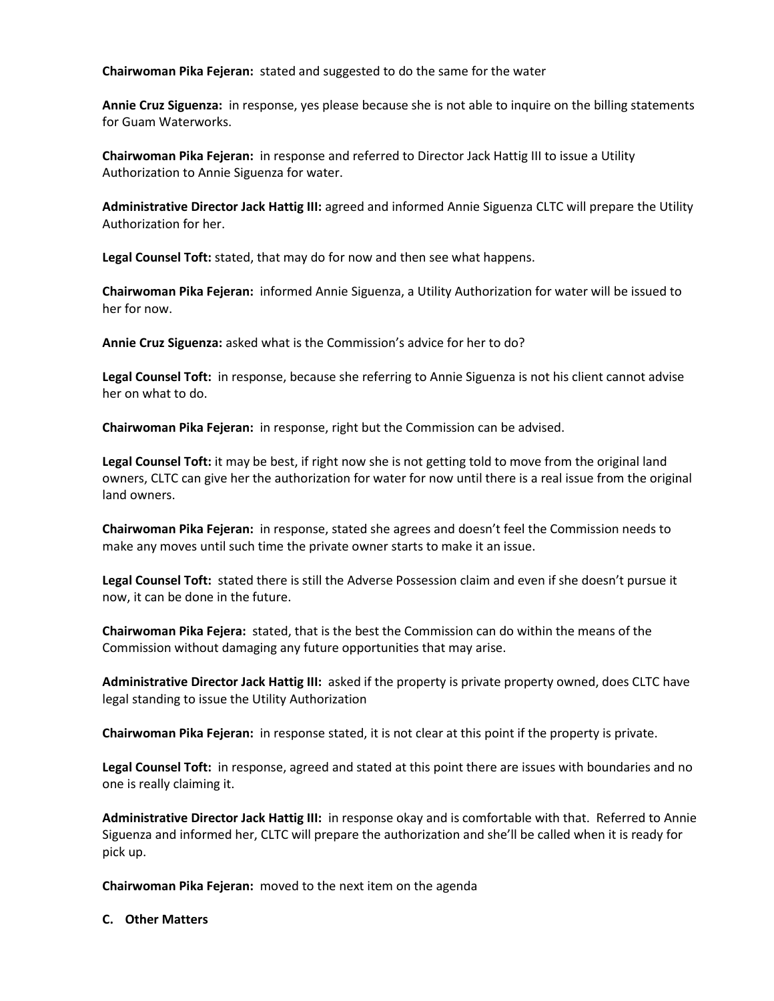## **Chairwoman Pika Fejeran:** stated and suggested to do the same for the water

**Annie Cruz Siguenza:** in response, yes please because she is not able to inquire on the billing statements for Guam Waterworks.

**Chairwoman Pika Fejeran:** in response and referred to Director Jack Hattig III to issue a Utility Authorization to Annie Siguenza for water.

**Administrative Director Jack Hattig III:** agreed and informed Annie Siguenza CLTC will prepare the Utility Authorization for her.

**Legal Counsel Toft:** stated, that may do for now and then see what happens.

**Chairwoman Pika Fejeran:** informed Annie Siguenza, a Utility Authorization for water will be issued to her for now.

**Annie Cruz Siguenza:** asked what is the Commission's advice for her to do?

**Legal Counsel Toft:** in response, because she referring to Annie Siguenza is not his client cannot advise her on what to do.

**Chairwoman Pika Fejeran:** in response, right but the Commission can be advised.

**Legal Counsel Toft:** it may be best, if right now she is not getting told to move from the original land owners, CLTC can give her the authorization for water for now until there is a real issue from the original land owners.

**Chairwoman Pika Fejeran:** in response, stated she agrees and doesn't feel the Commission needs to make any moves until such time the private owner starts to make it an issue.

**Legal Counsel Toft:** stated there is still the Adverse Possession claim and even if she doesn't pursue it now, it can be done in the future.

**Chairwoman Pika Fejera:** stated, that is the best the Commission can do within the means of the Commission without damaging any future opportunities that may arise.

**Administrative Director Jack Hattig III:** asked if the property is private property owned, does CLTC have legal standing to issue the Utility Authorization

**Chairwoman Pika Fejeran:** in response stated, it is not clear at this point if the property is private.

**Legal Counsel Toft:** in response, agreed and stated at this point there are issues with boundaries and no one is really claiming it.

**Administrative Director Jack Hattig III:** in response okay and is comfortable with that. Referred to Annie Siguenza and informed her, CLTC will prepare the authorization and she'll be called when it is ready for pick up.

**Chairwoman Pika Fejeran:** moved to the next item on the agenda

## **C. Other Matters**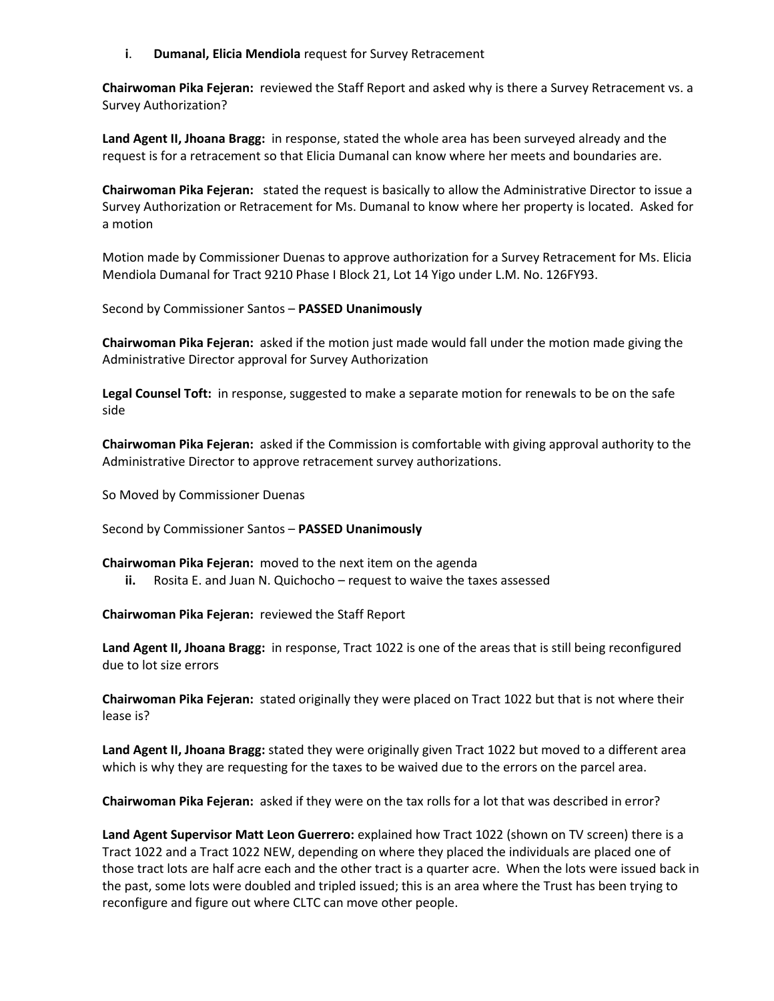**i**. **Dumanal, Elicia Mendiola** request for Survey Retracement

**Chairwoman Pika Fejeran:** reviewed the Staff Report and asked why is there a Survey Retracement vs. a Survey Authorization?

**Land Agent II, Jhoana Bragg:** in response, stated the whole area has been surveyed already and the request is for a retracement so that Elicia Dumanal can know where her meets and boundaries are.

**Chairwoman Pika Fejeran:** stated the request is basically to allow the Administrative Director to issue a Survey Authorization or Retracement for Ms. Dumanal to know where her property is located. Asked for a motion

Motion made by Commissioner Duenas to approve authorization for a Survey Retracement for Ms. Elicia Mendiola Dumanal for Tract 9210 Phase I Block 21, Lot 14 Yigo under L.M. No. 126FY93.

Second by Commissioner Santos – **PASSED Unanimously**

**Chairwoman Pika Fejeran:** asked if the motion just made would fall under the motion made giving the Administrative Director approval for Survey Authorization

**Legal Counsel Toft:** in response, suggested to make a separate motion for renewals to be on the safe side

**Chairwoman Pika Fejeran:** asked if the Commission is comfortable with giving approval authority to the Administrative Director to approve retracement survey authorizations.

So Moved by Commissioner Duenas

Second by Commissioner Santos – **PASSED Unanimously**

**Chairwoman Pika Fejeran:** moved to the next item on the agenda

**ii.** Rosita E. and Juan N. Quichocho – request to waive the taxes assessed

**Chairwoman Pika Fejeran:** reviewed the Staff Report

**Land Agent II, Jhoana Bragg:** in response, Tract 1022 is one of the areas that is still being reconfigured due to lot size errors

**Chairwoman Pika Fejeran:** stated originally they were placed on Tract 1022 but that is not where their lease is?

**Land Agent II, Jhoana Bragg:** stated they were originally given Tract 1022 but moved to a different area which is why they are requesting for the taxes to be waived due to the errors on the parcel area.

**Chairwoman Pika Fejeran:** asked if they were on the tax rolls for a lot that was described in error?

**Land Agent Supervisor Matt Leon Guerrero:** explained how Tract 1022 (shown on TV screen) there is a Tract 1022 and a Tract 1022 NEW, depending on where they placed the individuals are placed one of those tract lots are half acre each and the other tract is a quarter acre. When the lots were issued back in the past, some lots were doubled and tripled issued; this is an area where the Trust has been trying to reconfigure and figure out where CLTC can move other people.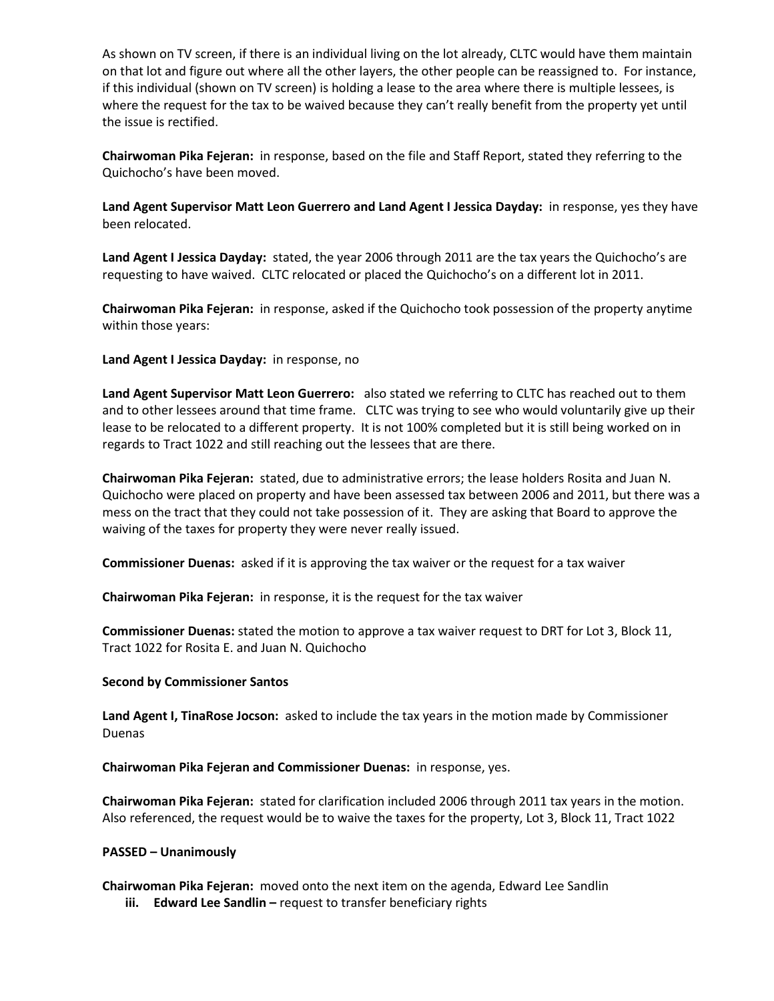As shown on TV screen, if there is an individual living on the lot already, CLTC would have them maintain on that lot and figure out where all the other layers, the other people can be reassigned to. For instance, if this individual (shown on TV screen) is holding a lease to the area where there is multiple lessees, is where the request for the tax to be waived because they can't really benefit from the property yet until the issue is rectified.

**Chairwoman Pika Fejeran:** in response, based on the file and Staff Report, stated they referring to the Quichocho's have been moved.

**Land Agent Supervisor Matt Leon Guerrero and Land Agent I Jessica Dayday:** in response, yes they have been relocated.

**Land Agent I Jessica Dayday:** stated, the year 2006 through 2011 are the tax years the Quichocho's are requesting to have waived. CLTC relocated or placed the Quichocho's on a different lot in 2011.

**Chairwoman Pika Fejeran:** in response, asked if the Quichocho took possession of the property anytime within those years:

**Land Agent I Jessica Dayday:** in response, no

**Land Agent Supervisor Matt Leon Guerrero:** also stated we referring to CLTC has reached out to them and to other lessees around that time frame. CLTC was trying to see who would voluntarily give up their lease to be relocated to a different property. It is not 100% completed but it is still being worked on in regards to Tract 1022 and still reaching out the lessees that are there.

**Chairwoman Pika Fejeran:** stated, due to administrative errors; the lease holders Rosita and Juan N. Quichocho were placed on property and have been assessed tax between 2006 and 2011, but there was a mess on the tract that they could not take possession of it. They are asking that Board to approve the waiving of the taxes for property they were never really issued.

**Commissioner Duenas:** asked if it is approving the tax waiver or the request for a tax waiver

**Chairwoman Pika Fejeran:** in response, it is the request for the tax waiver

**Commissioner Duenas:** stated the motion to approve a tax waiver request to DRT for Lot 3, Block 11, Tract 1022 for Rosita E. and Juan N. Quichocho

#### **Second by Commissioner Santos**

**Land Agent I, TinaRose Jocson:** asked to include the tax years in the motion made by Commissioner Duenas

**Chairwoman Pika Fejeran and Commissioner Duenas:** in response, yes.

**Chairwoman Pika Fejeran:** stated for clarification included 2006 through 2011 tax years in the motion. Also referenced, the request would be to waive the taxes for the property, Lot 3, Block 11, Tract 1022

#### **PASSED – Unanimously**

**Chairwoman Pika Fejeran:** moved onto the next item on the agenda, Edward Lee Sandlin

**iii. Edward Lee Sandlin** – request to transfer beneficiary rights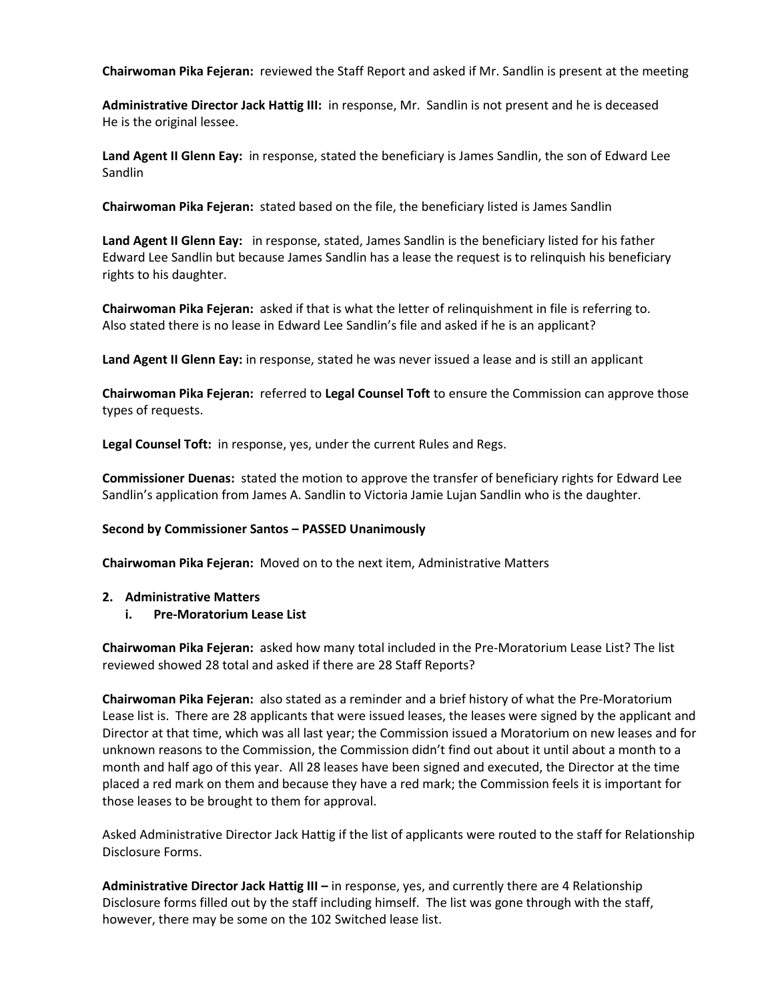**Chairwoman Pika Fejeran:** reviewed the Staff Report and asked if Mr. Sandlin is present at the meeting

**Administrative Director Jack Hattig III:** in response, Mr. Sandlin is not present and he is deceased He is the original lessee.

**Land Agent II Glenn Eay:** in response, stated the beneficiary is James Sandlin, the son of Edward Lee Sandlin

**Chairwoman Pika Fejeran:** stated based on the file, the beneficiary listed is James Sandlin

**Land Agent II Glenn Eay:** in response, stated, James Sandlin is the beneficiary listed for his father Edward Lee Sandlin but because James Sandlin has a lease the request is to relinquish his beneficiary rights to his daughter.

**Chairwoman Pika Fejeran:** asked if that is what the letter of relinquishment in file is referring to. Also stated there is no lease in Edward Lee Sandlin's file and asked if he is an applicant?

**Land Agent II Glenn Eay:** in response, stated he was never issued a lease and is still an applicant

**Chairwoman Pika Fejeran:** referred to **Legal Counsel Toft** to ensure the Commission can approve those types of requests.

**Legal Counsel Toft:** in response, yes, under the current Rules and Regs.

**Commissioner Duenas:** stated the motion to approve the transfer of beneficiary rights for Edward Lee Sandlin's application from James A. Sandlin to Victoria Jamie Lujan Sandlin who is the daughter.

#### **Second by Commissioner Santos – PASSED Unanimously**

**Chairwoman Pika Fejeran:** Moved on to the next item, Administrative Matters

#### **2. Administrative Matters**

## **i. Pre-Moratorium Lease List**

**Chairwoman Pika Fejeran:** asked how many total included in the Pre-Moratorium Lease List? The list reviewed showed 28 total and asked if there are 28 Staff Reports?

**Chairwoman Pika Fejeran:** also stated as a reminder and a brief history of what the Pre-Moratorium Lease list is. There are 28 applicants that were issued leases, the leases were signed by the applicant and Director at that time, which was all last year; the Commission issued a Moratorium on new leases and for unknown reasons to the Commission, the Commission didn't find out about it until about a month to a month and half ago of this year. All 28 leases have been signed and executed, the Director at the time placed a red mark on them and because they have a red mark; the Commission feels it is important for those leases to be brought to them for approval.

Asked Administrative Director Jack Hattig if the list of applicants were routed to the staff for Relationship Disclosure Forms.

**Administrative Director Jack Hattig III – in response, yes, and currently there are 4 Relationship** Disclosure forms filled out by the staff including himself. The list was gone through with the staff, however, there may be some on the 102 Switched lease list.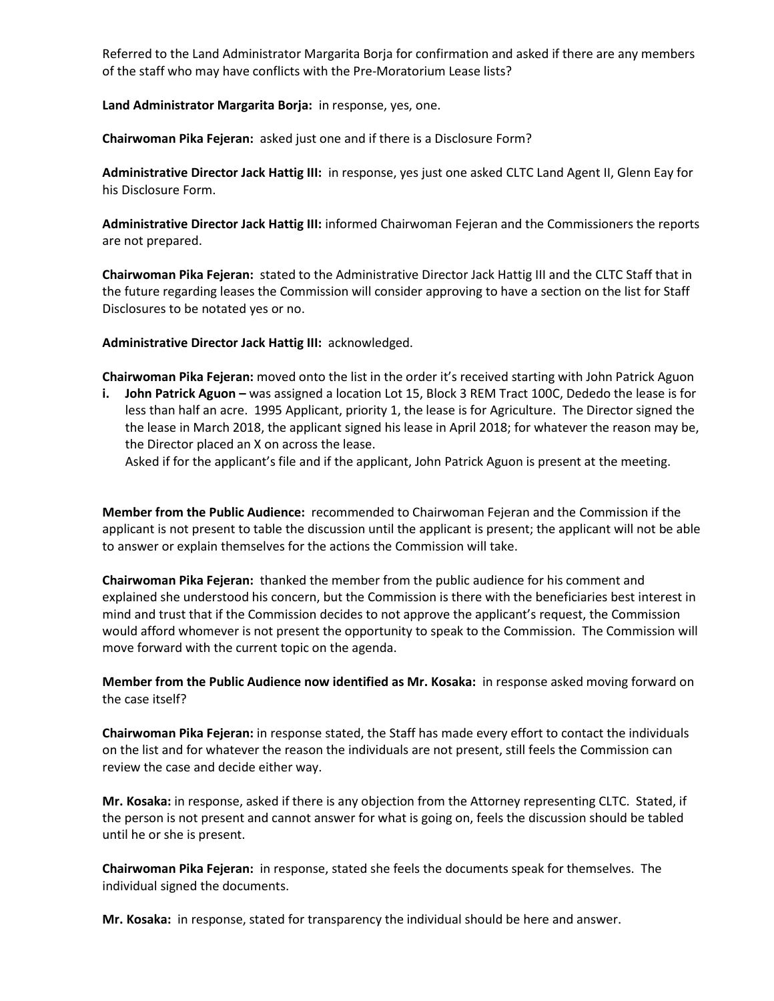Referred to the Land Administrator Margarita Borja for confirmation and asked if there are any members of the staff who may have conflicts with the Pre-Moratorium Lease lists?

**Land Administrator Margarita Borja:** in response, yes, one.

**Chairwoman Pika Fejeran:** asked just one and if there is a Disclosure Form?

**Administrative Director Jack Hattig III:** in response, yes just one asked CLTC Land Agent II, Glenn Eay for his Disclosure Form.

**Administrative Director Jack Hattig III:** informed Chairwoman Fejeran and the Commissioners the reports are not prepared.

**Chairwoman Pika Fejeran:** stated to the Administrative Director Jack Hattig III and the CLTC Staff that in the future regarding leases the Commission will consider approving to have a section on the list for Staff Disclosures to be notated yes or no.

**Administrative Director Jack Hattig III:** acknowledged.

**Chairwoman Pika Fejeran:** moved onto the list in the order it's received starting with John Patrick Aguon **i. John Patrick Aguon** – was assigned a location Lot 15, Block 3 REM Tract 100C, Dededo the lease is for less than half an acre. 1995 Applicant, priority 1, the lease is for Agriculture. The Director signed the the lease in March 2018, the applicant signed his lease in April 2018; for whatever the reason may be, the Director placed an X on across the lease.

Asked if for the applicant's file and if the applicant, John Patrick Aguon is present at the meeting.

**Member from the Public Audience:** recommended to Chairwoman Fejeran and the Commission if the applicant is not present to table the discussion until the applicant is present; the applicant will not be able to answer or explain themselves for the actions the Commission will take.

**Chairwoman Pika Fejeran:** thanked the member from the public audience for his comment and explained she understood his concern, but the Commission is there with the beneficiaries best interest in mind and trust that if the Commission decides to not approve the applicant's request, the Commission would afford whomever is not present the opportunity to speak to the Commission. The Commission will move forward with the current topic on the agenda.

**Member from the Public Audience now identified as Mr. Kosaka:** in response asked moving forward on the case itself?

**Chairwoman Pika Fejeran:** in response stated, the Staff has made every effort to contact the individuals on the list and for whatever the reason the individuals are not present, still feels the Commission can review the case and decide either way.

**Mr. Kosaka:** in response, asked if there is any objection from the Attorney representing CLTC. Stated, if the person is not present and cannot answer for what is going on, feels the discussion should be tabled until he or she is present.

**Chairwoman Pika Fejeran:** in response, stated she feels the documents speak for themselves. The individual signed the documents.

**Mr. Kosaka:** in response, stated for transparency the individual should be here and answer.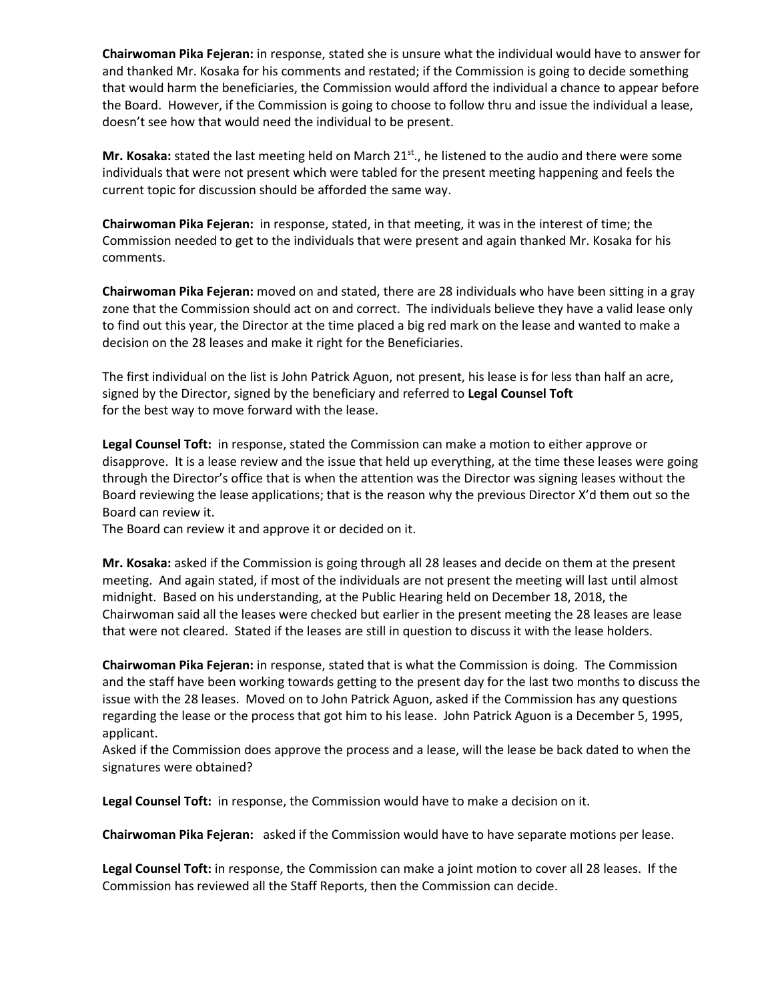**Chairwoman Pika Fejeran:** in response, stated she is unsure what the individual would have to answer for and thanked Mr. Kosaka for his comments and restated; if the Commission is going to decide something that would harm the beneficiaries, the Commission would afford the individual a chance to appear before the Board. However, if the Commission is going to choose to follow thru and issue the individual a lease, doesn't see how that would need the individual to be present.

Mr. Kosaka: stated the last meeting held on March 21<sup>st</sup>., he listened to the audio and there were some individuals that were not present which were tabled for the present meeting happening and feels the current topic for discussion should be afforded the same way.

**Chairwoman Pika Fejeran:** in response, stated, in that meeting, it was in the interest of time; the Commission needed to get to the individuals that were present and again thanked Mr. Kosaka for his comments.

**Chairwoman Pika Fejeran:** moved on and stated, there are 28 individuals who have been sitting in a gray zone that the Commission should act on and correct. The individuals believe they have a valid lease only to find out this year, the Director at the time placed a big red mark on the lease and wanted to make a decision on the 28 leases and make it right for the Beneficiaries.

The first individual on the list is John Patrick Aguon, not present, his lease is for less than half an acre, signed by the Director, signed by the beneficiary and referred to **Legal Counsel Toft** for the best way to move forward with the lease.

**Legal Counsel Toft:** in response, stated the Commission can make a motion to either approve or disapprove. It is a lease review and the issue that held up everything, at the time these leases were going through the Director's office that is when the attention was the Director was signing leases without the Board reviewing the lease applications; that is the reason why the previous Director X'd them out so the Board can review it.

The Board can review it and approve it or decided on it.

**Mr. Kosaka:** asked if the Commission is going through all 28 leases and decide on them at the present meeting. And again stated, if most of the individuals are not present the meeting will last until almost midnight. Based on his understanding, at the Public Hearing held on December 18, 2018, the Chairwoman said all the leases were checked but earlier in the present meeting the 28 leases are lease that were not cleared. Stated if the leases are still in question to discuss it with the lease holders.

**Chairwoman Pika Fejeran:** in response, stated that is what the Commission is doing. The Commission and the staff have been working towards getting to the present day for the last two months to discuss the issue with the 28 leases. Moved on to John Patrick Aguon, asked if the Commission has any questions regarding the lease or the process that got him to his lease. John Patrick Aguon is a December 5, 1995, applicant.

Asked if the Commission does approve the process and a lease, will the lease be back dated to when the signatures were obtained?

**Legal Counsel Toft:** in response, the Commission would have to make a decision on it.

**Chairwoman Pika Fejeran:** asked if the Commission would have to have separate motions per lease.

**Legal Counsel Toft:** in response, the Commission can make a joint motion to cover all 28 leases. If the Commission has reviewed all the Staff Reports, then the Commission can decide.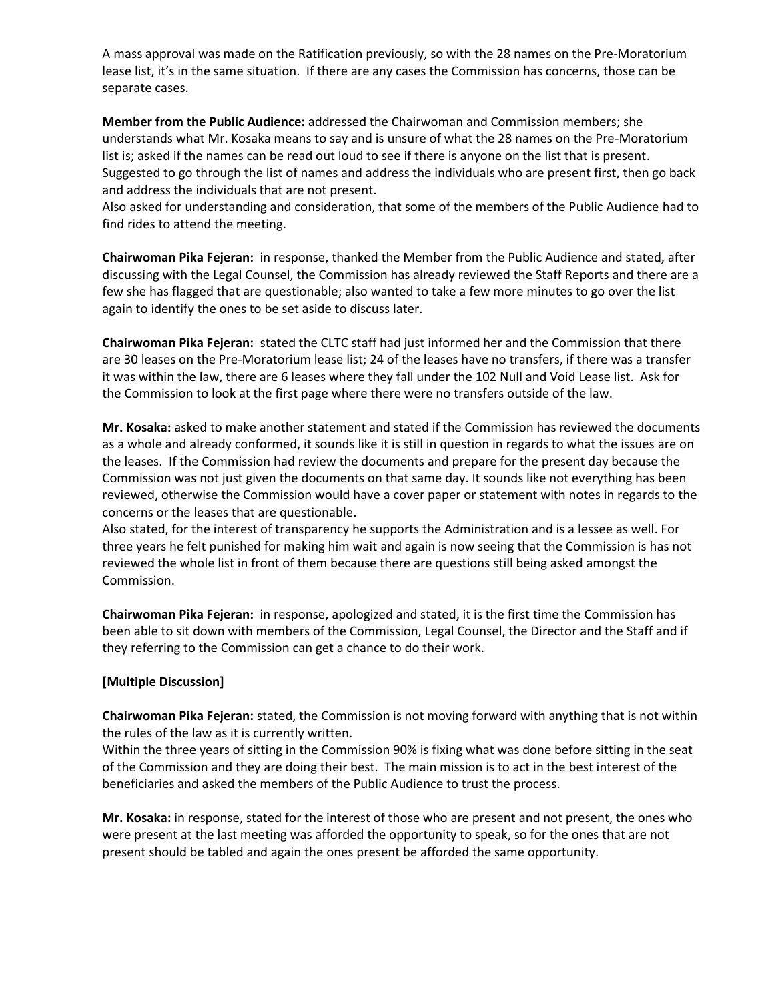A mass approval was made on the Ratification previously, so with the 28 names on the Pre-Moratorium lease list, it's in the same situation. If there are any cases the Commission has concerns, those can be separate cases.

**Member from the Public Audience:** addressed the Chairwoman and Commission members; she understands what Mr. Kosaka means to say and is unsure of what the 28 names on the Pre-Moratorium list is; asked if the names can be read out loud to see if there is anyone on the list that is present. Suggested to go through the list of names and address the individuals who are present first, then go back and address the individuals that are not present.

Also asked for understanding and consideration, that some of the members of the Public Audience had to find rides to attend the meeting.

**Chairwoman Pika Fejeran:** in response, thanked the Member from the Public Audience and stated, after discussing with the Legal Counsel, the Commission has already reviewed the Staff Reports and there are a few she has flagged that are questionable; also wanted to take a few more minutes to go over the list again to identify the ones to be set aside to discuss later.

**Chairwoman Pika Fejeran:** stated the CLTC staff had just informed her and the Commission that there are 30 leases on the Pre-Moratorium lease list; 24 of the leases have no transfers, if there was a transfer it was within the law, there are 6 leases where they fall under the 102 Null and Void Lease list. Ask for the Commission to look at the first page where there were no transfers outside of the law.

**Mr. Kosaka:** asked to make another statement and stated if the Commission has reviewed the documents as a whole and already conformed, it sounds like it is still in question in regards to what the issues are on the leases. If the Commission had review the documents and prepare for the present day because the Commission was not just given the documents on that same day. It sounds like not everything has been reviewed, otherwise the Commission would have a cover paper or statement with notes in regards to the concerns or the leases that are questionable.

Also stated, for the interest of transparency he supports the Administration and is a lessee as well. For three years he felt punished for making him wait and again is now seeing that the Commission is has not reviewed the whole list in front of them because there are questions still being asked amongst the Commission.

**Chairwoman Pika Fejeran:** in response, apologized and stated, it is the first time the Commission has been able to sit down with members of the Commission, Legal Counsel, the Director and the Staff and if they referring to the Commission can get a chance to do their work.

## **[Multiple Discussion]**

**Chairwoman Pika Fejeran:** stated, the Commission is not moving forward with anything that is not within the rules of the law as it is currently written.

Within the three years of sitting in the Commission 90% is fixing what was done before sitting in the seat of the Commission and they are doing their best. The main mission is to act in the best interest of the beneficiaries and asked the members of the Public Audience to trust the process.

**Mr. Kosaka:** in response, stated for the interest of those who are present and not present, the ones who were present at the last meeting was afforded the opportunity to speak, so for the ones that are not present should be tabled and again the ones present be afforded the same opportunity.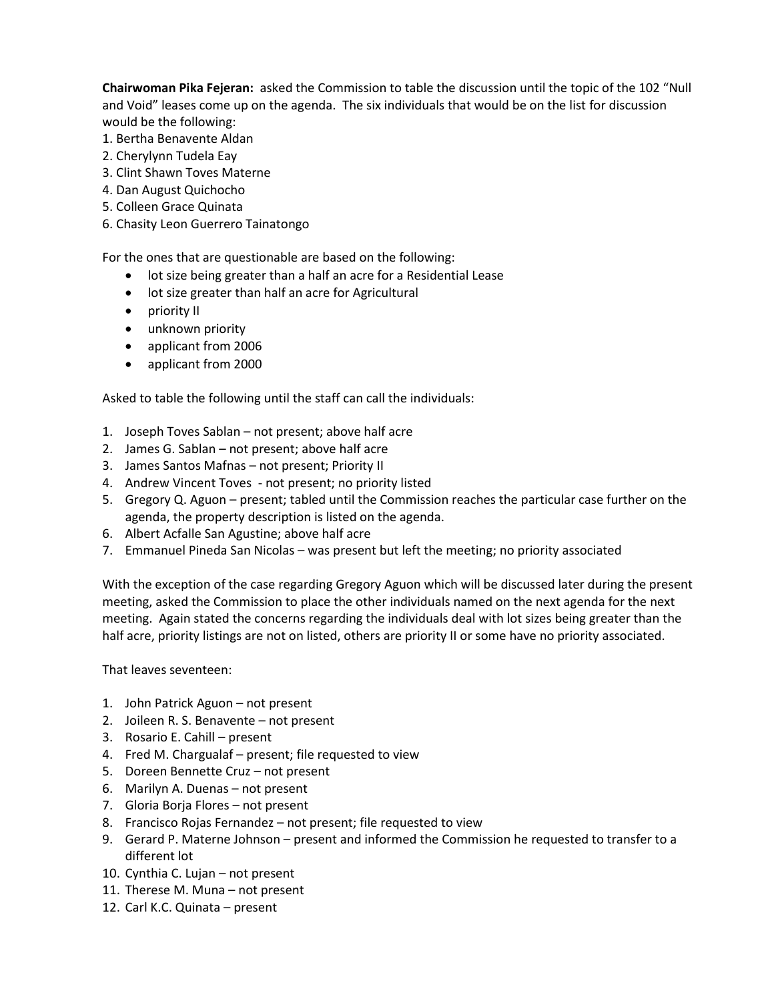**Chairwoman Pika Fejeran:** asked the Commission to table the discussion until the topic of the 102 "Null and Void" leases come up on the agenda. The six individuals that would be on the list for discussion would be the following:

- 1. Bertha Benavente Aldan
- 2. Cherylynn Tudela Eay
- 3. Clint Shawn Toves Materne
- 4. Dan August Quichocho
- 5. Colleen Grace Quinata
- 6. Chasity Leon Guerrero Tainatongo

For the ones that are questionable are based on the following:

- lot size being greater than a half an acre for a Residential Lease
- lot size greater than half an acre for Agricultural
- priority II
- unknown priority
- applicant from 2006
- applicant from 2000

Asked to table the following until the staff can call the individuals:

- 1. Joseph Toves Sablan not present; above half acre
- 2. James G. Sablan not present; above half acre
- 3. James Santos Mafnas not present; Priority II
- 4. Andrew Vincent Toves not present; no priority listed
- 5. Gregory Q. Aguon present; tabled until the Commission reaches the particular case further on the agenda, the property description is listed on the agenda.
- 6. Albert Acfalle San Agustine; above half acre
- 7. Emmanuel Pineda San Nicolas was present but left the meeting; no priority associated

With the exception of the case regarding Gregory Aguon which will be discussed later during the present meeting, asked the Commission to place the other individuals named on the next agenda for the next meeting. Again stated the concerns regarding the individuals deal with lot sizes being greater than the half acre, priority listings are not on listed, others are priority II or some have no priority associated.

That leaves seventeen:

- 1. John Patrick Aguon not present
- 2. Joileen R. S. Benavente not present
- 3. Rosario E. Cahill present
- 4. Fred M. Chargualaf present; file requested to view
- 5. Doreen Bennette Cruz not present
- 6. Marilyn A. Duenas not present
- 7. Gloria Borja Flores not present
- 8. Francisco Rojas Fernandez not present; file requested to view
- 9. Gerard P. Materne Johnson present and informed the Commission he requested to transfer to a different lot
- 10. Cynthia C. Lujan not present
- 11. Therese M. Muna not present
- 12. Carl K.C. Quinata present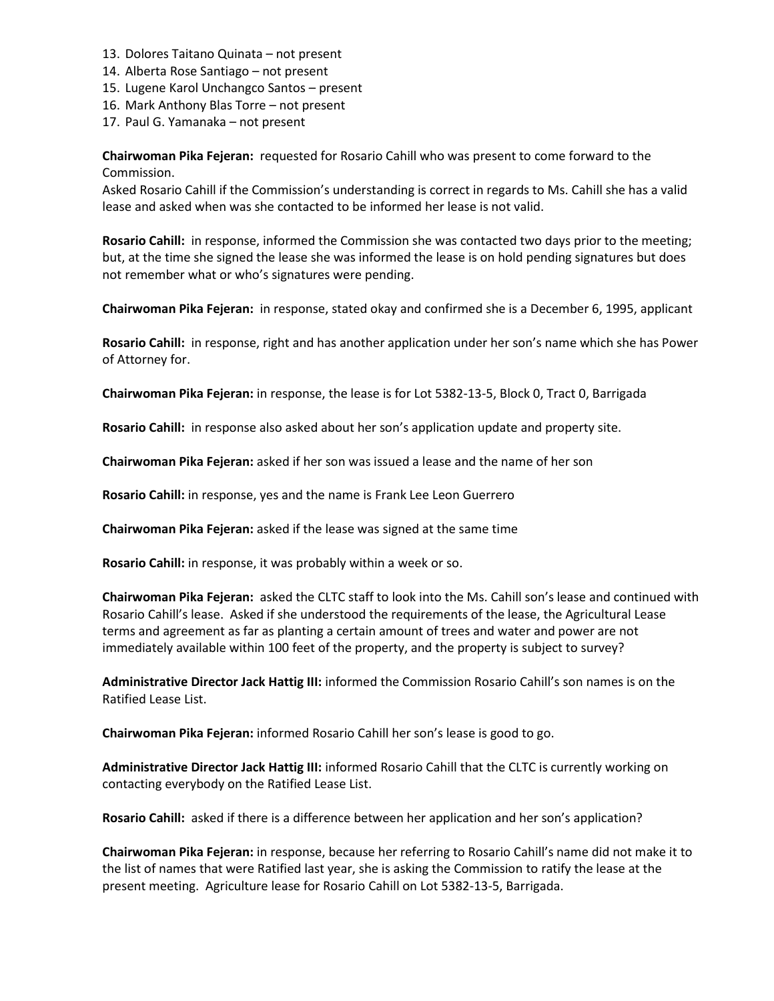- 13. Dolores Taitano Quinata not present
- 14. Alberta Rose Santiago not present
- 15. Lugene Karol Unchangco Santos present
- 16. Mark Anthony Blas Torre not present
- 17. Paul G. Yamanaka not present

**Chairwoman Pika Fejeran:** requested for Rosario Cahill who was present to come forward to the Commission.

Asked Rosario Cahill if the Commission's understanding is correct in regards to Ms. Cahill she has a valid lease and asked when was she contacted to be informed her lease is not valid.

**Rosario Cahill:** in response, informed the Commission she was contacted two days prior to the meeting; but, at the time she signed the lease she was informed the lease is on hold pending signatures but does not remember what or who's signatures were pending.

**Chairwoman Pika Fejeran:** in response, stated okay and confirmed she is a December 6, 1995, applicant

**Rosario Cahill:** in response, right and has another application under her son's name which she has Power of Attorney for.

**Chairwoman Pika Fejeran:** in response, the lease is for Lot 5382-13-5, Block 0, Tract 0, Barrigada

**Rosario Cahill:** in response also asked about her son's application update and property site.

**Chairwoman Pika Fejeran:** asked if her son was issued a lease and the name of her son

**Rosario Cahill:** in response, yes and the name is Frank Lee Leon Guerrero

**Chairwoman Pika Fejeran:** asked if the lease was signed at the same time

**Rosario Cahill:** in response, it was probably within a week or so.

**Chairwoman Pika Fejeran:** asked the CLTC staff to look into the Ms. Cahill son's lease and continued with Rosario Cahill's lease. Asked if she understood the requirements of the lease, the Agricultural Lease terms and agreement as far as planting a certain amount of trees and water and power are not immediately available within 100 feet of the property, and the property is subject to survey?

**Administrative Director Jack Hattig III:** informed the Commission Rosario Cahill's son names is on the Ratified Lease List.

**Chairwoman Pika Fejeran:** informed Rosario Cahill her son's lease is good to go.

**Administrative Director Jack Hattig III:** informed Rosario Cahill that the CLTC is currently working on contacting everybody on the Ratified Lease List.

**Rosario Cahill:** asked if there is a difference between her application and her son's application?

**Chairwoman Pika Fejeran:** in response, because her referring to Rosario Cahill's name did not make it to the list of names that were Ratified last year, she is asking the Commission to ratify the lease at the present meeting. Agriculture lease for Rosario Cahill on Lot 5382-13-5, Barrigada.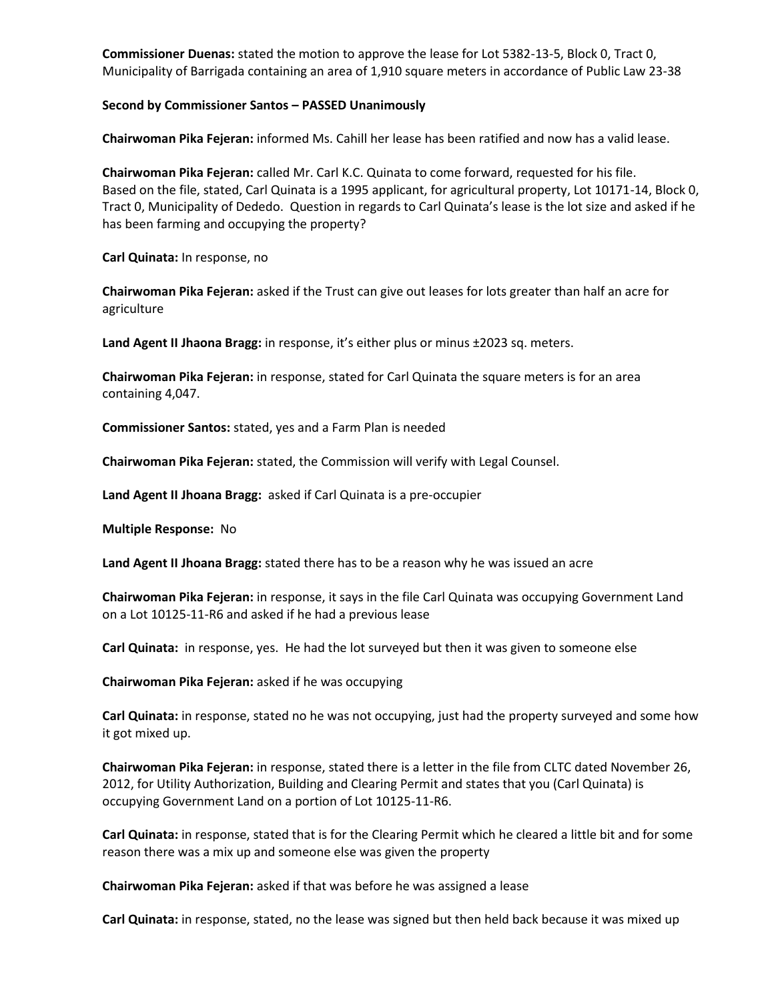**Commissioner Duenas:** stated the motion to approve the lease for Lot 5382-13-5, Block 0, Tract 0, Municipality of Barrigada containing an area of 1,910 square meters in accordance of Public Law 23-38

## **Second by Commissioner Santos – PASSED Unanimously**

**Chairwoman Pika Fejeran:** informed Ms. Cahill her lease has been ratified and now has a valid lease.

**Chairwoman Pika Fejeran:** called Mr. Carl K.C. Quinata to come forward, requested for his file. Based on the file, stated, Carl Quinata is a 1995 applicant, for agricultural property, Lot 10171-14, Block 0, Tract 0, Municipality of Dededo. Question in regards to Carl Quinata's lease is the lot size and asked if he has been farming and occupying the property?

**Carl Quinata:** In response, no

**Chairwoman Pika Fejeran:** asked if the Trust can give out leases for lots greater than half an acre for agriculture

**Land Agent II Jhaona Bragg:** in response, it's either plus or minus ±2023 sq. meters.

**Chairwoman Pika Fejeran:** in response, stated for Carl Quinata the square meters is for an area containing 4,047.

**Commissioner Santos:** stated, yes and a Farm Plan is needed

**Chairwoman Pika Fejeran:** stated, the Commission will verify with Legal Counsel.

**Land Agent II Jhoana Bragg:** asked if Carl Quinata is a pre-occupier

**Multiple Response:** No

**Land Agent II Jhoana Bragg:** stated there has to be a reason why he was issued an acre

**Chairwoman Pika Fejeran:** in response, it says in the file Carl Quinata was occupying Government Land on a Lot 10125-11-R6 and asked if he had a previous lease

**Carl Quinata:** in response, yes. He had the lot surveyed but then it was given to someone else

**Chairwoman Pika Fejeran:** asked if he was occupying

**Carl Quinata:** in response, stated no he was not occupying, just had the property surveyed and some how it got mixed up.

**Chairwoman Pika Fejeran:** in response, stated there is a letter in the file from CLTC dated November 26, 2012, for Utility Authorization, Building and Clearing Permit and states that you (Carl Quinata) is occupying Government Land on a portion of Lot 10125-11-R6.

**Carl Quinata:** in response, stated that is for the Clearing Permit which he cleared a little bit and for some reason there was a mix up and someone else was given the property

**Chairwoman Pika Fejeran:** asked if that was before he was assigned a lease

**Carl Quinata:** in response, stated, no the lease was signed but then held back because it was mixed up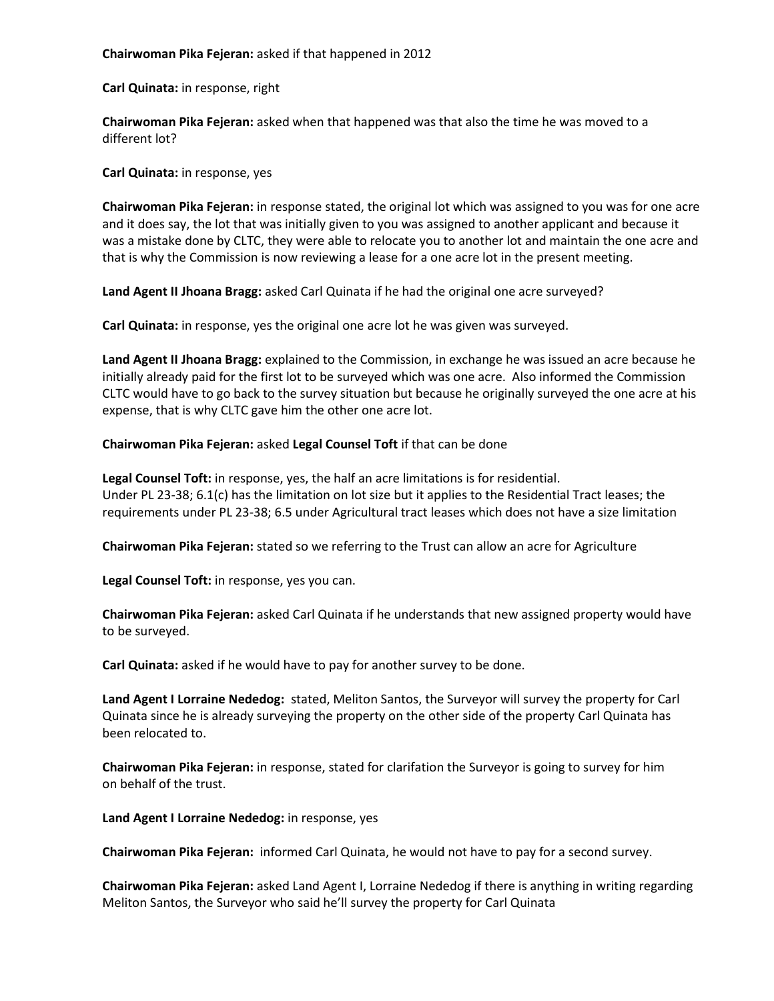## **Chairwoman Pika Fejeran:** asked if that happened in 2012

**Carl Quinata:** in response, right

**Chairwoman Pika Fejeran:** asked when that happened was that also the time he was moved to a different lot?

**Carl Quinata:** in response, yes

**Chairwoman Pika Fejeran:** in response stated, the original lot which was assigned to you was for one acre and it does say, the lot that was initially given to you was assigned to another applicant and because it was a mistake done by CLTC, they were able to relocate you to another lot and maintain the one acre and that is why the Commission is now reviewing a lease for a one acre lot in the present meeting.

**Land Agent II Jhoana Bragg:** asked Carl Quinata if he had the original one acre surveyed?

**Carl Quinata:** in response, yes the original one acre lot he was given was surveyed.

**Land Agent II Jhoana Bragg:** explained to the Commission, in exchange he was issued an acre because he initially already paid for the first lot to be surveyed which was one acre. Also informed the Commission CLTC would have to go back to the survey situation but because he originally surveyed the one acre at his expense, that is why CLTC gave him the other one acre lot.

## **Chairwoman Pika Fejeran:** asked **Legal Counsel Toft** if that can be done

**Legal Counsel Toft:** in response, yes, the half an acre limitations is for residential. Under PL 23-38; 6.1(c) has the limitation on lot size but it applies to the Residential Tract leases; the requirements under PL 23-38; 6.5 under Agricultural tract leases which does not have a size limitation

**Chairwoman Pika Fejeran:** stated so we referring to the Trust can allow an acre for Agriculture

**Legal Counsel Toft:** in response, yes you can.

**Chairwoman Pika Fejeran:** asked Carl Quinata if he understands that new assigned property would have to be surveyed.

**Carl Quinata:** asked if he would have to pay for another survey to be done.

**Land Agent I Lorraine Nededog:** stated, Meliton Santos, the Surveyor will survey the property for Carl Quinata since he is already surveying the property on the other side of the property Carl Quinata has been relocated to.

**Chairwoman Pika Fejeran:** in response, stated for clarifation the Surveyor is going to survey for him on behalf of the trust.

**Land Agent I Lorraine Nededog:** in response, yes

**Chairwoman Pika Fejeran:** informed Carl Quinata, he would not have to pay for a second survey.

**Chairwoman Pika Fejeran:** asked Land Agent I, Lorraine Nededog if there is anything in writing regarding Meliton Santos, the Surveyor who said he'll survey the property for Carl Quinata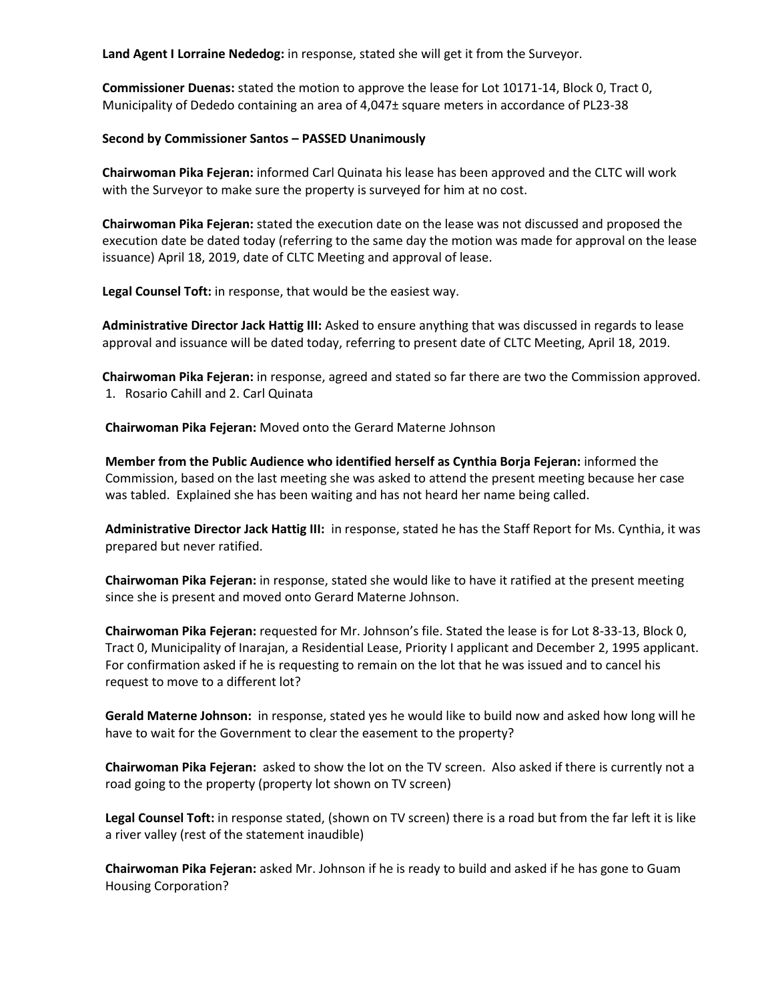**Land Agent I Lorraine Nededog:** in response, stated she will get it from the Surveyor.

**Commissioner Duenas:** stated the motion to approve the lease for Lot 10171-14, Block 0, Tract 0, Municipality of Dededo containing an area of 4,047± square meters in accordance of PL23-38

## **Second by Commissioner Santos – PASSED Unanimously**

**Chairwoman Pika Fejeran:** informed Carl Quinata his lease has been approved and the CLTC will work with the Surveyor to make sure the property is surveyed for him at no cost.

**Chairwoman Pika Fejeran:** stated the execution date on the lease was not discussed and proposed the execution date be dated today (referring to the same day the motion was made for approval on the lease issuance) April 18, 2019, date of CLTC Meeting and approval of lease.

**Legal Counsel Toft:** in response, that would be the easiest way.

**Administrative Director Jack Hattig III:** Asked to ensure anything that was discussed in regards to lease approval and issuance will be dated today, referring to present date of CLTC Meeting, April 18, 2019.

**Chairwoman Pika Fejeran:** in response, agreed and stated so far there are two the Commission approved. 1. Rosario Cahill and 2. Carl Quinata

**Chairwoman Pika Fejeran:** Moved onto the Gerard Materne Johnson

**Member from the Public Audience who identified herself as Cynthia Borja Fejeran:** informed the Commission, based on the last meeting she was asked to attend the present meeting because her case was tabled. Explained she has been waiting and has not heard her name being called.

**Administrative Director Jack Hattig III:** in response, stated he has the Staff Report for Ms. Cynthia, it was prepared but never ratified.

**Chairwoman Pika Fejeran:** in response, stated she would like to have it ratified at the present meeting since she is present and moved onto Gerard Materne Johnson.

**Chairwoman Pika Fejeran:** requested for Mr. Johnson's file. Stated the lease is for Lot 8-33-13, Block 0, Tract 0, Municipality of Inarajan, a Residential Lease, Priority I applicant and December 2, 1995 applicant. For confirmation asked if he is requesting to remain on the lot that he was issued and to cancel his request to move to a different lot?

**Gerald Materne Johnson:** in response, stated yes he would like to build now and asked how long will he have to wait for the Government to clear the easement to the property?

**Chairwoman Pika Fejeran:** asked to show the lot on the TV screen. Also asked if there is currently not a road going to the property (property lot shown on TV screen)

**Legal Counsel Toft:** in response stated, (shown on TV screen) there is a road but from the far left it is like a river valley (rest of the statement inaudible)

**Chairwoman Pika Fejeran:** asked Mr. Johnson if he is ready to build and asked if he has gone to Guam Housing Corporation?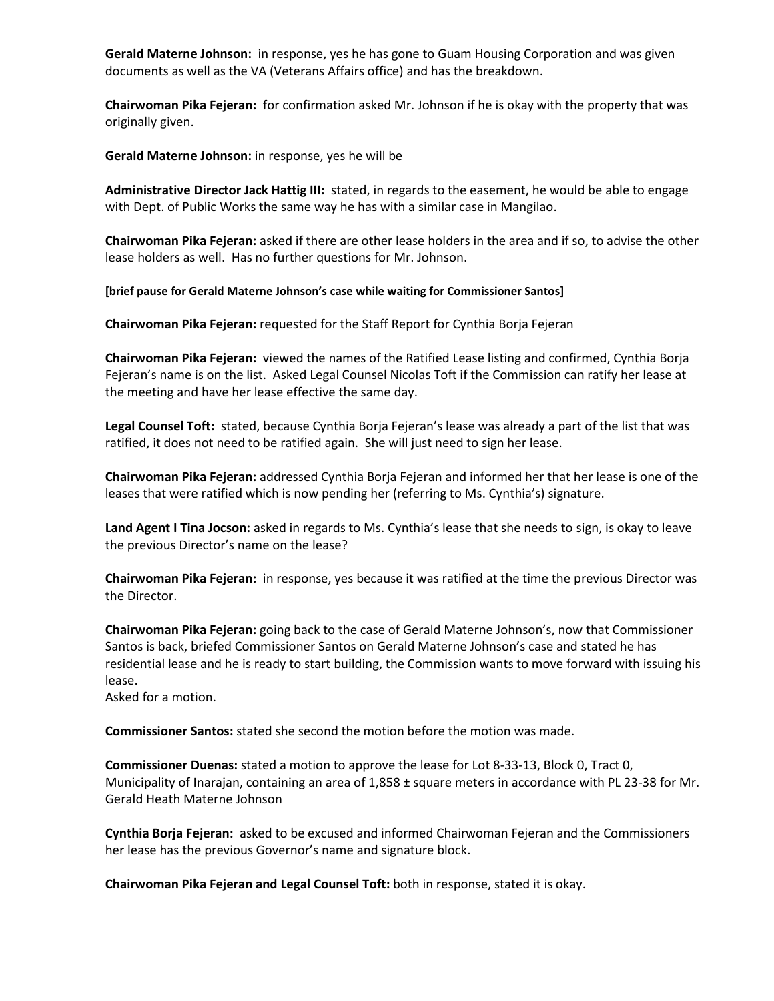**Gerald Materne Johnson:** in response, yes he has gone to Guam Housing Corporation and was given documents as well as the VA (Veterans Affairs office) and has the breakdown.

**Chairwoman Pika Fejeran:** for confirmation asked Mr. Johnson if he is okay with the property that was originally given.

**Gerald Materne Johnson:** in response, yes he will be

**Administrative Director Jack Hattig III:** stated, in regards to the easement, he would be able to engage with Dept. of Public Works the same way he has with a similar case in Mangilao.

**Chairwoman Pika Fejeran:** asked if there are other lease holders in the area and if so, to advise the other lease holders as well. Has no further questions for Mr. Johnson.

**[brief pause for Gerald Materne Johnson's case while waiting for Commissioner Santos]**

**Chairwoman Pika Fejeran:** requested for the Staff Report for Cynthia Borja Fejeran

**Chairwoman Pika Fejeran:** viewed the names of the Ratified Lease listing and confirmed, Cynthia Borja Fejeran's name is on the list. Asked Legal Counsel Nicolas Toft if the Commission can ratify her lease at the meeting and have her lease effective the same day.

**Legal Counsel Toft:** stated, because Cynthia Borja Fejeran's lease was already a part of the list that was ratified, it does not need to be ratified again. She will just need to sign her lease.

**Chairwoman Pika Fejeran:** addressed Cynthia Borja Fejeran and informed her that her lease is one of the leases that were ratified which is now pending her (referring to Ms. Cynthia's) signature.

**Land Agent I Tina Jocson:** asked in regards to Ms. Cynthia's lease that she needs to sign, is okay to leave the previous Director's name on the lease?

**Chairwoman Pika Fejeran:** in response, yes because it was ratified at the time the previous Director was the Director.

**Chairwoman Pika Fejeran:** going back to the case of Gerald Materne Johnson's, now that Commissioner Santos is back, briefed Commissioner Santos on Gerald Materne Johnson's case and stated he has residential lease and he is ready to start building, the Commission wants to move forward with issuing his lease.

Asked for a motion.

**Commissioner Santos:** stated she second the motion before the motion was made.

**Commissioner Duenas:** stated a motion to approve the lease for Lot 8-33-13, Block 0, Tract 0, Municipality of Inarajan, containing an area of 1,858 ± square meters in accordance with PL 23-38 for Mr. Gerald Heath Materne Johnson

**Cynthia Borja Fejeran:** asked to be excused and informed Chairwoman Fejeran and the Commissioners her lease has the previous Governor's name and signature block.

**Chairwoman Pika Fejeran and Legal Counsel Toft:** both in response, stated it is okay.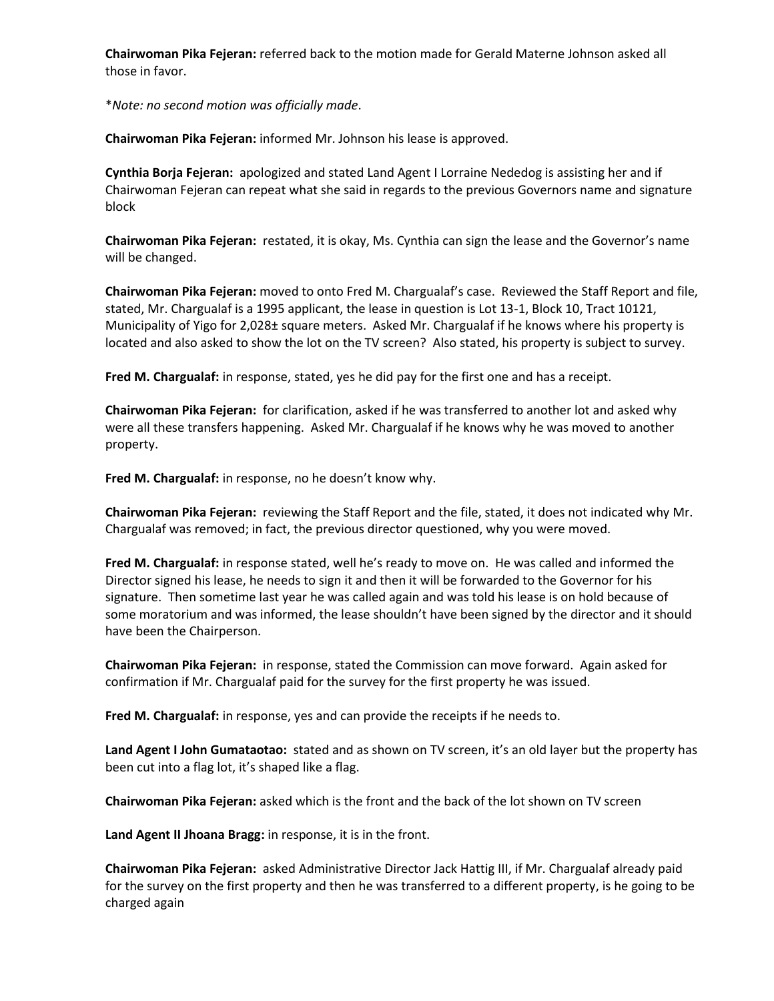**Chairwoman Pika Fejeran:** referred back to the motion made for Gerald Materne Johnson asked all those in favor.

\**Note: no second motion was officially made*.

**Chairwoman Pika Fejeran:** informed Mr. Johnson his lease is approved.

**Cynthia Borja Fejeran:** apologized and stated Land Agent I Lorraine Nededog is assisting her and if Chairwoman Fejeran can repeat what she said in regards to the previous Governors name and signature block

**Chairwoman Pika Fejeran:** restated, it is okay, Ms. Cynthia can sign the lease and the Governor's name will be changed.

**Chairwoman Pika Fejeran:** moved to onto Fred M. Chargualaf's case. Reviewed the Staff Report and file, stated, Mr. Chargualaf is a 1995 applicant, the lease in question is Lot 13-1, Block 10, Tract 10121, Municipality of Yigo for 2,028± square meters. Asked Mr. Chargualaf if he knows where his property is located and also asked to show the lot on the TV screen? Also stated, his property is subject to survey.

**Fred M. Chargualaf:** in response, stated, yes he did pay for the first one and has a receipt.

**Chairwoman Pika Fejeran:** for clarification, asked if he was transferred to another lot and asked why were all these transfers happening. Asked Mr. Chargualaf if he knows why he was moved to another property.

**Fred M. Chargualaf:** in response, no he doesn't know why.

**Chairwoman Pika Fejeran:** reviewing the Staff Report and the file, stated, it does not indicated why Mr. Chargualaf was removed; in fact, the previous director questioned, why you were moved.

**Fred M. Chargualaf:** in response stated, well he's ready to move on. He was called and informed the Director signed his lease, he needs to sign it and then it will be forwarded to the Governor for his signature. Then sometime last year he was called again and was told his lease is on hold because of some moratorium and was informed, the lease shouldn't have been signed by the director and it should have been the Chairperson.

**Chairwoman Pika Fejeran:** in response, stated the Commission can move forward. Again asked for confirmation if Mr. Chargualaf paid for the survey for the first property he was issued.

**Fred M. Chargualaf:** in response, yes and can provide the receipts if he needs to.

**Land Agent I John Gumataotao:** stated and as shown on TV screen, it's an old layer but the property has been cut into a flag lot, it's shaped like a flag.

**Chairwoman Pika Fejeran:** asked which is the front and the back of the lot shown on TV screen

**Land Agent II Jhoana Bragg:** in response, it is in the front.

**Chairwoman Pika Fejeran:** asked Administrative Director Jack Hattig III, if Mr. Chargualaf already paid for the survey on the first property and then he was transferred to a different property, is he going to be charged again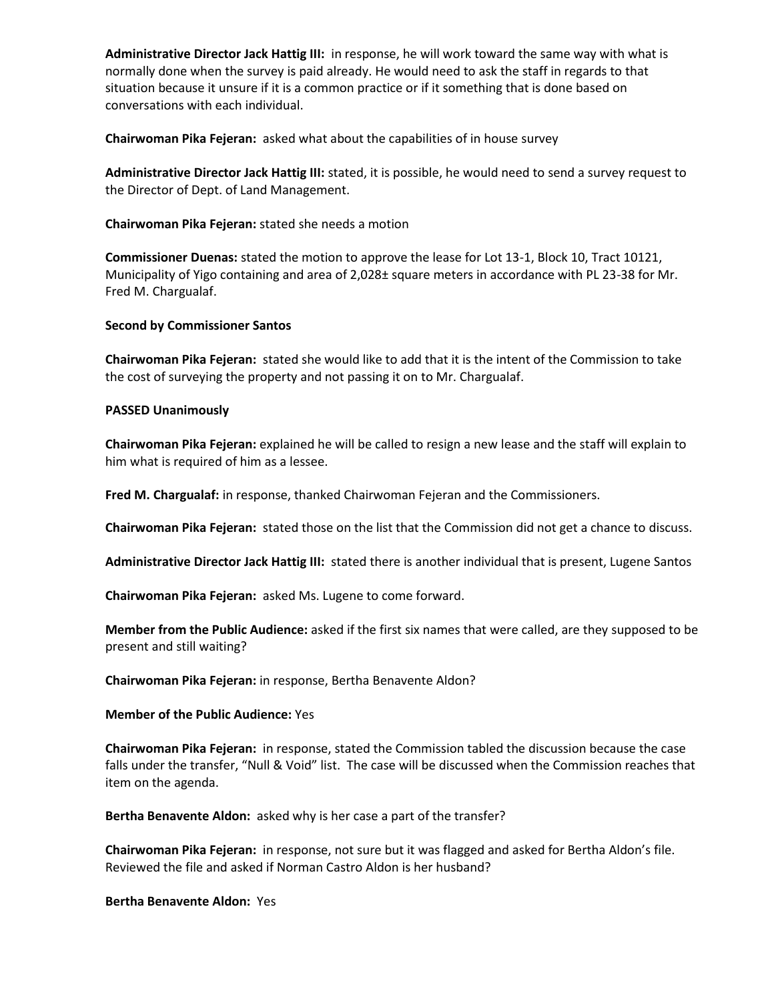**Administrative Director Jack Hattig III:** in response, he will work toward the same way with what is normally done when the survey is paid already. He would need to ask the staff in regards to that situation because it unsure if it is a common practice or if it something that is done based on conversations with each individual.

**Chairwoman Pika Fejeran:** asked what about the capabilities of in house survey

**Administrative Director Jack Hattig III:** stated, it is possible, he would need to send a survey request to the Director of Dept. of Land Management.

**Chairwoman Pika Fejeran:** stated she needs a motion

**Commissioner Duenas:** stated the motion to approve the lease for Lot 13-1, Block 10, Tract 10121, Municipality of Yigo containing and area of 2,028± square meters in accordance with PL 23-38 for Mr. Fred M. Chargualaf.

**Second by Commissioner Santos** 

**Chairwoman Pika Fejeran:** stated she would like to add that it is the intent of the Commission to take the cost of surveying the property and not passing it on to Mr. Chargualaf.

#### **PASSED Unanimously**

**Chairwoman Pika Fejeran:** explained he will be called to resign a new lease and the staff will explain to him what is required of him as a lessee.

**Fred M. Chargualaf:** in response, thanked Chairwoman Fejeran and the Commissioners.

**Chairwoman Pika Fejeran:** stated those on the list that the Commission did not get a chance to discuss.

**Administrative Director Jack Hattig III:** stated there is another individual that is present, Lugene Santos

**Chairwoman Pika Fejeran:** asked Ms. Lugene to come forward.

**Member from the Public Audience:** asked if the first six names that were called, are they supposed to be present and still waiting?

**Chairwoman Pika Fejeran:** in response, Bertha Benavente Aldon?

**Member of the Public Audience:** Yes

**Chairwoman Pika Fejeran:** in response, stated the Commission tabled the discussion because the case falls under the transfer, "Null & Void" list. The case will be discussed when the Commission reaches that item on the agenda.

**Bertha Benavente Aldon:** asked why is her case a part of the transfer?

**Chairwoman Pika Fejeran:** in response, not sure but it was flagged and asked for Bertha Aldon's file. Reviewed the file and asked if Norman Castro Aldon is her husband?

**Bertha Benavente Aldon:** Yes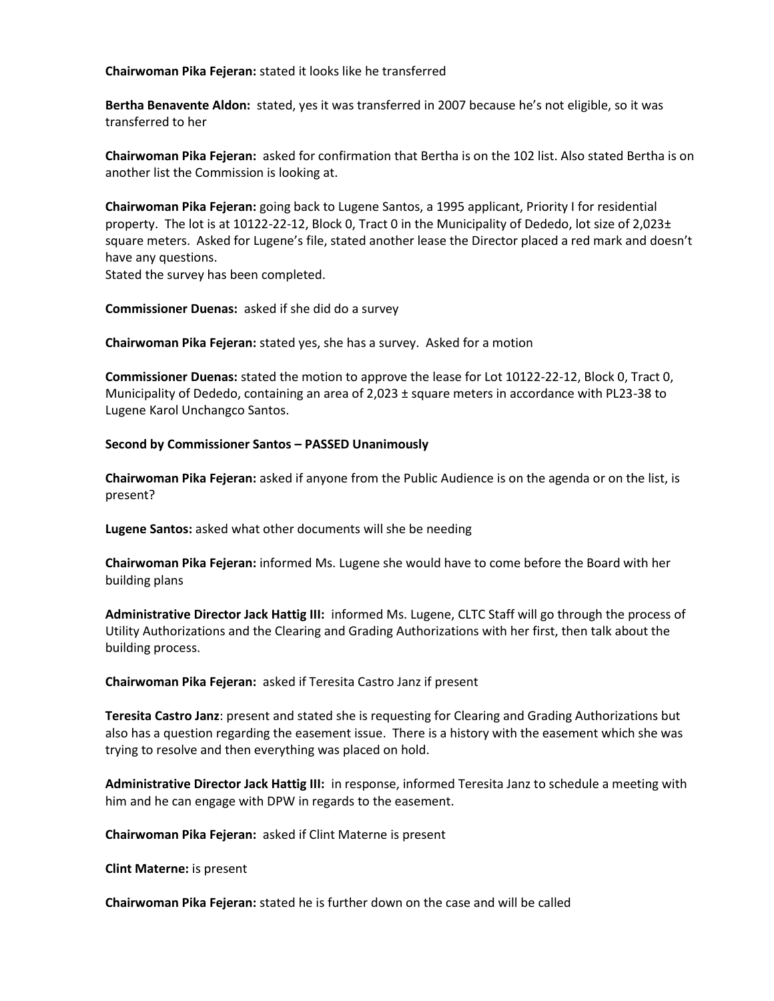### **Chairwoman Pika Fejeran:** stated it looks like he transferred

**Bertha Benavente Aldon:** stated, yes it was transferred in 2007 because he's not eligible, so it was transferred to her

**Chairwoman Pika Fejeran:** asked for confirmation that Bertha is on the 102 list. Also stated Bertha is on another list the Commission is looking at.

**Chairwoman Pika Fejeran:** going back to Lugene Santos, a 1995 applicant, Priority I for residential property. The lot is at 10122-22-12, Block 0, Tract 0 in the Municipality of Dededo, lot size of  $2,023\pm$ square meters. Asked for Lugene's file, stated another lease the Director placed a red mark and doesn't have any questions.

Stated the survey has been completed.

**Commissioner Duenas:** asked if she did do a survey

**Chairwoman Pika Fejeran:** stated yes, she has a survey. Asked for a motion

**Commissioner Duenas:** stated the motion to approve the lease for Lot 10122-22-12, Block 0, Tract 0, Municipality of Dededo, containing an area of 2,023 ± square meters in accordance with PL23-38 to Lugene Karol Unchangco Santos.

## **Second by Commissioner Santos – PASSED Unanimously**

**Chairwoman Pika Fejeran:** asked if anyone from the Public Audience is on the agenda or on the list, is present?

**Lugene Santos:** asked what other documents will she be needing

**Chairwoman Pika Fejeran:** informed Ms. Lugene she would have to come before the Board with her building plans

**Administrative Director Jack Hattig III:** informed Ms. Lugene, CLTC Staff will go through the process of Utility Authorizations and the Clearing and Grading Authorizations with her first, then talk about the building process.

**Chairwoman Pika Fejeran:** asked if Teresita Castro Janz if present

**Teresita Castro Janz**: present and stated she is requesting for Clearing and Grading Authorizations but also has a question regarding the easement issue. There is a history with the easement which she was trying to resolve and then everything was placed on hold.

**Administrative Director Jack Hattig III:** in response, informed Teresita Janz to schedule a meeting with him and he can engage with DPW in regards to the easement.

**Chairwoman Pika Fejeran:** asked if Clint Materne is present

**Clint Materne:** is present

**Chairwoman Pika Fejeran:** stated he is further down on the case and will be called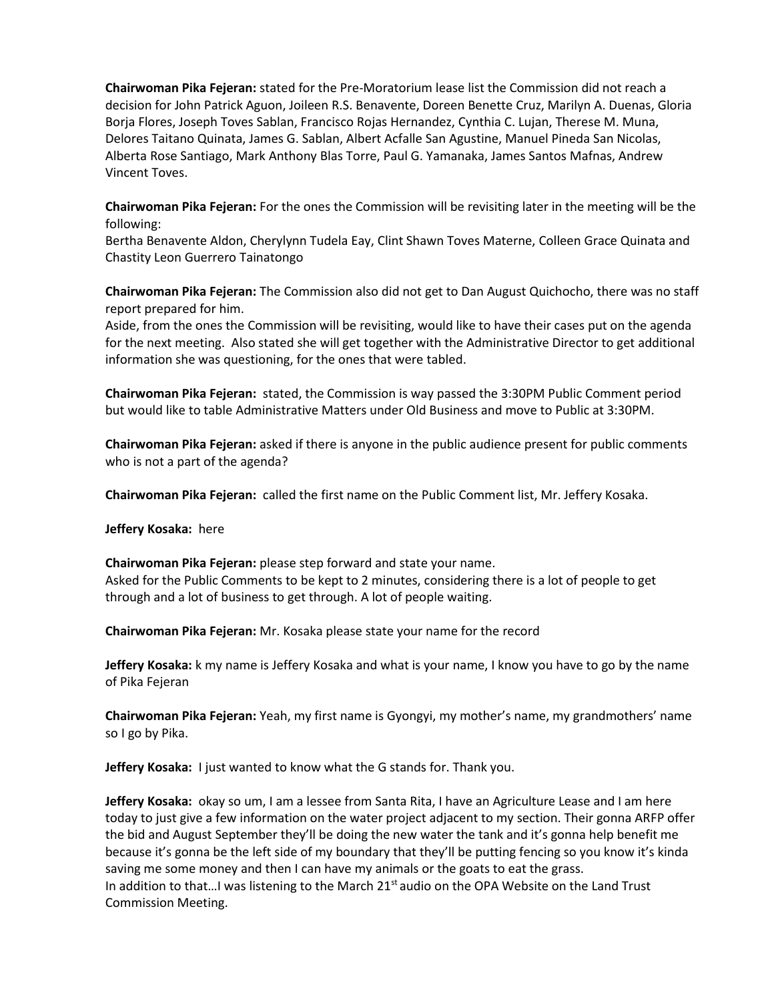**Chairwoman Pika Fejeran:** stated for the Pre-Moratorium lease list the Commission did not reach a decision for John Patrick Aguon, Joileen R.S. Benavente, Doreen Benette Cruz, Marilyn A. Duenas, Gloria Borja Flores, Joseph Toves Sablan, Francisco Rojas Hernandez, Cynthia C. Lujan, Therese M. Muna, Delores Taitano Quinata, James G. Sablan, Albert Acfalle San Agustine, Manuel Pineda San Nicolas, Alberta Rose Santiago, Mark Anthony Blas Torre, Paul G. Yamanaka, James Santos Mafnas, Andrew Vincent Toves.

**Chairwoman Pika Fejeran:** For the ones the Commission will be revisiting later in the meeting will be the following:

Bertha Benavente Aldon, Cherylynn Tudela Eay, Clint Shawn Toves Materne, Colleen Grace Quinata and Chastity Leon Guerrero Tainatongo

**Chairwoman Pika Fejeran:** The Commission also did not get to Dan August Quichocho, there was no staff report prepared for him.

Aside, from the ones the Commission will be revisiting, would like to have their cases put on the agenda for the next meeting. Also stated she will get together with the Administrative Director to get additional information she was questioning, for the ones that were tabled.

**Chairwoman Pika Fejeran:** stated, the Commission is way passed the 3:30PM Public Comment period but would like to table Administrative Matters under Old Business and move to Public at 3:30PM.

**Chairwoman Pika Fejeran:** asked if there is anyone in the public audience present for public comments who is not a part of the agenda?

**Chairwoman Pika Fejeran:** called the first name on the Public Comment list, Mr. Jeffery Kosaka.

**Jeffery Kosaka:** here

**Chairwoman Pika Fejeran:** please step forward and state your name. Asked for the Public Comments to be kept to 2 minutes, considering there is a lot of people to get through and a lot of business to get through. A lot of people waiting.

**Chairwoman Pika Fejeran:** Mr. Kosaka please state your name for the record

**Jeffery Kosaka:** k my name is Jeffery Kosaka and what is your name, I know you have to go by the name of Pika Fejeran

**Chairwoman Pika Fejeran:** Yeah, my first name is Gyongyi, my mother's name, my grandmothers' name so I go by Pika.

**Jeffery Kosaka:** I just wanted to know what the G stands for. Thank you.

**Jeffery Kosaka:** okay so um, I am a lessee from Santa Rita, I have an Agriculture Lease and I am here today to just give a few information on the water project adjacent to my section. Their gonna ARFP offer the bid and August September they'll be doing the new water the tank and it's gonna help benefit me because it's gonna be the left side of my boundary that they'll be putting fencing so you know it's kinda saving me some money and then I can have my animals or the goats to eat the grass. In addition to that...I was listening to the March 21<sup>st</sup> audio on the OPA Website on the Land Trust Commission Meeting.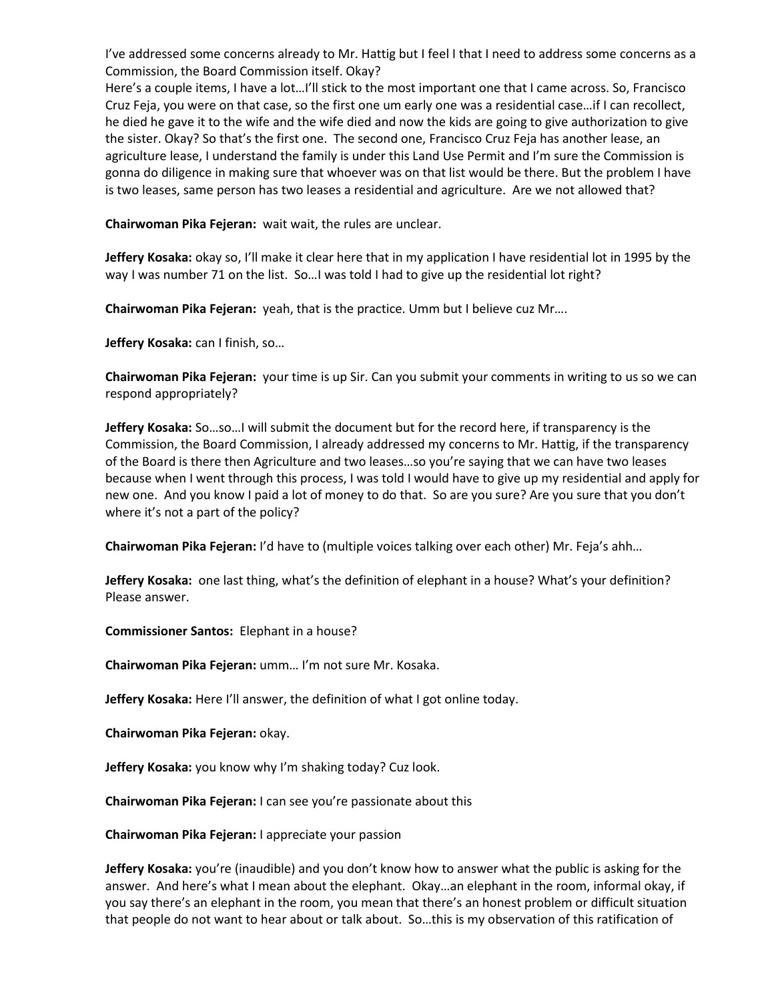I've addressed some concerns already to Mr. Hattig but I feel I that I need to address some concerns as a Commission, the Board Commission itself. Okay?

Here's a couple items, I have a lot...I'll stick to the most important one that I came across. So, Francisco Cruz Feja, you were on that case, so the first one um early one was a residential case…if I can recollect, he died he gave it to the wife and the wife died and now the kids are going to give authorization to give the sister. Okay? So that's the first one. The second one, Francisco Cruz Feja has another lease, an agriculture lease, I understand the family is under this Land Use Permit and I'm sure the Commission is gonna do diligence in making sure that whoever was on that list would be there. But the problem I have is two leases, same person has two leases a residential and agriculture. Are we not allowed that?

**Chairwoman Pika Fejeran:** wait wait, the rules are unclear.

**Jeffery Kosaka:** okay so, I'll make it clear here that in my application I have residential lot in 1995 by the way I was number 71 on the list. So…I was told I had to give up the residential lot right?

**Chairwoman Pika Fejeran:** yeah, that is the practice. Umm but I believe cuz Mr….

**Jeffery Kosaka:** can I finish, so…

**Chairwoman Pika Fejeran:** your time is up Sir. Can you submit your comments in writing to us so we can respond appropriately?

**Jeffery Kosaka:** So…so…I will submit the document but for the record here, if transparency is the Commission, the Board Commission, I already addressed my concerns to Mr. Hattig, if the transparency of the Board is there then Agriculture and two leases…so you're saying that we can have two leases because when I went through this process, I was told I would have to give up my residential and apply for new one. And you know I paid a lot of money to do that. So are you sure? Are you sure that you don't where it's not a part of the policy?

**Chairwoman Pika Fejeran:** I'd have to (multiple voices talking over each other) Mr. Feja's ahh…

**Jeffery Kosaka:** one last thing, what's the definition of elephant in a house? What's your definition? Please answer.

**Commissioner Santos:** Elephant in a house?

**Chairwoman Pika Fejeran:** umm… I'm not sure Mr. Kosaka.

**Jeffery Kosaka:** Here I'll answer, the definition of what I got online today.

**Chairwoman Pika Fejeran:** okay.

**Jeffery Kosaka:** you know why I'm shaking today? Cuz look.

**Chairwoman Pika Fejeran:** I can see you're passionate about this

**Chairwoman Pika Fejeran:** I appreciate your passion

**Jeffery Kosaka:** you're (inaudible) and you don't know how to answer what the public is asking for the answer. And here's what I mean about the elephant. Okay…an elephant in the room, informal okay, if you say there's an elephant in the room, you mean that there's an honest problem or difficult situation that people do not want to hear about or talk about. So…this is my observation of this ratification of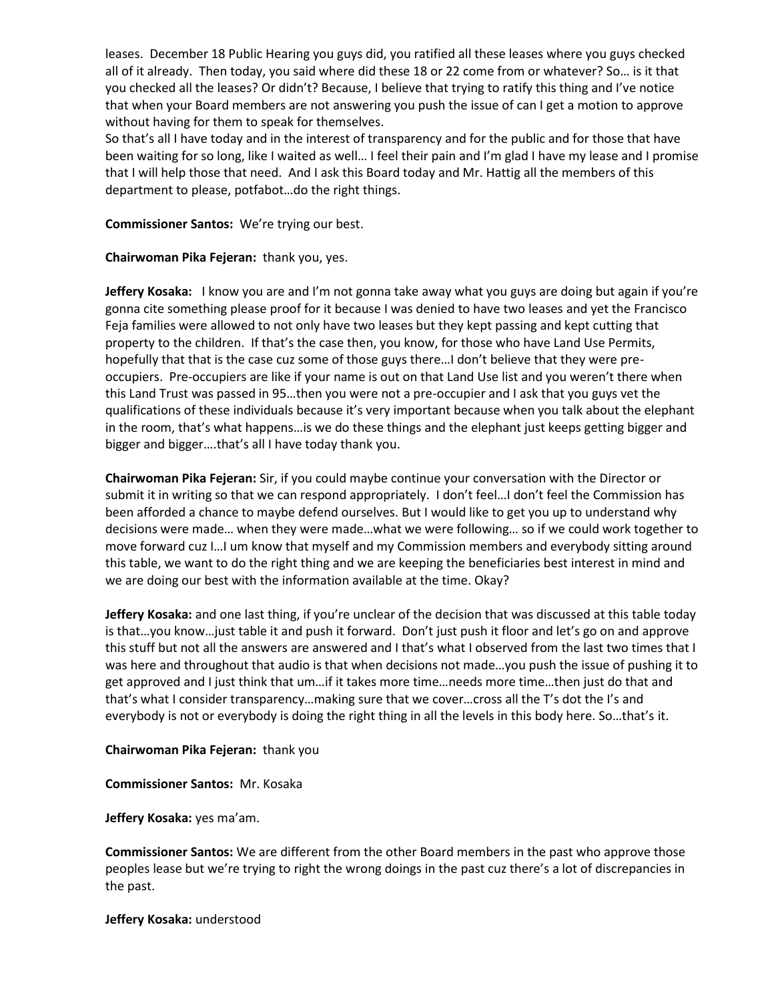leases. December 18 Public Hearing you guys did, you ratified all these leases where you guys checked all of it already. Then today, you said where did these 18 or 22 come from or whatever? So… is it that you checked all the leases? Or didn't? Because, I believe that trying to ratify this thing and I've notice that when your Board members are not answering you push the issue of can I get a motion to approve without having for them to speak for themselves.

So that's all I have today and in the interest of transparency and for the public and for those that have been waiting for so long, like I waited as well… I feel their pain and I'm glad I have my lease and I promise that I will help those that need. And I ask this Board today and Mr. Hattig all the members of this department to please, potfabot…do the right things.

**Commissioner Santos:** We're trying our best.

## **Chairwoman Pika Fejeran:** thank you, yes.

**Jeffery Kosaka:** I know you are and I'm not gonna take away what you guys are doing but again if you're gonna cite something please proof for it because I was denied to have two leases and yet the Francisco Feja families were allowed to not only have two leases but they kept passing and kept cutting that property to the children. If that's the case then, you know, for those who have Land Use Permits, hopefully that that is the case cuz some of those guys there…I don't believe that they were preoccupiers. Pre-occupiers are like if your name is out on that Land Use list and you weren't there when this Land Trust was passed in 95…then you were not a pre-occupier and I ask that you guys vet the qualifications of these individuals because it's very important because when you talk about the elephant in the room, that's what happens…is we do these things and the elephant just keeps getting bigger and bigger and bigger….that's all I have today thank you.

**Chairwoman Pika Fejeran:** Sir, if you could maybe continue your conversation with the Director or submit it in writing so that we can respond appropriately. I don't feel...I don't feel the Commission has been afforded a chance to maybe defend ourselves. But I would like to get you up to understand why decisions were made… when they were made…what we were following… so if we could work together to move forward cuz I…I um know that myself and my Commission members and everybody sitting around this table, we want to do the right thing and we are keeping the beneficiaries best interest in mind and we are doing our best with the information available at the time. Okay?

**Jeffery Kosaka:** and one last thing, if you're unclear of the decision that was discussed at this table today is that…you know…just table it and push it forward. Don't just push it floor and let's go on and approve this stuff but not all the answers are answered and I that's what I observed from the last two times that I was here and throughout that audio is that when decisions not made…you push the issue of pushing it to get approved and I just think that um…if it takes more time…needs more time…then just do that and that's what I consider transparency…making sure that we cover…cross all the T's dot the I's and everybody is not or everybody is doing the right thing in all the levels in this body here. So…that's it.

#### **Chairwoman Pika Fejeran:** thank you

#### **Commissioner Santos:** Mr. Kosaka

#### **Jeffery Kosaka:** yes ma'am.

**Commissioner Santos:** We are different from the other Board members in the past who approve those peoples lease but we're trying to right the wrong doings in the past cuz there's a lot of discrepancies in the past.

#### **Jeffery Kosaka:** understood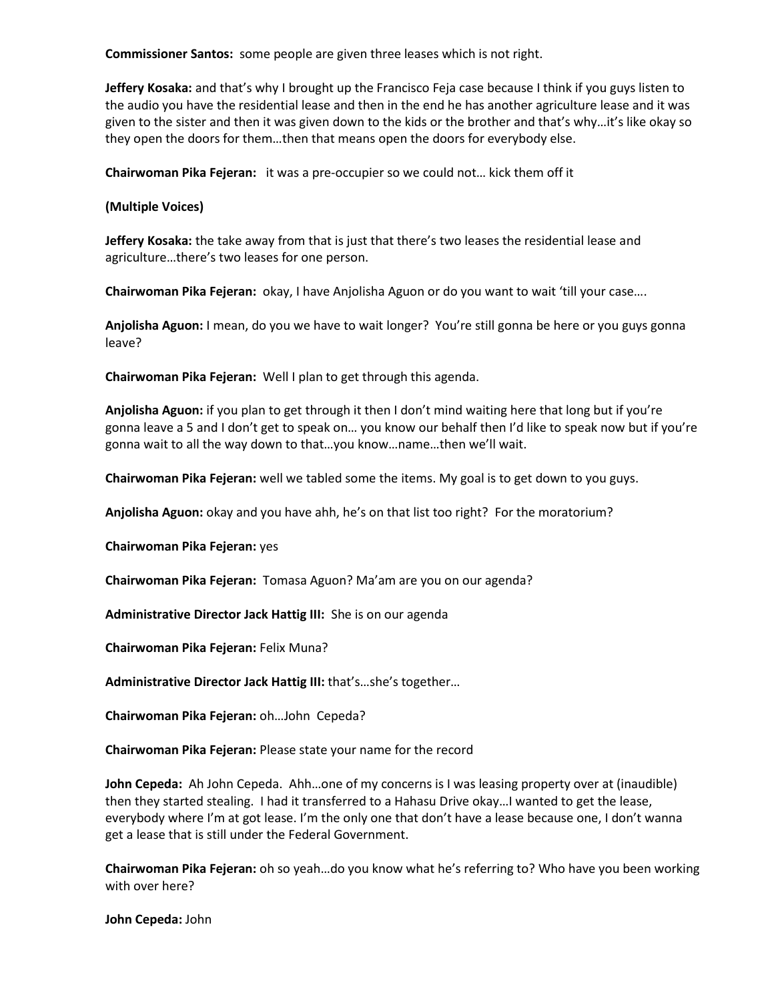**Commissioner Santos:** some people are given three leases which is not right.

**Jeffery Kosaka:** and that's why I brought up the Francisco Feja case because I think if you guys listen to the audio you have the residential lease and then in the end he has another agriculture lease and it was given to the sister and then it was given down to the kids or the brother and that's why…it's like okay so they open the doors for them…then that means open the doors for everybody else.

**Chairwoman Pika Fejeran:** it was a pre-occupier so we could not… kick them off it

## **(Multiple Voices)**

**Jeffery Kosaka:** the take away from that is just that there's two leases the residential lease and agriculture…there's two leases for one person.

**Chairwoman Pika Fejeran:** okay, I have Anjolisha Aguon or do you want to wait 'till your case….

**Anjolisha Aguon:** I mean, do you we have to wait longer? You're still gonna be here or you guys gonna leave?

**Chairwoman Pika Fejeran:** Well I plan to get through this agenda.

**Anjolisha Aguon:** if you plan to get through it then I don't mind waiting here that long but if you're gonna leave a 5 and I don't get to speak on… you know our behalf then I'd like to speak now but if you're gonna wait to all the way down to that…you know…name…then we'll wait.

**Chairwoman Pika Fejeran:** well we tabled some the items. My goal is to get down to you guys.

**Anjolisha Aguon:** okay and you have ahh, he's on that list too right? For the moratorium?

**Chairwoman Pika Fejeran:** yes

**Chairwoman Pika Fejeran:** Tomasa Aguon? Ma'am are you on our agenda?

**Administrative Director Jack Hattig III:** She is on our agenda

**Chairwoman Pika Fejeran:** Felix Muna?

**Administrative Director Jack Hattig III:** that's…she's together…

**Chairwoman Pika Fejeran:** oh…John Cepeda?

**Chairwoman Pika Fejeran:** Please state your name for the record

**John Cepeda:** Ah John Cepeda. Ahh…one of my concerns is I was leasing property over at (inaudible) then they started stealing. I had it transferred to a Hahasu Drive okay…I wanted to get the lease, everybody where I'm at got lease. I'm the only one that don't have a lease because one, I don't wanna get a lease that is still under the Federal Government.

**Chairwoman Pika Fejeran:** oh so yeah…do you know what he's referring to? Who have you been working with over here?

**John Cepeda:** John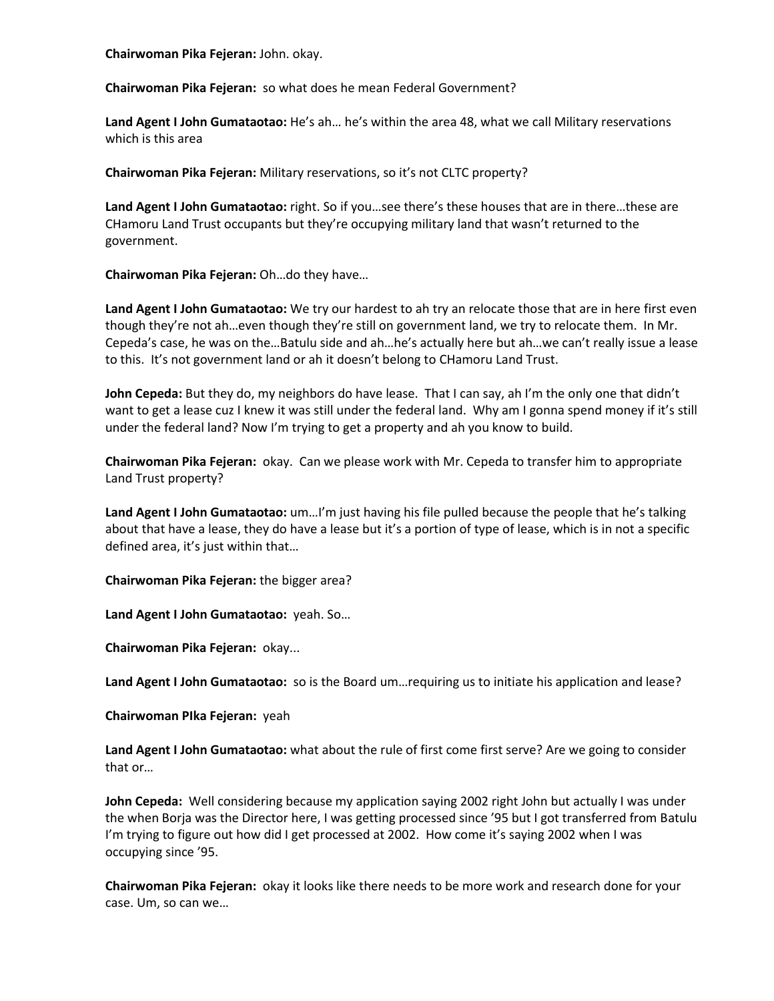**Chairwoman Pika Fejeran:** John. okay.

**Chairwoman Pika Fejeran:** so what does he mean Federal Government?

**Land Agent I John Gumataotao:** He's ah… he's within the area 48, what we call Military reservations which is this area

**Chairwoman Pika Fejeran:** Military reservations, so it's not CLTC property?

**Land Agent I John Gumataotao:** right. So if you…see there's these houses that are in there…these are CHamoru Land Trust occupants but they're occupying military land that wasn't returned to the government.

**Chairwoman Pika Fejeran:** Oh…do they have…

**Land Agent I John Gumataotao:** We try our hardest to ah try an relocate those that are in here first even though they're not ah…even though they're still on government land, we try to relocate them. In Mr. Cepeda's case, he was on the…Batulu side and ah…he's actually here but ah…we can't really issue a lease to this. It's not government land or ah it doesn't belong to CHamoru Land Trust.

**John Cepeda:** But they do, my neighbors do have lease. That I can say, ah I'm the only one that didn't want to get a lease cuz I knew it was still under the federal land. Why am I gonna spend money if it's still under the federal land? Now I'm trying to get a property and ah you know to build.

**Chairwoman Pika Fejeran:** okay. Can we please work with Mr. Cepeda to transfer him to appropriate Land Trust property?

**Land Agent I John Gumataotao:** um…I'm just having his file pulled because the people that he's talking about that have a lease, they do have a lease but it's a portion of type of lease, which is in not a specific defined area, it's just within that…

**Chairwoman Pika Fejeran:** the bigger area?

**Land Agent I John Gumataotao:** yeah. So…

**Chairwoman Pika Fejeran:** okay...

**Land Agent I John Gumataotao:** so is the Board um…requiring us to initiate his application and lease?

**Chairwoman PIka Fejeran:** yeah

**Land Agent I John Gumataotao:** what about the rule of first come first serve? Are we going to consider that or…

**John Cepeda:** Well considering because my application saying 2002 right John but actually I was under the when Borja was the Director here, I was getting processed since '95 but I got transferred from Batulu I'm trying to figure out how did I get processed at 2002. How come it's saying 2002 when I was occupying since '95.

**Chairwoman Pika Fejeran:** okay it looks like there needs to be more work and research done for your case. Um, so can we…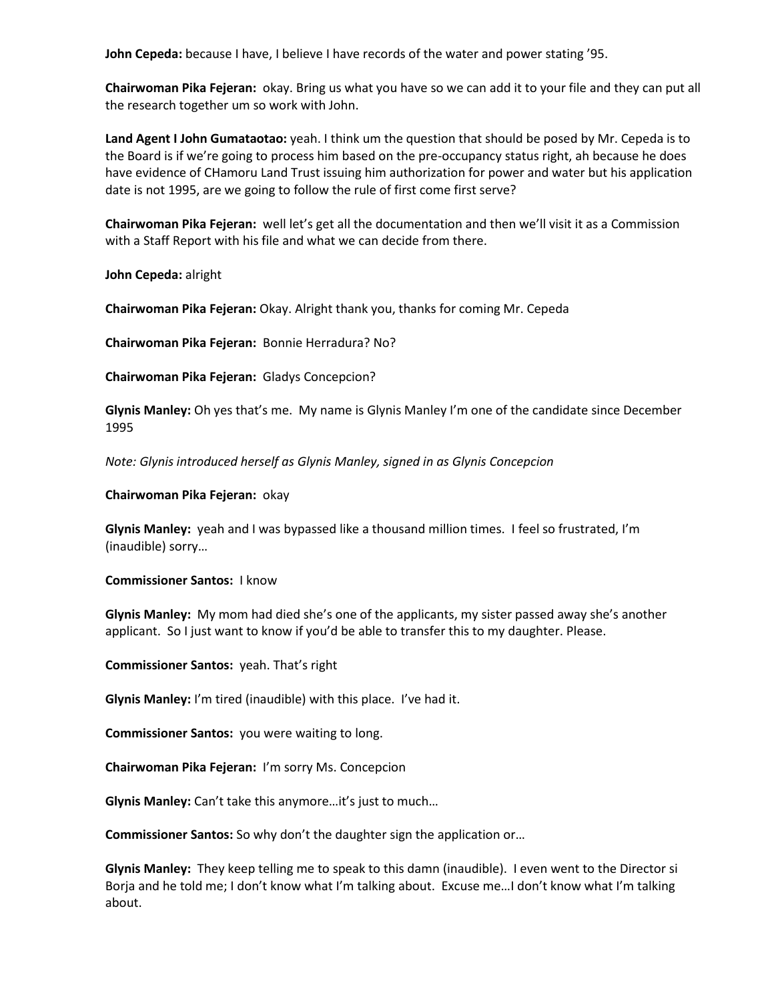**John Cepeda:** because I have, I believe I have records of the water and power stating '95.

**Chairwoman Pika Fejeran:** okay. Bring us what you have so we can add it to your file and they can put all the research together um so work with John.

**Land Agent I John Gumataotao:** yeah. I think um the question that should be posed by Mr. Cepeda is to the Board is if we're going to process him based on the pre-occupancy status right, ah because he does have evidence of CHamoru Land Trust issuing him authorization for power and water but his application date is not 1995, are we going to follow the rule of first come first serve?

**Chairwoman Pika Fejeran:** well let's get all the documentation and then we'll visit it as a Commission with a Staff Report with his file and what we can decide from there.

**John Cepeda:** alright

**Chairwoman Pika Fejeran:** Okay. Alright thank you, thanks for coming Mr. Cepeda

**Chairwoman Pika Fejeran:** Bonnie Herradura? No?

**Chairwoman Pika Fejeran:** Gladys Concepcion?

**Glynis Manley:** Oh yes that's me. My name is Glynis Manley I'm one of the candidate since December 1995

*Note: Glynis introduced herself as Glynis Manley, signed in as Glynis Concepcion*

**Chairwoman Pika Fejeran:** okay

**Glynis Manley:** yeah and I was bypassed like a thousand million times. I feel so frustrated, I'm (inaudible) sorry…

**Commissioner Santos:** I know

**Glynis Manley:** My mom had died she's one of the applicants, my sister passed away she's another applicant. So I just want to know if you'd be able to transfer this to my daughter. Please.

**Commissioner Santos:** yeah. That's right

**Glynis Manley:** I'm tired (inaudible) with this place. I've had it.

**Commissioner Santos:** you were waiting to long.

**Chairwoman Pika Fejeran:** I'm sorry Ms. Concepcion

**Glynis Manley:** Can't take this anymore…it's just to much…

**Commissioner Santos:** So why don't the daughter sign the application or…

**Glynis Manley:** They keep telling me to speak to this damn (inaudible). I even went to the Director si Borja and he told me; I don't know what I'm talking about. Excuse me…I don't know what I'm talking about.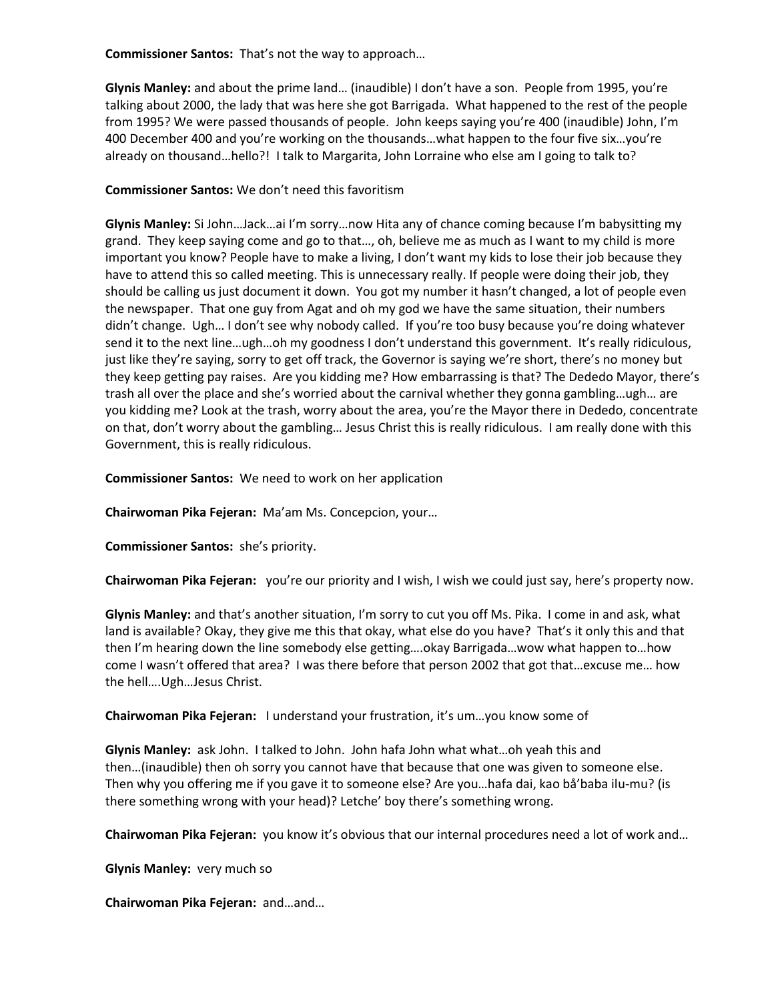**Commissioner Santos:** That's not the way to approach…

**Glynis Manley:** and about the prime land… (inaudible) I don't have a son. People from 1995, you're talking about 2000, the lady that was here she got Barrigada. What happened to the rest of the people from 1995? We were passed thousands of people. John keeps saying you're 400 (inaudible) John, I'm 400 December 400 and you're working on the thousands…what happen to the four five six…you're already on thousand…hello?! I talk to Margarita, John Lorraine who else am I going to talk to?

## **Commissioner Santos:** We don't need this favoritism

**Glynis Manley:** Si John…Jack…ai I'm sorry…now Hita any of chance coming because I'm babysitting my grand. They keep saying come and go to that…, oh, believe me as much as I want to my child is more important you know? People have to make a living, I don't want my kids to lose their job because they have to attend this so called meeting. This is unnecessary really. If people were doing their job, they should be calling us just document it down. You got my number it hasn't changed, a lot of people even the newspaper. That one guy from Agat and oh my god we have the same situation, their numbers didn't change. Ugh… I don't see why nobody called. If you're too busy because you're doing whatever send it to the next line…ugh…oh my goodness I don't understand this government. It's really ridiculous, just like they're saying, sorry to get off track, the Governor is saying we're short, there's no money but they keep getting pay raises. Are you kidding me? How embarrassing is that? The Dededo Mayor, there's trash all over the place and she's worried about the carnival whether they gonna gambling…ugh… are you kidding me? Look at the trash, worry about the area, you're the Mayor there in Dededo, concentrate on that, don't worry about the gambling… Jesus Christ this is really ridiculous. I am really done with this Government, this is really ridiculous.

**Commissioner Santos:** We need to work on her application

**Chairwoman Pika Fejeran:** Ma'am Ms. Concepcion, your…

**Commissioner Santos:** she's priority.

**Chairwoman Pika Fejeran:** you're our priority and I wish, I wish we could just say, here's property now.

**Glynis Manley:** and that's another situation, I'm sorry to cut you off Ms. Pika. I come in and ask, what land is available? Okay, they give me this that okay, what else do you have? That's it only this and that then I'm hearing down the line somebody else getting….okay Barrigada…wow what happen to…how come I wasn't offered that area? I was there before that person 2002 that got that…excuse me… how the hell….Ugh…Jesus Christ.

**Chairwoman Pika Fejeran:** I understand your frustration, it's um…you know some of

**Glynis Manley:** ask John. I talked to John. John hafa John what what…oh yeah this and then…(inaudible) then oh sorry you cannot have that because that one was given to someone else. Then why you offering me if you gave it to someone else? Are you…hafa dai, kao bå'baba ilu-mu? (is there something wrong with your head)? Letche' boy there's something wrong.

**Chairwoman Pika Fejeran:** you know it's obvious that our internal procedures need a lot of work and…

**Glynis Manley:** very much so

**Chairwoman Pika Fejeran:** and…and…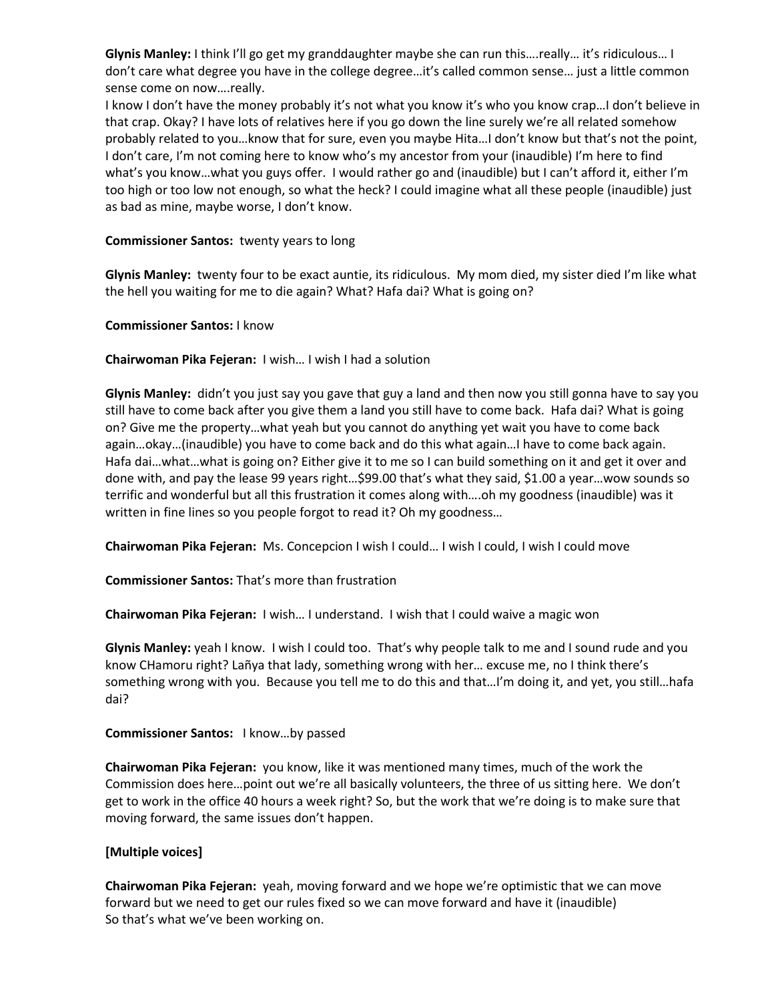**Glynis Manley:** I think I'll go get my granddaughter maybe she can run this….really… it's ridiculous… I don't care what degree you have in the college degree…it's called common sense… just a little common sense come on now….really.

I know I don't have the money probably it's not what you know it's who you know crap…I don't believe in that crap. Okay? I have lots of relatives here if you go down the line surely we're all related somehow probably related to you…know that for sure, even you maybe Hita…I don't know but that's not the point, I don't care, I'm not coming here to know who's my ancestor from your (inaudible) I'm here to find what's you know…what you guys offer. I would rather go and (inaudible) but I can't afford it, either I'm too high or too low not enough, so what the heck? I could imagine what all these people (inaudible) just as bad as mine, maybe worse, I don't know.

**Commissioner Santos:** twenty years to long

**Glynis Manley:** twenty four to be exact auntie, its ridiculous. My mom died, my sister died I'm like what the hell you waiting for me to die again? What? Hafa dai? What is going on?

**Commissioner Santos:** I know

**Chairwoman Pika Fejeran:** I wish… I wish I had a solution

**Glynis Manley:** didn't you just say you gave that guy a land and then now you still gonna have to say you still have to come back after you give them a land you still have to come back. Hafa dai? What is going on? Give me the property…what yeah but you cannot do anything yet wait you have to come back again…okay…(inaudible) you have to come back and do this what again…I have to come back again. Hafa dai…what…what is going on? Either give it to me so I can build something on it and get it over and done with, and pay the lease 99 years right…\$99.00 that's what they said, \$1.00 a year…wow sounds so terrific and wonderful but all this frustration it comes along with….oh my goodness (inaudible) was it written in fine lines so you people forgot to read it? Oh my goodness…

**Chairwoman Pika Fejeran:** Ms. Concepcion I wish I could… I wish I could, I wish I could move

**Commissioner Santos:** That's more than frustration

**Chairwoman Pika Fejeran:** I wish… I understand. I wish that I could waive a magic won

**Glynis Manley:** yeah I know. I wish I could too. That's why people talk to me and I sound rude and you know CHamoru right? Lañya that lady, something wrong with her… excuse me, no I think there's something wrong with you. Because you tell me to do this and that…I'm doing it, and yet, you still…hafa dai?

**Commissioner Santos:** I know…by passed

**Chairwoman Pika Fejeran:** you know, like it was mentioned many times, much of the work the Commission does here…point out we're all basically volunteers, the three of us sitting here. We don't get to work in the office 40 hours a week right? So, but the work that we're doing is to make sure that moving forward, the same issues don't happen.

## **[Multiple voices]**

**Chairwoman Pika Fejeran:** yeah, moving forward and we hope we're optimistic that we can move forward but we need to get our rules fixed so we can move forward and have it (inaudible) So that's what we've been working on.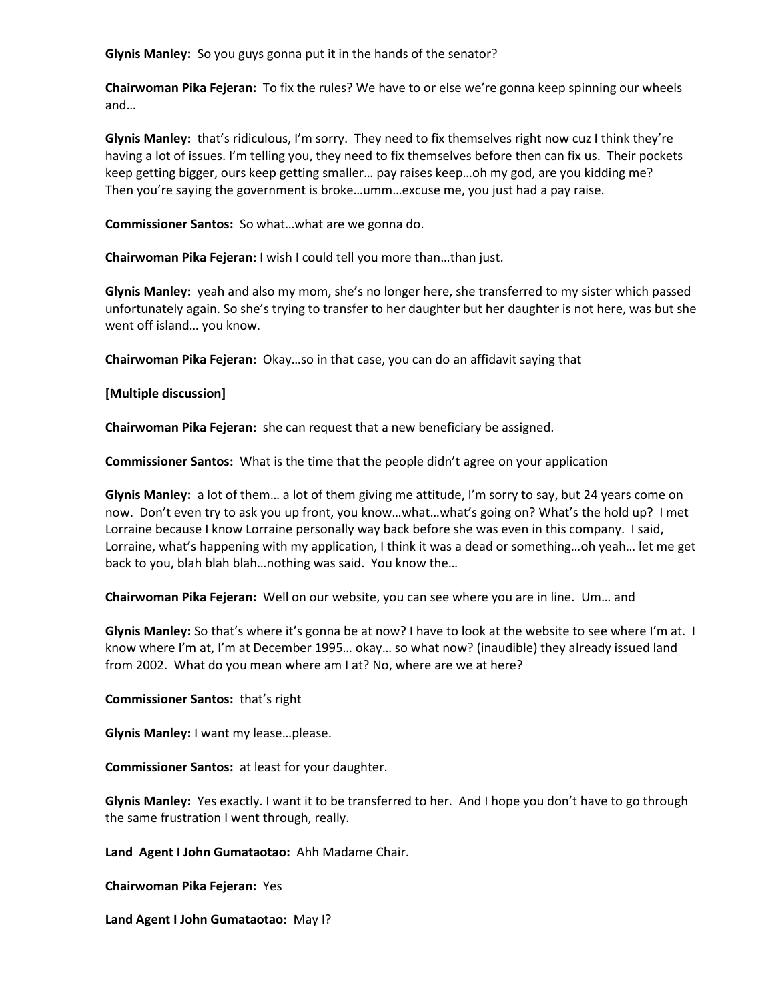**Glynis Manley:** So you guys gonna put it in the hands of the senator?

**Chairwoman Pika Fejeran:** To fix the rules? We have to or else we're gonna keep spinning our wheels and…

**Glynis Manley:** that's ridiculous, I'm sorry. They need to fix themselves right now cuz I think they're having a lot of issues. I'm telling you, they need to fix themselves before then can fix us. Their pockets keep getting bigger, ours keep getting smaller… pay raises keep…oh my god, are you kidding me? Then you're saying the government is broke…umm…excuse me, you just had a pay raise.

**Commissioner Santos:** So what…what are we gonna do.

**Chairwoman Pika Fejeran:** I wish I could tell you more than…than just.

**Glynis Manley:** yeah and also my mom, she's no longer here, she transferred to my sister which passed unfortunately again. So she's trying to transfer to her daughter but her daughter is not here, was but she went off island… you know.

**Chairwoman Pika Fejeran:** Okay…so in that case, you can do an affidavit saying that

## **[Multiple discussion]**

**Chairwoman Pika Fejeran:** she can request that a new beneficiary be assigned.

**Commissioner Santos:** What is the time that the people didn't agree on your application

**Glynis Manley:** a lot of them… a lot of them giving me attitude, I'm sorry to say, but 24 years come on now. Don't even try to ask you up front, you know…what…what's going on? What's the hold up? I met Lorraine because I know Lorraine personally way back before she was even in this company. I said, Lorraine, what's happening with my application, I think it was a dead or something…oh yeah… let me get back to you, blah blah blah…nothing was said. You know the…

**Chairwoman Pika Fejeran:** Well on our website, you can see where you are in line. Um… and

**Glynis Manley:** So that's where it's gonna be at now? I have to look at the website to see where I'm at. I know where I'm at, I'm at December 1995… okay… so what now? (inaudible) they already issued land from 2002. What do you mean where am I at? No, where are we at here?

**Commissioner Santos:** that's right

**Glynis Manley:** I want my lease…please.

**Commissioner Santos:** at least for your daughter.

**Glynis Manley:** Yes exactly. I want it to be transferred to her. And I hope you don't have to go through the same frustration I went through, really.

**Land Agent I John Gumataotao:** Ahh Madame Chair.

**Chairwoman Pika Fejeran:** Yes

**Land Agent I John Gumataotao:** May I?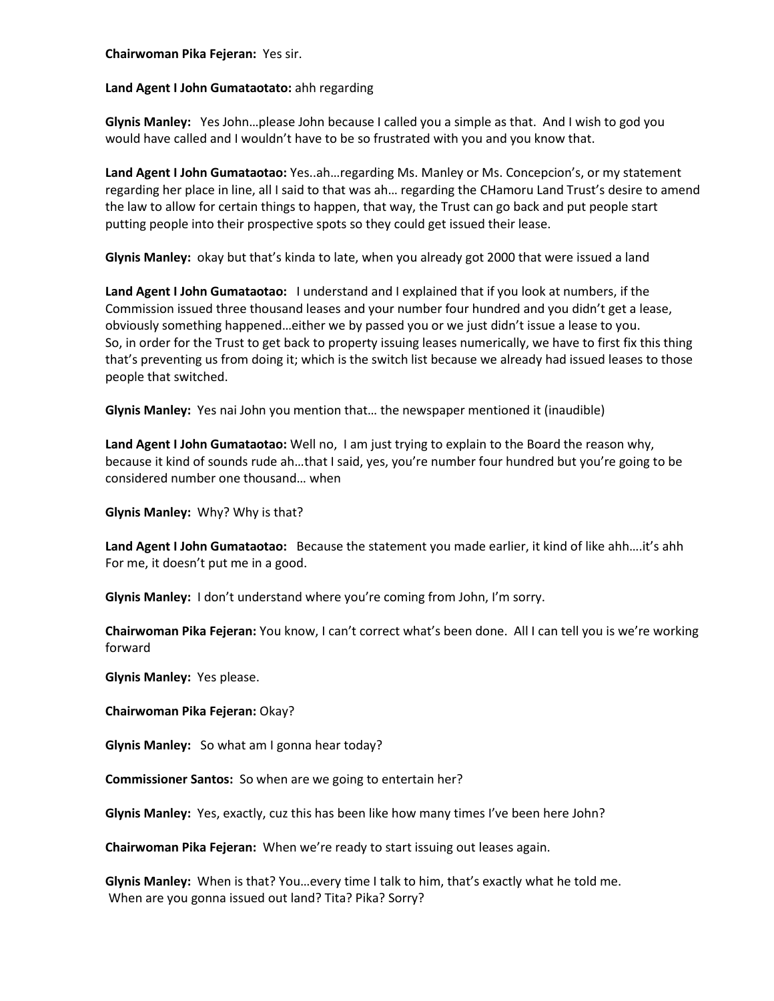## **Chairwoman Pika Fejeran:** Yes sir.

## **Land Agent I John Gumataotato:** ahh regarding

**Glynis Manley:** Yes John…please John because I called you a simple as that. And I wish to god you would have called and I wouldn't have to be so frustrated with you and you know that.

**Land Agent I John Gumataotao:** Yes..ah…regarding Ms. Manley or Ms. Concepcion's, or my statement regarding her place in line, all I said to that was ah… regarding the CHamoru Land Trust's desire to amend the law to allow for certain things to happen, that way, the Trust can go back and put people start putting people into their prospective spots so they could get issued their lease.

**Glynis Manley:** okay but that's kinda to late, when you already got 2000 that were issued a land

**Land Agent I John Gumataotao:** I understand and I explained that if you look at numbers, if the Commission issued three thousand leases and your number four hundred and you didn't get a lease, obviously something happened…either we by passed you or we just didn't issue a lease to you. So, in order for the Trust to get back to property issuing leases numerically, we have to first fix this thing that's preventing us from doing it; which is the switch list because we already had issued leases to those people that switched.

**Glynis Manley:** Yes nai John you mention that… the newspaper mentioned it (inaudible)

**Land Agent I John Gumataotao:** Well no, I am just trying to explain to the Board the reason why, because it kind of sounds rude ah…that I said, yes, you're number four hundred but you're going to be considered number one thousand… when

**Glynis Manley:** Why? Why is that?

**Land Agent I John Gumataotao:** Because the statement you made earlier, it kind of like ahh….it's ahh For me, it doesn't put me in a good.

**Glynis Manley:** I don't understand where you're coming from John, I'm sorry.

**Chairwoman Pika Fejeran:** You know, I can't correct what's been done. All I can tell you is we're working forward

**Glynis Manley:** Yes please.

**Chairwoman Pika Fejeran:** Okay?

**Glynis Manley:** So what am I gonna hear today?

**Commissioner Santos:** So when are we going to entertain her?

**Glynis Manley:** Yes, exactly, cuz this has been like how many times I've been here John?

**Chairwoman Pika Fejeran:** When we're ready to start issuing out leases again.

**Glynis Manley:** When is that? You…every time I talk to him, that's exactly what he told me. When are you gonna issued out land? Tita? Pika? Sorry?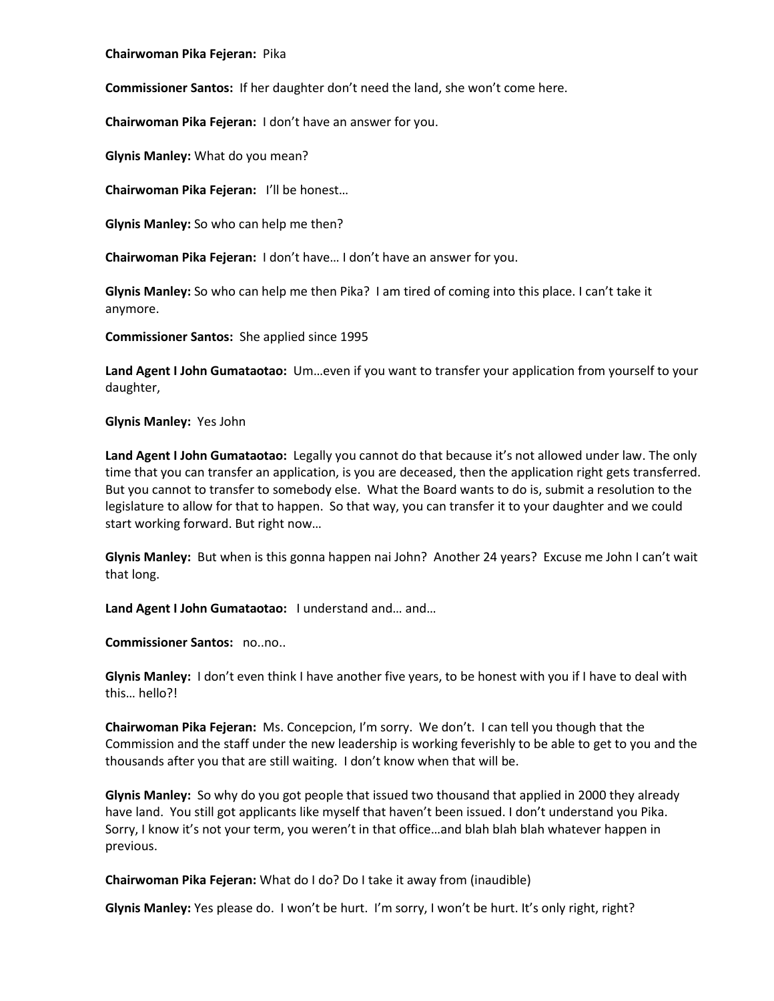#### **Chairwoman Pika Fejeran:** Pika

**Commissioner Santos:** If her daughter don't need the land, she won't come here.

**Chairwoman Pika Fejeran:** I don't have an answer for you.

**Glynis Manley:** What do you mean?

**Chairwoman Pika Fejeran:** I'll be honest…

**Glynis Manley:** So who can help me then?

**Chairwoman Pika Fejeran:** I don't have… I don't have an answer for you.

**Glynis Manley:** So who can help me then Pika? I am tired of coming into this place. I can't take it anymore.

**Commissioner Santos:** She applied since 1995

**Land Agent I John Gumataotao:** Um…even if you want to transfer your application from yourself to your daughter,

**Glynis Manley:** Yes John

**Land Agent I John Gumataotao:** Legally you cannot do that because it's not allowed under law. The only time that you can transfer an application, is you are deceased, then the application right gets transferred. But you cannot to transfer to somebody else. What the Board wants to do is, submit a resolution to the legislature to allow for that to happen. So that way, you can transfer it to your daughter and we could start working forward. But right now…

**Glynis Manley:** But when is this gonna happen nai John? Another 24 years? Excuse me John I can't wait that long.

**Land Agent I John Gumataotao:** I understand and… and…

**Commissioner Santos:** no..no..

**Glynis Manley:** I don't even think I have another five years, to be honest with you if I have to deal with this… hello?!

**Chairwoman Pika Fejeran:** Ms. Concepcion, I'm sorry. We don't. I can tell you though that the Commission and the staff under the new leadership is working feverishly to be able to get to you and the thousands after you that are still waiting. I don't know when that will be.

**Glynis Manley:** So why do you got people that issued two thousand that applied in 2000 they already have land. You still got applicants like myself that haven't been issued. I don't understand you Pika. Sorry, I know it's not your term, you weren't in that office…and blah blah blah whatever happen in previous.

**Chairwoman Pika Fejeran:** What do I do? Do I take it away from (inaudible)

**Glynis Manley:** Yes please do. I won't be hurt. I'm sorry, I won't be hurt. It's only right, right?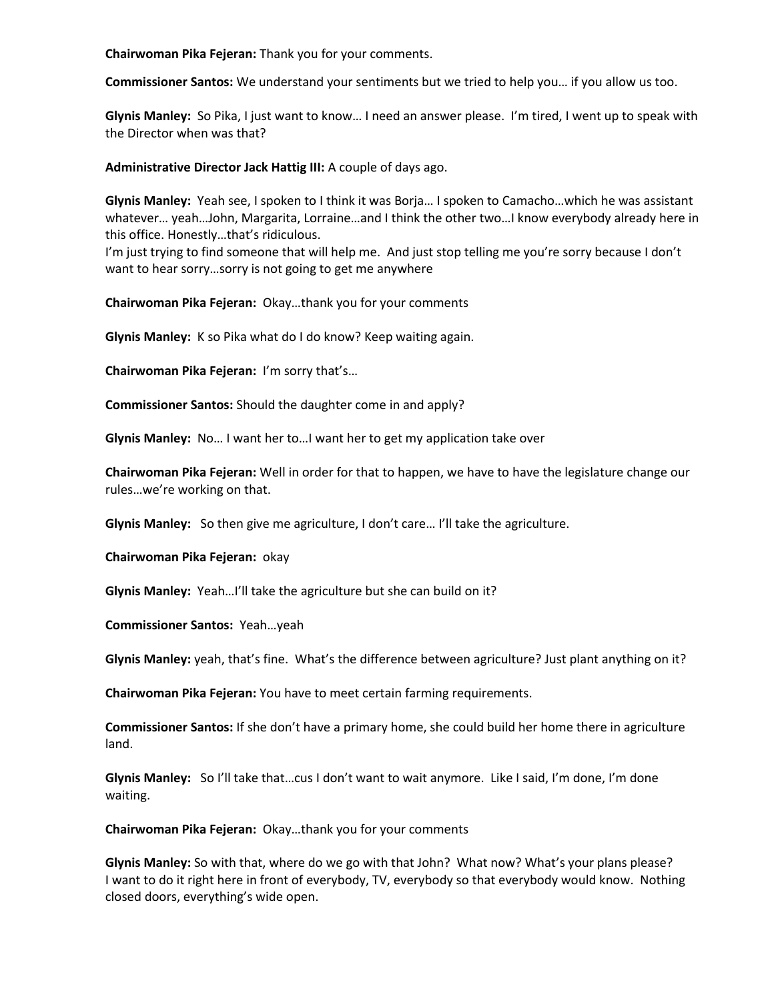**Chairwoman Pika Fejeran:** Thank you for your comments.

**Commissioner Santos:** We understand your sentiments but we tried to help you… if you allow us too.

**Glynis Manley:** So Pika, I just want to know… I need an answer please. I'm tired, I went up to speak with the Director when was that?

**Administrative Director Jack Hattig III:** A couple of days ago.

**Glynis Manley:** Yeah see, I spoken to I think it was Borja… I spoken to Camacho…which he was assistant whatever… yeah…John, Margarita, Lorraine…and I think the other two…I know everybody already here in this office. Honestly…that's ridiculous.

I'm just trying to find someone that will help me. And just stop telling me you're sorry because I don't want to hear sorry…sorry is not going to get me anywhere

**Chairwoman Pika Fejeran:** Okay…thank you for your comments

**Glynis Manley:** K so Pika what do I do know? Keep waiting again.

**Chairwoman Pika Fejeran:** I'm sorry that's…

**Commissioner Santos:** Should the daughter come in and apply?

**Glynis Manley:** No… I want her to…I want her to get my application take over

**Chairwoman Pika Fejeran:** Well in order for that to happen, we have to have the legislature change our rules…we're working on that.

**Glynis Manley:** So then give me agriculture, I don't care… I'll take the agriculture.

**Chairwoman Pika Fejeran:** okay

**Glynis Manley:** Yeah…I'll take the agriculture but she can build on it?

**Commissioner Santos:** Yeah…yeah

**Glynis Manley:** yeah, that's fine. What's the difference between agriculture? Just plant anything on it?

**Chairwoman Pika Fejeran:** You have to meet certain farming requirements.

**Commissioner Santos:** If she don't have a primary home, she could build her home there in agriculture land.

**Glynis Manley:** So I'll take that…cus I don't want to wait anymore. Like I said, I'm done, I'm done waiting.

**Chairwoman Pika Fejeran:** Okay…thank you for your comments

**Glynis Manley:** So with that, where do we go with that John? What now? What's your plans please? I want to do it right here in front of everybody, TV, everybody so that everybody would know. Nothing closed doors, everything's wide open.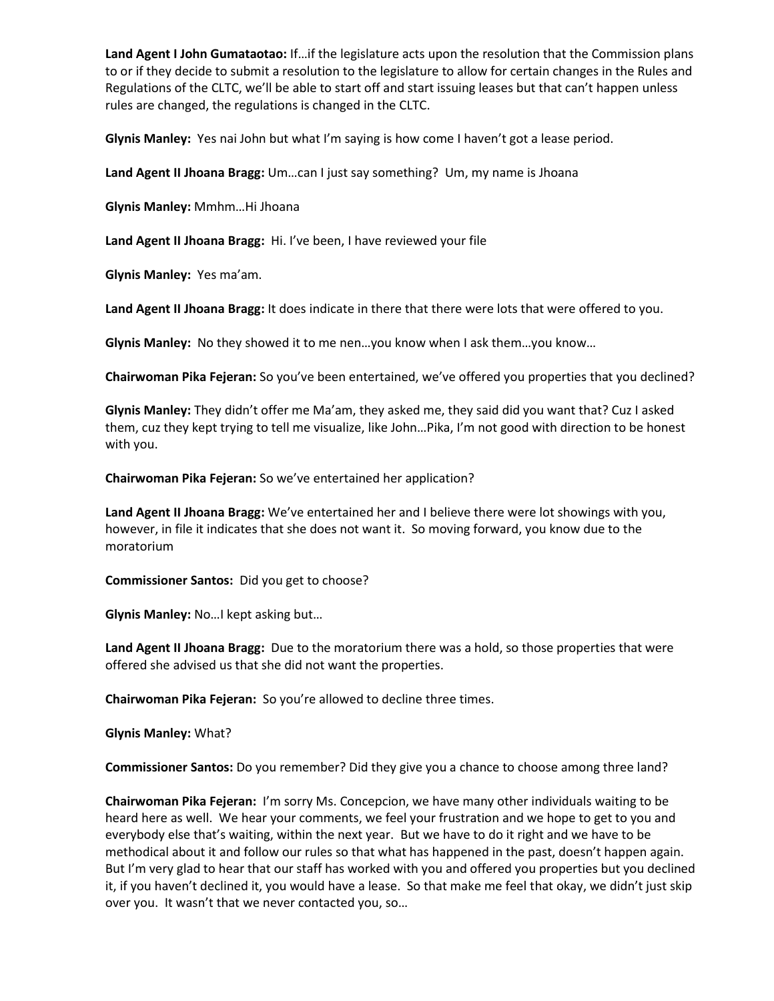**Land Agent I John Gumataotao:** If…if the legislature acts upon the resolution that the Commission plans to or if they decide to submit a resolution to the legislature to allow for certain changes in the Rules and Regulations of the CLTC, we'll be able to start off and start issuing leases but that can't happen unless rules are changed, the regulations is changed in the CLTC.

**Glynis Manley:** Yes nai John but what I'm saying is how come I haven't got a lease period.

**Land Agent II Jhoana Bragg:** Um…can I just say something? Um, my name is Jhoana

**Glynis Manley:** Mmhm…Hi Jhoana

**Land Agent II Jhoana Bragg:** Hi. I've been, I have reviewed your file

**Glynis Manley:** Yes ma'am.

**Land Agent II Jhoana Bragg:** It does indicate in there that there were lots that were offered to you.

**Glynis Manley:** No they showed it to me nen…you know when I ask them…you know…

**Chairwoman Pika Fejeran:** So you've been entertained, we've offered you properties that you declined?

**Glynis Manley:** They didn't offer me Ma'am, they asked me, they said did you want that? Cuz I asked them, cuz they kept trying to tell me visualize, like John…Pika, I'm not good with direction to be honest with you.

**Chairwoman Pika Fejeran:** So we've entertained her application?

**Land Agent II Jhoana Bragg:** We've entertained her and I believe there were lot showings with you, however, in file it indicates that she does not want it. So moving forward, you know due to the moratorium

**Commissioner Santos:** Did you get to choose?

**Glynis Manley:** No…I kept asking but…

**Land Agent II Jhoana Bragg:** Due to the moratorium there was a hold, so those properties that were offered she advised us that she did not want the properties.

**Chairwoman Pika Fejeran:** So you're allowed to decline three times.

**Glynis Manley:** What?

**Commissioner Santos:** Do you remember? Did they give you a chance to choose among three land?

**Chairwoman Pika Fejeran:** I'm sorry Ms. Concepcion, we have many other individuals waiting to be heard here as well. We hear your comments, we feel your frustration and we hope to get to you and everybody else that's waiting, within the next year. But we have to do it right and we have to be methodical about it and follow our rules so that what has happened in the past, doesn't happen again. But I'm very glad to hear that our staff has worked with you and offered you properties but you declined it, if you haven't declined it, you would have a lease. So that make me feel that okay, we didn't just skip over you. It wasn't that we never contacted you, so…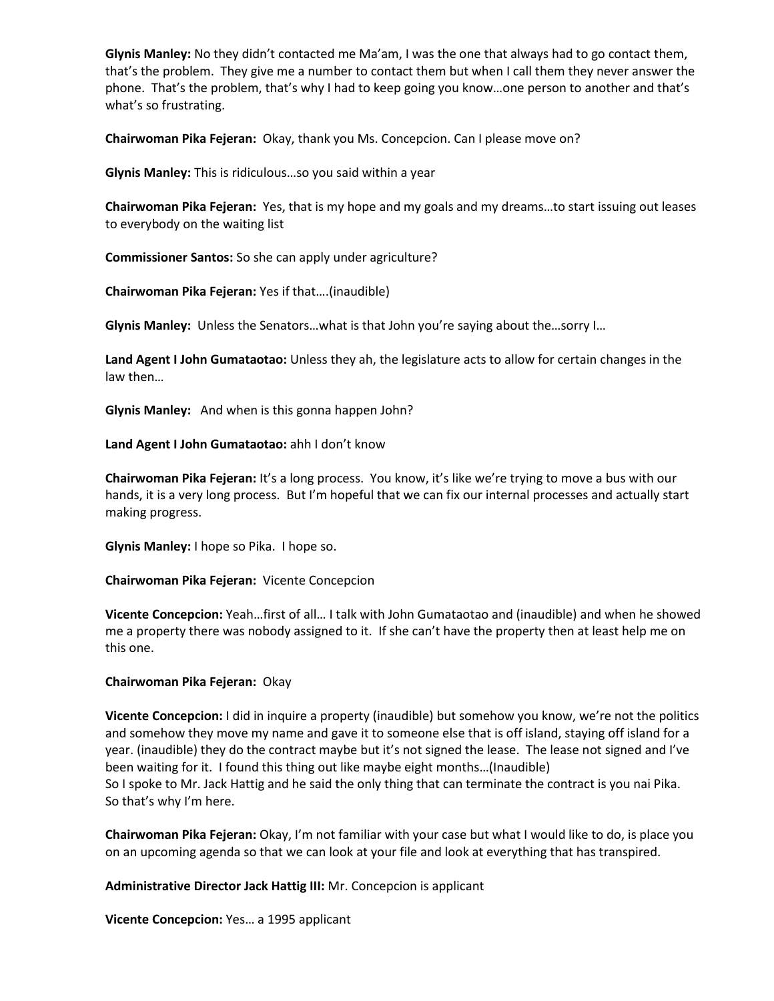**Glynis Manley:** No they didn't contacted me Ma'am, I was the one that always had to go contact them, that's the problem. They give me a number to contact them but when I call them they never answer the phone. That's the problem, that's why I had to keep going you know…one person to another and that's what's so frustrating.

**Chairwoman Pika Fejeran:** Okay, thank you Ms. Concepcion. Can I please move on?

**Glynis Manley:** This is ridiculous…so you said within a year

**Chairwoman Pika Fejeran:** Yes, that is my hope and my goals and my dreams…to start issuing out leases to everybody on the waiting list

**Commissioner Santos:** So she can apply under agriculture?

**Chairwoman Pika Fejeran:** Yes if that….(inaudible)

**Glynis Manley:** Unless the Senators…what is that John you're saying about the…sorry I…

**Land Agent I John Gumataotao:** Unless they ah, the legislature acts to allow for certain changes in the law then…

**Glynis Manley:** And when is this gonna happen John?

**Land Agent I John Gumataotao:** ahh I don't know

**Chairwoman Pika Fejeran:** It's a long process. You know, it's like we're trying to move a bus with our hands, it is a very long process. But I'm hopeful that we can fix our internal processes and actually start making progress.

**Glynis Manley:** I hope so Pika. I hope so.

**Chairwoman Pika Fejeran:** Vicente Concepcion

**Vicente Concepcion:** Yeah…first of all… I talk with John Gumataotao and (inaudible) and when he showed me a property there was nobody assigned to it. If she can't have the property then at least help me on this one.

# **Chairwoman Pika Fejeran:** Okay

**Vicente Concepcion:** I did in inquire a property (inaudible) but somehow you know, we're not the politics and somehow they move my name and gave it to someone else that is off island, staying off island for a year. (inaudible) they do the contract maybe but it's not signed the lease. The lease not signed and I've been waiting for it. I found this thing out like maybe eight months…(Inaudible) So I spoke to Mr. Jack Hattig and he said the only thing that can terminate the contract is you nai Pika. So that's why I'm here.

**Chairwoman Pika Fejeran:** Okay, I'm not familiar with your case but what I would like to do, is place you on an upcoming agenda so that we can look at your file and look at everything that has transpired.

**Administrative Director Jack Hattig III:** Mr. Concepcion is applicant

**Vicente Concepcion:** Yes… a 1995 applicant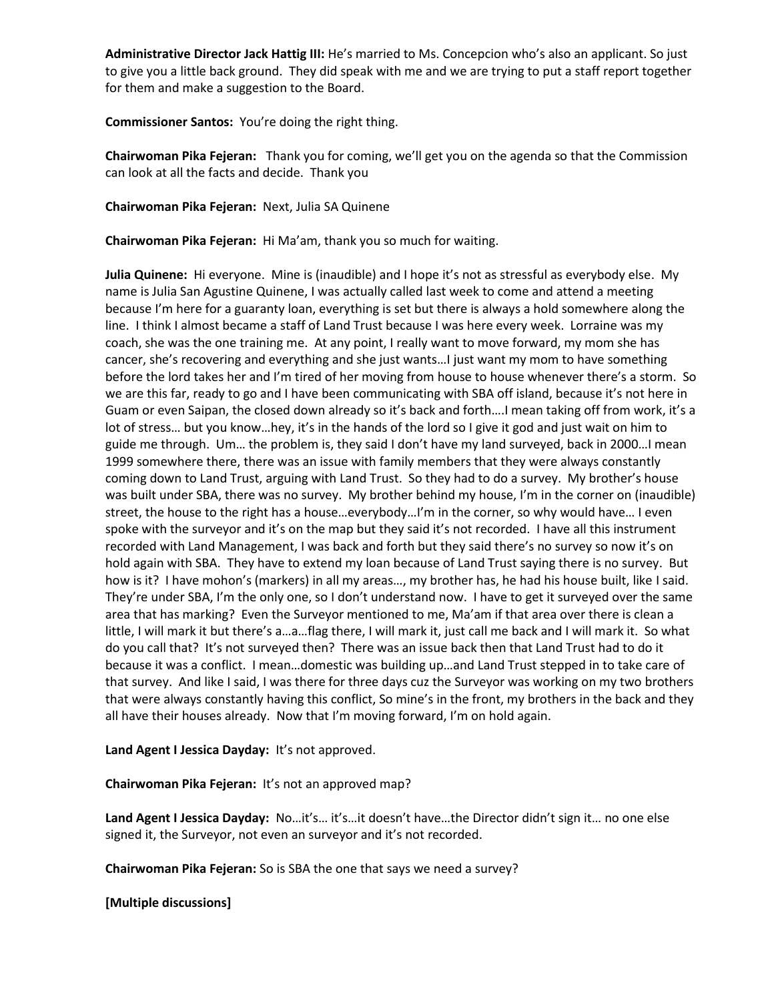**Administrative Director Jack Hattig III:** He's married to Ms. Concepcion who's also an applicant. So just to give you a little back ground. They did speak with me and we are trying to put a staff report together for them and make a suggestion to the Board.

**Commissioner Santos:** You're doing the right thing.

**Chairwoman Pika Fejeran:** Thank you for coming, we'll get you on the agenda so that the Commission can look at all the facts and decide. Thank you

**Chairwoman Pika Fejeran:** Next, Julia SA Quinene

**Chairwoman Pika Fejeran:** Hi Ma'am, thank you so much for waiting.

**Julia Quinene:** Hi everyone. Mine is (inaudible) and I hope it's not as stressful as everybody else. My name is Julia San Agustine Quinene, I was actually called last week to come and attend a meeting because I'm here for a guaranty loan, everything is set but there is always a hold somewhere along the line. I think I almost became a staff of Land Trust because I was here every week. Lorraine was my coach, she was the one training me. At any point, I really want to move forward, my mom she has cancer, she's recovering and everything and she just wants…I just want my mom to have something before the lord takes her and I'm tired of her moving from house to house whenever there's a storm. So we are this far, ready to go and I have been communicating with SBA off island, because it's not here in Guam or even Saipan, the closed down already so it's back and forth….I mean taking off from work, it's a lot of stress… but you know…hey, it's in the hands of the lord so I give it god and just wait on him to guide me through. Um… the problem is, they said I don't have my land surveyed, back in 2000…I mean 1999 somewhere there, there was an issue with family members that they were always constantly coming down to Land Trust, arguing with Land Trust. So they had to do a survey. My brother's house was built under SBA, there was no survey. My brother behind my house, I'm in the corner on (inaudible) street, the house to the right has a house…everybody…I'm in the corner, so why would have… I even spoke with the surveyor and it's on the map but they said it's not recorded. I have all this instrument recorded with Land Management, I was back and forth but they said there's no survey so now it's on hold again with SBA. They have to extend my loan because of Land Trust saying there is no survey. But how is it? I have mohon's (markers) in all my areas…, my brother has, he had his house built, like I said. They're under SBA, I'm the only one, so I don't understand now. I have to get it surveyed over the same area that has marking? Even the Surveyor mentioned to me, Ma'am if that area over there is clean a little, I will mark it but there's a…a…flag there, I will mark it, just call me back and I will mark it. So what do you call that? It's not surveyed then? There was an issue back then that Land Trust had to do it because it was a conflict. I mean…domestic was building up…and Land Trust stepped in to take care of that survey. And like I said, I was there for three days cuz the Surveyor was working on my two brothers that were always constantly having this conflict, So mine's in the front, my brothers in the back and they all have their houses already. Now that I'm moving forward, I'm on hold again.

# **Land Agent I Jessica Dayday:** It's not approved.

# **Chairwoman Pika Fejeran:** It's not an approved map?

**Land Agent I Jessica Dayday:** No…it's… it's…it doesn't have…the Director didn't sign it… no one else signed it, the Surveyor, not even an surveyor and it's not recorded.

**Chairwoman Pika Fejeran:** So is SBA the one that says we need a survey?

**[Multiple discussions]**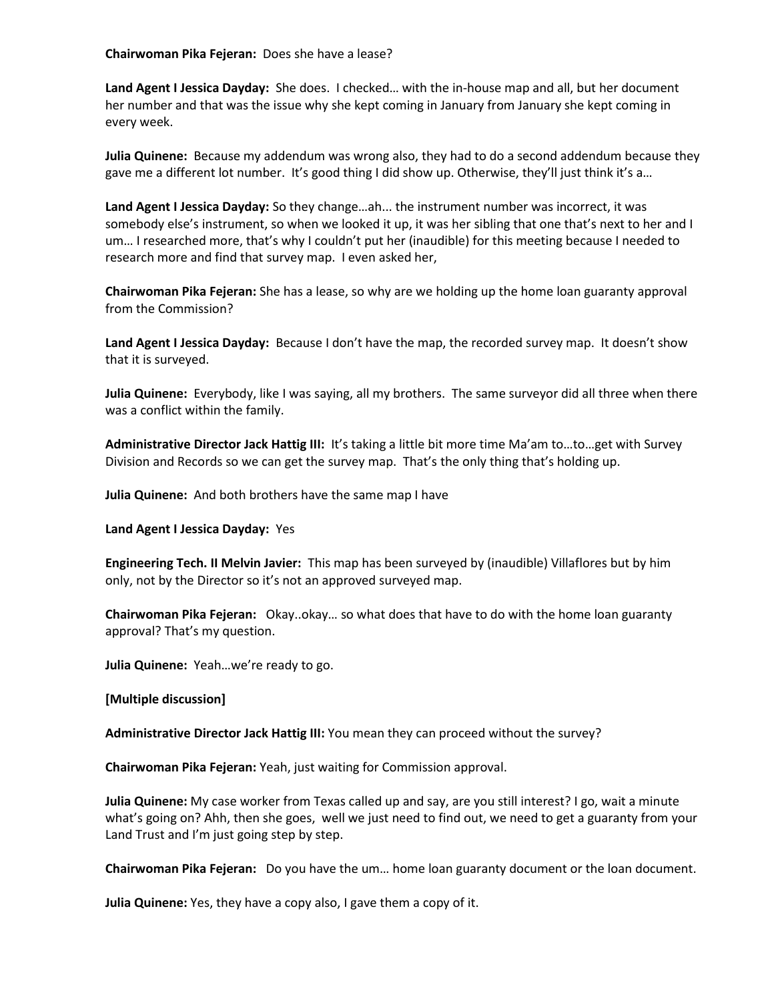**Chairwoman Pika Fejeran:** Does she have a lease?

**Land Agent I Jessica Dayday:** She does. I checked… with the in-house map and all, but her document her number and that was the issue why she kept coming in January from January she kept coming in every week.

**Julia Quinene:** Because my addendum was wrong also, they had to do a second addendum because they gave me a different lot number. It's good thing I did show up. Otherwise, they'll just think it's a…

**Land Agent I Jessica Dayday:** So they change…ah... the instrument number was incorrect, it was somebody else's instrument, so when we looked it up, it was her sibling that one that's next to her and I um… I researched more, that's why I couldn't put her (inaudible) for this meeting because I needed to research more and find that survey map. I even asked her,

**Chairwoman Pika Fejeran:** She has a lease, so why are we holding up the home loan guaranty approval from the Commission?

**Land Agent I Jessica Dayday:** Because I don't have the map, the recorded survey map. It doesn't show that it is surveyed.

**Julia Quinene:** Everybody, like I was saying, all my brothers. The same surveyor did all three when there was a conflict within the family.

**Administrative Director Jack Hattig III:** It's taking a little bit more time Ma'am to…to…get with Survey Division and Records so we can get the survey map. That's the only thing that's holding up.

**Julia Quinene:** And both brothers have the same map I have

**Land Agent I Jessica Dayday:** Yes

**Engineering Tech. II Melvin Javier:** This map has been surveyed by (inaudible) Villaflores but by him only, not by the Director so it's not an approved surveyed map.

**Chairwoman Pika Fejeran:** Okay..okay… so what does that have to do with the home loan guaranty approval? That's my question.

**Julia Quinene:** Yeah…we're ready to go.

**[Multiple discussion]**

**Administrative Director Jack Hattig III:** You mean they can proceed without the survey?

**Chairwoman Pika Fejeran:** Yeah, just waiting for Commission approval.

**Julia Quinene:** My case worker from Texas called up and say, are you still interest? I go, wait a minute what's going on? Ahh, then she goes, well we just need to find out, we need to get a guaranty from your Land Trust and I'm just going step by step.

**Chairwoman Pika Fejeran:** Do you have the um… home loan guaranty document or the loan document.

**Julia Quinene:** Yes, they have a copy also, I gave them a copy of it.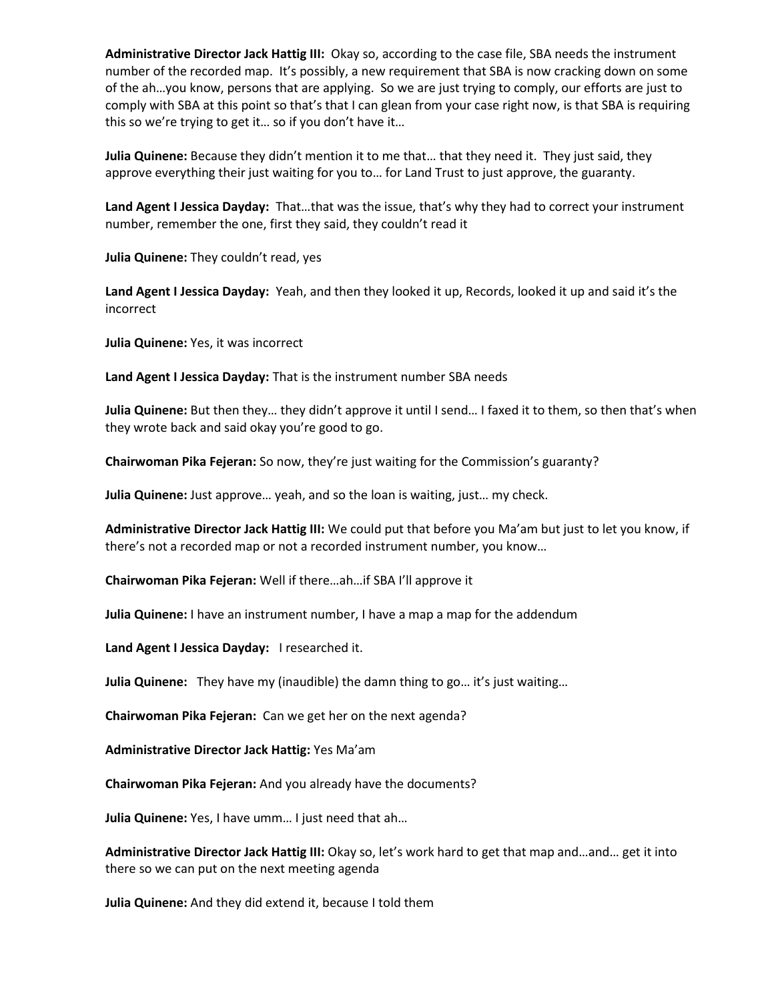**Administrative Director Jack Hattig III:** Okay so, according to the case file, SBA needs the instrument number of the recorded map. It's possibly, a new requirement that SBA is now cracking down on some of the ah…you know, persons that are applying. So we are just trying to comply, our efforts are just to comply with SBA at this point so that's that I can glean from your case right now, is that SBA is requiring this so we're trying to get it… so if you don't have it…

**Julia Quinene:** Because they didn't mention it to me that… that they need it. They just said, they approve everything their just waiting for you to… for Land Trust to just approve, the guaranty.

**Land Agent I Jessica Dayday:** That…that was the issue, that's why they had to correct your instrument number, remember the one, first they said, they couldn't read it

**Julia Quinene:** They couldn't read, yes

**Land Agent I Jessica Dayday:** Yeah, and then they looked it up, Records, looked it up and said it's the incorrect

**Julia Quinene:** Yes, it was incorrect

**Land Agent I Jessica Dayday:** That is the instrument number SBA needs

**Julia Quinene:** But then they… they didn't approve it until I send… I faxed it to them, so then that's when they wrote back and said okay you're good to go.

**Chairwoman Pika Fejeran:** So now, they're just waiting for the Commission's guaranty?

**Julia Quinene:** Just approve… yeah, and so the loan is waiting, just… my check.

**Administrative Director Jack Hattig III:** We could put that before you Ma'am but just to let you know, if there's not a recorded map or not a recorded instrument number, you know…

**Chairwoman Pika Fejeran:** Well if there…ah…if SBA I'll approve it

**Julia Quinene:** I have an instrument number, I have a map a map for the addendum

**Land Agent I Jessica Dayday:** I researched it.

**Julia Quinene:** They have my (inaudible) the damn thing to go… it's just waiting…

**Chairwoman Pika Fejeran:** Can we get her on the next agenda?

**Administrative Director Jack Hattig:** Yes Ma'am

**Chairwoman Pika Fejeran:** And you already have the documents?

**Julia Quinene:** Yes, I have umm… I just need that ah…

**Administrative Director Jack Hattig III:** Okay so, let's work hard to get that map and…and… get it into there so we can put on the next meeting agenda

**Julia Quinene:** And they did extend it, because I told them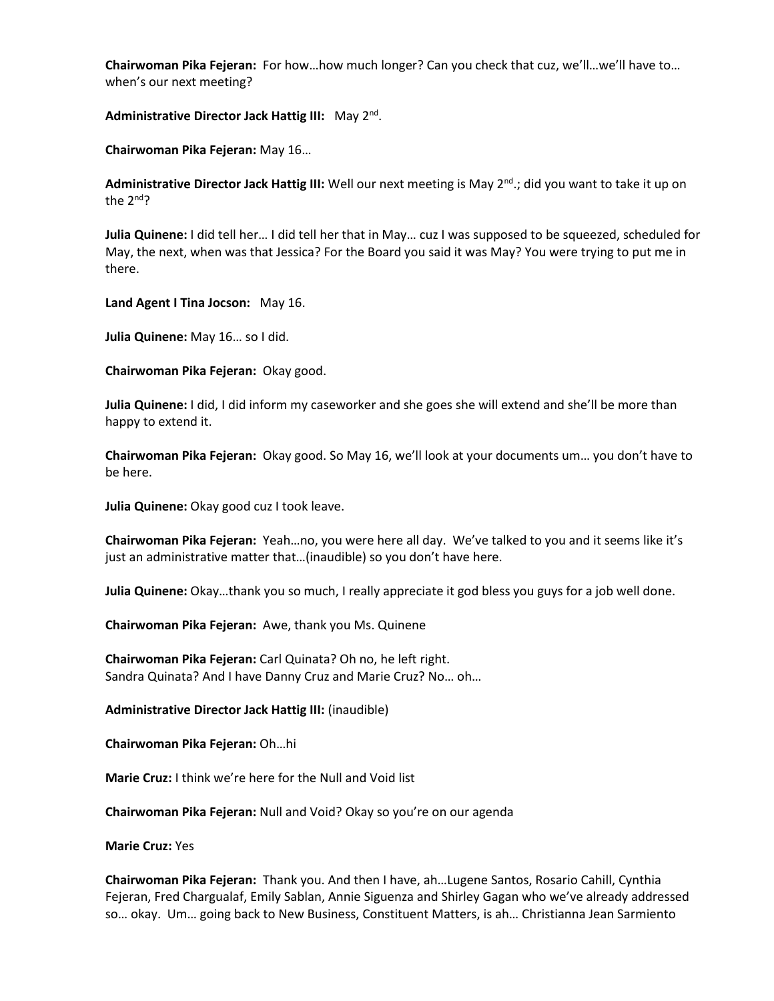**Chairwoman Pika Fejeran:** For how…how much longer? Can you check that cuz, we'll…we'll have to… when's our next meeting?

# Administrative Director Jack Hattig III: May 2<sup>nd</sup>.

**Chairwoman Pika Fejeran:** May 16…

**Administrative Director Jack Hattig III:** Well our next meeting is May 2<sup>nd</sup>.; did you want to take it up on the 2<sup>nd</sup>?

**Julia Quinene:** I did tell her… I did tell her that in May… cuz I was supposed to be squeezed, scheduled for May, the next, when was that Jessica? For the Board you said it was May? You were trying to put me in there.

**Land Agent I Tina Jocson:** May 16.

**Julia Quinene:** May 16… so I did.

**Chairwoman Pika Fejeran:** Okay good.

**Julia Quinene:** I did, I did inform my caseworker and she goes she will extend and she'll be more than happy to extend it.

**Chairwoman Pika Fejeran:** Okay good. So May 16, we'll look at your documents um… you don't have to be here.

**Julia Quinene:** Okay good cuz I took leave.

**Chairwoman Pika Fejeran:** Yeah…no, you were here all day. We've talked to you and it seems like it's just an administrative matter that…(inaudible) so you don't have here.

**Julia Quinene:** Okay…thank you so much, I really appreciate it god bless you guys for a job well done.

**Chairwoman Pika Fejeran:** Awe, thank you Ms. Quinene

**Chairwoman Pika Fejeran:** Carl Quinata? Oh no, he left right. Sandra Quinata? And I have Danny Cruz and Marie Cruz? No… oh…

**Administrative Director Jack Hattig III:** (inaudible)

**Chairwoman Pika Fejeran:** Oh…hi

**Marie Cruz:** I think we're here for the Null and Void list

**Chairwoman Pika Fejeran:** Null and Void? Okay so you're on our agenda

**Marie Cruz:** Yes

**Chairwoman Pika Fejeran:** Thank you. And then I have, ah…Lugene Santos, Rosario Cahill, Cynthia Fejeran, Fred Chargualaf, Emily Sablan, Annie Siguenza and Shirley Gagan who we've already addressed so… okay. Um… going back to New Business, Constituent Matters, is ah… Christianna Jean Sarmiento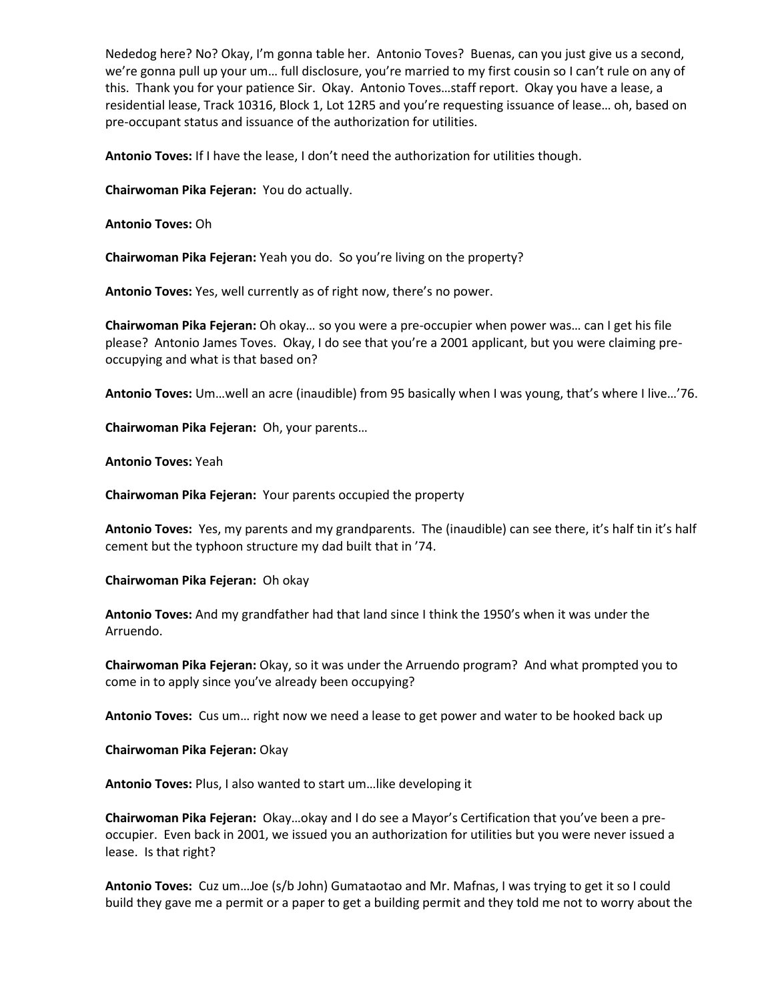Nededog here? No? Okay, I'm gonna table her. Antonio Toves? Buenas, can you just give us a second, we're gonna pull up your um… full disclosure, you're married to my first cousin so I can't rule on any of this. Thank you for your patience Sir. Okay. Antonio Toves…staff report. Okay you have a lease, a residential lease, Track 10316, Block 1, Lot 12R5 and you're requesting issuance of lease… oh, based on pre-occupant status and issuance of the authorization for utilities.

**Antonio Toves:** If I have the lease, I don't need the authorization for utilities though.

**Chairwoman Pika Fejeran:** You do actually.

**Antonio Toves:** Oh

**Chairwoman Pika Fejeran:** Yeah you do. So you're living on the property?

**Antonio Toves:** Yes, well currently as of right now, there's no power.

**Chairwoman Pika Fejeran:** Oh okay… so you were a pre-occupier when power was… can I get his file please? Antonio James Toves. Okay, I do see that you're a 2001 applicant, but you were claiming preoccupying and what is that based on?

**Antonio Toves:** Um…well an acre (inaudible) from 95 basically when I was young, that's where I live…'76.

**Chairwoman Pika Fejeran:** Oh, your parents…

**Antonio Toves:** Yeah

**Chairwoman Pika Fejeran:** Your parents occupied the property

**Antonio Toves:** Yes, my parents and my grandparents. The (inaudible) can see there, it's half tin it's half cement but the typhoon structure my dad built that in '74.

**Chairwoman Pika Fejeran:** Oh okay

**Antonio Toves:** And my grandfather had that land since I think the 1950's when it was under the Arruendo.

**Chairwoman Pika Fejeran:** Okay, so it was under the Arruendo program? And what prompted you to come in to apply since you've already been occupying?

**Antonio Toves:** Cus um… right now we need a lease to get power and water to be hooked back up

**Chairwoman Pika Fejeran:** Okay

**Antonio Toves:** Plus, I also wanted to start um…like developing it

**Chairwoman Pika Fejeran:** Okay…okay and I do see a Mayor's Certification that you've been a preoccupier. Even back in 2001, we issued you an authorization for utilities but you were never issued a lease. Is that right?

**Antonio Toves:** Cuz um…Joe (s/b John) Gumataotao and Mr. Mafnas, I was trying to get it so I could build they gave me a permit or a paper to get a building permit and they told me not to worry about the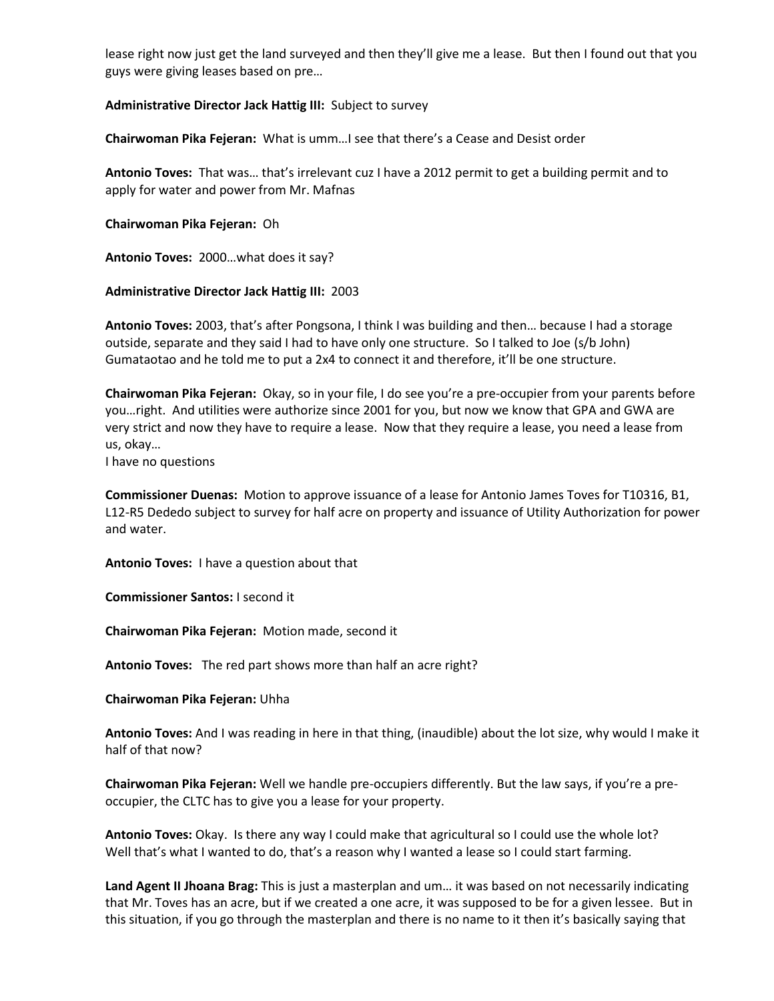lease right now just get the land surveyed and then they'll give me a lease. But then I found out that you guys were giving leases based on pre…

## **Administrative Director Jack Hattig III:** Subject to survey

**Chairwoman Pika Fejeran:** What is umm…I see that there's a Cease and Desist order

**Antonio Toves:** That was… that's irrelevant cuz I have a 2012 permit to get a building permit and to apply for water and power from Mr. Mafnas

**Chairwoman Pika Fejeran:** Oh

**Antonio Toves:** 2000…what does it say?

**Administrative Director Jack Hattig III:** 2003

**Antonio Toves:** 2003, that's after Pongsona, I think I was building and then… because I had a storage outside, separate and they said I had to have only one structure. So I talked to Joe (s/b John) Gumataotao and he told me to put a 2x4 to connect it and therefore, it'll be one structure.

**Chairwoman Pika Fejeran:** Okay, so in your file, I do see you're a pre-occupier from your parents before you…right. And utilities were authorize since 2001 for you, but now we know that GPA and GWA are very strict and now they have to require a lease. Now that they require a lease, you need a lease from us, okay…

I have no questions

**Commissioner Duenas:** Motion to approve issuance of a lease for Antonio James Toves for T10316, B1, L12-R5 Dededo subject to survey for half acre on property and issuance of Utility Authorization for power and water.

**Antonio Toves:** I have a question about that

**Commissioner Santos:** I second it

**Chairwoman Pika Fejeran:** Motion made, second it

**Antonio Toves:** The red part shows more than half an acre right?

**Chairwoman Pika Fejeran:** Uhha

**Antonio Toves:** And I was reading in here in that thing, (inaudible) about the lot size, why would I make it half of that now?

**Chairwoman Pika Fejeran:** Well we handle pre-occupiers differently. But the law says, if you're a preoccupier, the CLTC has to give you a lease for your property.

**Antonio Toves:** Okay. Is there any way I could make that agricultural so I could use the whole lot? Well that's what I wanted to do, that's a reason why I wanted a lease so I could start farming.

**Land Agent II Jhoana Brag:** This is just a masterplan and um… it was based on not necessarily indicating that Mr. Toves has an acre, but if we created a one acre, it was supposed to be for a given lessee. But in this situation, if you go through the masterplan and there is no name to it then it's basically saying that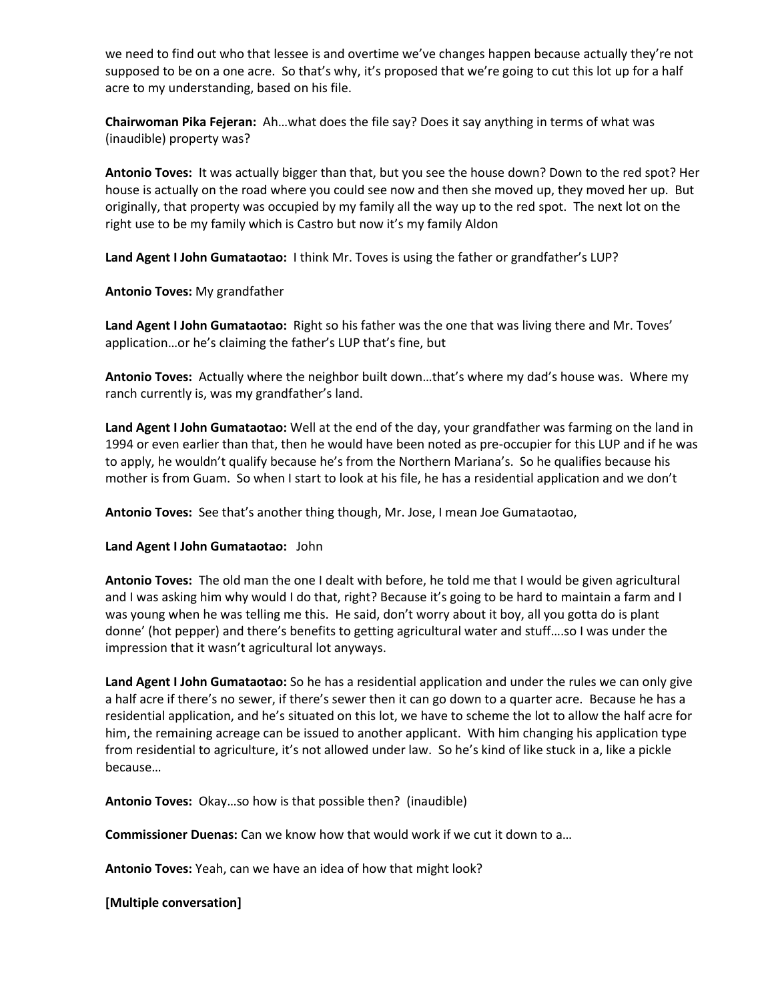we need to find out who that lessee is and overtime we've changes happen because actually they're not supposed to be on a one acre. So that's why, it's proposed that we're going to cut this lot up for a half acre to my understanding, based on his file.

**Chairwoman Pika Fejeran:** Ah…what does the file say? Does it say anything in terms of what was (inaudible) property was?

**Antonio Toves:** It was actually bigger than that, but you see the house down? Down to the red spot? Her house is actually on the road where you could see now and then she moved up, they moved her up. But originally, that property was occupied by my family all the way up to the red spot. The next lot on the right use to be my family which is Castro but now it's my family Aldon

**Land Agent I John Gumataotao:** I think Mr. Toves is using the father or grandfather's LUP?

**Antonio Toves:** My grandfather

**Land Agent I John Gumataotao:** Right so his father was the one that was living there and Mr. Toves' application…or he's claiming the father's LUP that's fine, but

**Antonio Toves:** Actually where the neighbor built down…that's where my dad's house was. Where my ranch currently is, was my grandfather's land.

**Land Agent I John Gumataotao:** Well at the end of the day, your grandfather was farming on the land in 1994 or even earlier than that, then he would have been noted as pre-occupier for this LUP and if he was to apply, he wouldn't qualify because he's from the Northern Mariana's. So he qualifies because his mother is from Guam. So when I start to look at his file, he has a residential application and we don't

**Antonio Toves:** See that's another thing though, Mr. Jose, I mean Joe Gumataotao,

#### **Land Agent I John Gumataotao:** John

**Antonio Toves:** The old man the one I dealt with before, he told me that I would be given agricultural and I was asking him why would I do that, right? Because it's going to be hard to maintain a farm and I was young when he was telling me this. He said, don't worry about it boy, all you gotta do is plant donne' (hot pepper) and there's benefits to getting agricultural water and stuff….so I was under the impression that it wasn't agricultural lot anyways.

**Land Agent I John Gumataotao:** So he has a residential application and under the rules we can only give a half acre if there's no sewer, if there's sewer then it can go down to a quarter acre. Because he has a residential application, and he's situated on this lot, we have to scheme the lot to allow the half acre for him, the remaining acreage can be issued to another applicant. With him changing his application type from residential to agriculture, it's not allowed under law. So he's kind of like stuck in a, like a pickle because…

**Antonio Toves:** Okay…so how is that possible then? (inaudible)

**Commissioner Duenas:** Can we know how that would work if we cut it down to a…

**Antonio Toves:** Yeah, can we have an idea of how that might look?

**[Multiple conversation]**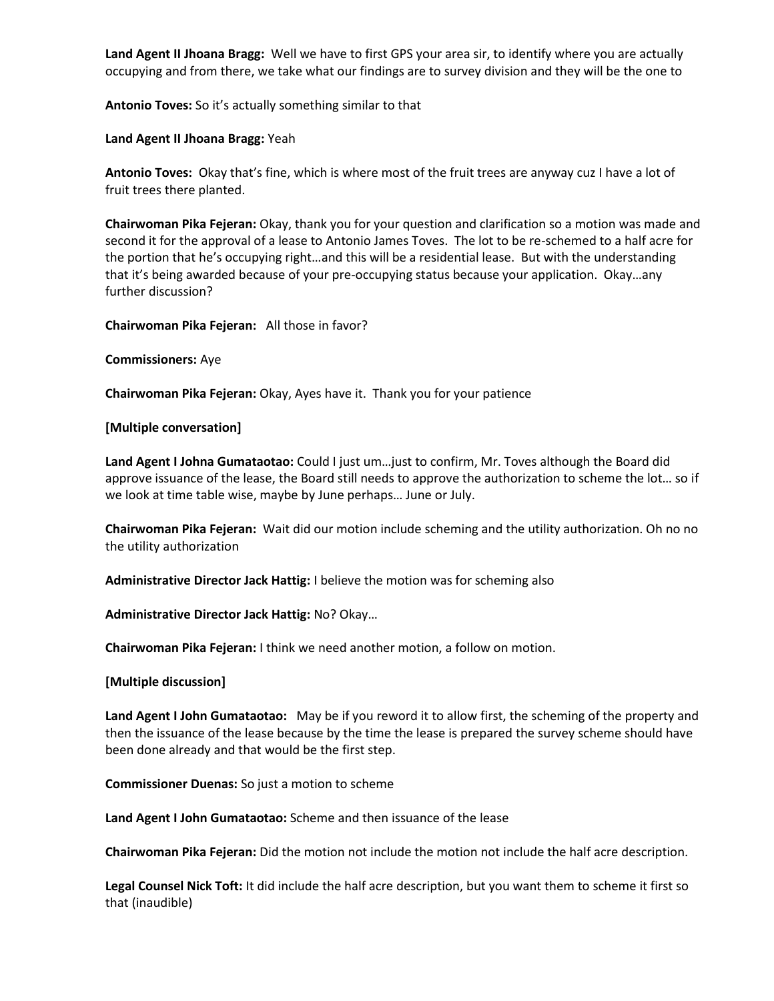**Land Agent II Jhoana Bragg:** Well we have to first GPS your area sir, to identify where you are actually occupying and from there, we take what our findings are to survey division and they will be the one to

**Antonio Toves:** So it's actually something similar to that

**Land Agent II Jhoana Bragg:** Yeah

**Antonio Toves:** Okay that's fine, which is where most of the fruit trees are anyway cuz I have a lot of fruit trees there planted.

**Chairwoman Pika Fejeran:** Okay, thank you for your question and clarification so a motion was made and second it for the approval of a lease to Antonio James Toves. The lot to be re-schemed to a half acre for the portion that he's occupying right…and this will be a residential lease. But with the understanding that it's being awarded because of your pre-occupying status because your application. Okay…any further discussion?

**Chairwoman Pika Fejeran:** All those in favor?

**Commissioners:** Aye

**Chairwoman Pika Fejeran:** Okay, Ayes have it. Thank you for your patience

**[Multiple conversation]**

**Land Agent I Johna Gumataotao:** Could I just um…just to confirm, Mr. Toves although the Board did approve issuance of the lease, the Board still needs to approve the authorization to scheme the lot… so if we look at time table wise, maybe by June perhaps… June or July.

**Chairwoman Pika Fejeran:** Wait did our motion include scheming and the utility authorization. Oh no no the utility authorization

**Administrative Director Jack Hattig:** I believe the motion was for scheming also

**Administrative Director Jack Hattig:** No? Okay…

**Chairwoman Pika Fejeran:** I think we need another motion, a follow on motion.

# **[Multiple discussion]**

**Land Agent I John Gumataotao:** May be if you reword it to allow first, the scheming of the property and then the issuance of the lease because by the time the lease is prepared the survey scheme should have been done already and that would be the first step.

**Commissioner Duenas:** So just a motion to scheme

**Land Agent I John Gumataotao:** Scheme and then issuance of the lease

**Chairwoman Pika Fejeran:** Did the motion not include the motion not include the half acre description.

**Legal Counsel Nick Toft:** It did include the half acre description, but you want them to scheme it first so that (inaudible)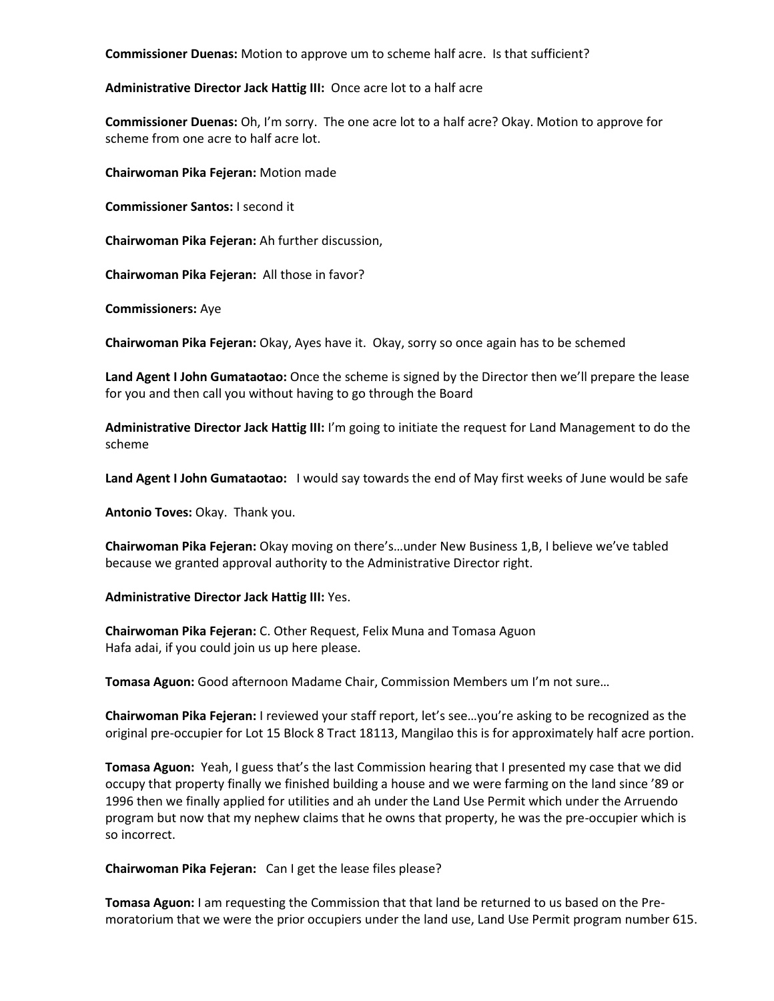**Commissioner Duenas:** Motion to approve um to scheme half acre. Is that sufficient?

**Administrative Director Jack Hattig III:** Once acre lot to a half acre

**Commissioner Duenas:** Oh, I'm sorry. The one acre lot to a half acre? Okay. Motion to approve for scheme from one acre to half acre lot.

**Chairwoman Pika Fejeran:** Motion made

**Commissioner Santos:** I second it

**Chairwoman Pika Fejeran:** Ah further discussion,

**Chairwoman Pika Fejeran:** All those in favor?

**Commissioners:** Aye

**Chairwoman Pika Fejeran:** Okay, Ayes have it. Okay, sorry so once again has to be schemed

**Land Agent I John Gumataotao:** Once the scheme is signed by the Director then we'll prepare the lease for you and then call you without having to go through the Board

**Administrative Director Jack Hattig III:** I'm going to initiate the request for Land Management to do the scheme

**Land Agent I John Gumataotao:** I would say towards the end of May first weeks of June would be safe

**Antonio Toves:** Okay. Thank you.

**Chairwoman Pika Fejeran:** Okay moving on there's…under New Business 1,B, I believe we've tabled because we granted approval authority to the Administrative Director right.

**Administrative Director Jack Hattig III:** Yes.

**Chairwoman Pika Fejeran:** C. Other Request, Felix Muna and Tomasa Aguon Hafa adai, if you could join us up here please.

**Tomasa Aguon:** Good afternoon Madame Chair, Commission Members um I'm not sure…

**Chairwoman Pika Fejeran:** I reviewed your staff report, let's see…you're asking to be recognized as the original pre-occupier for Lot 15 Block 8 Tract 18113, Mangilao this is for approximately half acre portion.

**Tomasa Aguon:** Yeah, I guess that's the last Commission hearing that I presented my case that we did occupy that property finally we finished building a house and we were farming on the land since '89 or 1996 then we finally applied for utilities and ah under the Land Use Permit which under the Arruendo program but now that my nephew claims that he owns that property, he was the pre-occupier which is so incorrect.

**Chairwoman Pika Fejeran:** Can I get the lease files please?

**Tomasa Aguon:** I am requesting the Commission that that land be returned to us based on the Premoratorium that we were the prior occupiers under the land use, Land Use Permit program number 615.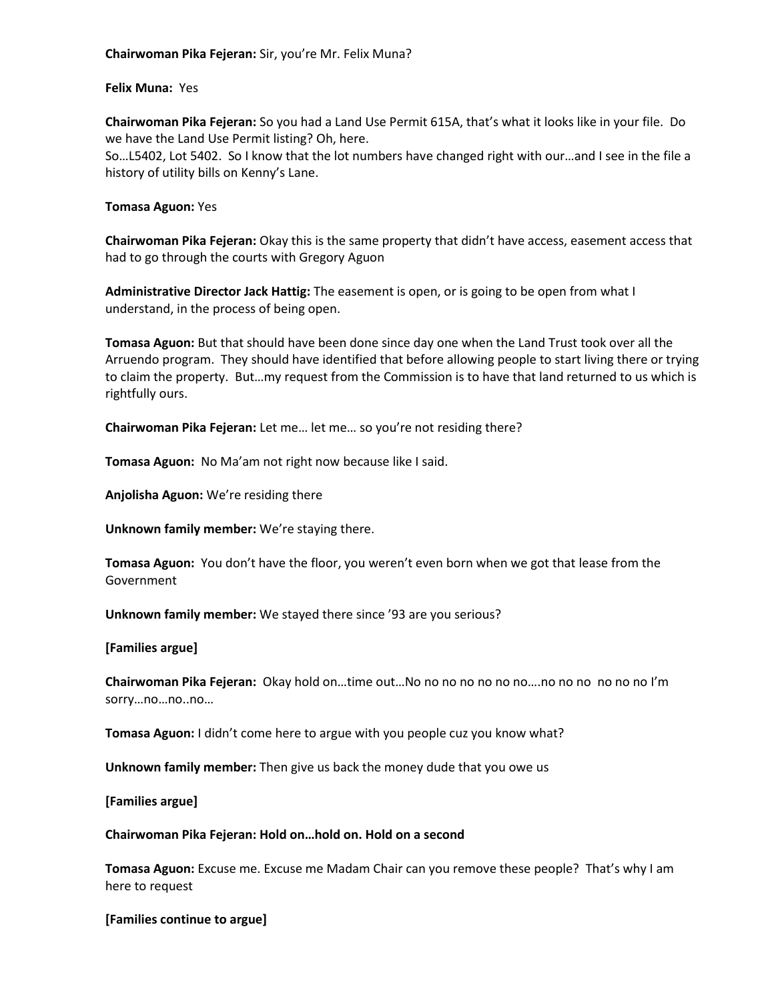## **Chairwoman Pika Fejeran:** Sir, you're Mr. Felix Muna?

#### **Felix Muna:** Yes

**Chairwoman Pika Fejeran:** So you had a Land Use Permit 615A, that's what it looks like in your file. Do we have the Land Use Permit listing? Oh, here.

So…L5402, Lot 5402. So I know that the lot numbers have changed right with our…and I see in the file a history of utility bills on Kenny's Lane.

## **Tomasa Aguon:** Yes

**Chairwoman Pika Fejeran:** Okay this is the same property that didn't have access, easement access that had to go through the courts with Gregory Aguon

**Administrative Director Jack Hattig:** The easement is open, or is going to be open from what I understand, in the process of being open.

**Tomasa Aguon:** But that should have been done since day one when the Land Trust took over all the Arruendo program. They should have identified that before allowing people to start living there or trying to claim the property. But…my request from the Commission is to have that land returned to us which is rightfully ours.

**Chairwoman Pika Fejeran:** Let me… let me… so you're not residing there?

**Tomasa Aguon:** No Ma'am not right now because like I said.

**Anjolisha Aguon:** We're residing there

**Unknown family member:** We're staying there.

**Tomasa Aguon:** You don't have the floor, you weren't even born when we got that lease from the Government

**Unknown family member:** We stayed there since '93 are you serious?

#### **[Families argue]**

**Chairwoman Pika Fejeran:** Okay hold on…time out…No no no no no no no….no no no no no no I'm sorry…no…no..no…

**Tomasa Aguon:** I didn't come here to argue with you people cuz you know what?

**Unknown family member:** Then give us back the money dude that you owe us

**[Families argue]**

#### **Chairwoman Pika Fejeran: Hold on…hold on. Hold on a second**

**Tomasa Aguon:** Excuse me. Excuse me Madam Chair can you remove these people? That's why I am here to request

**[Families continue to argue]**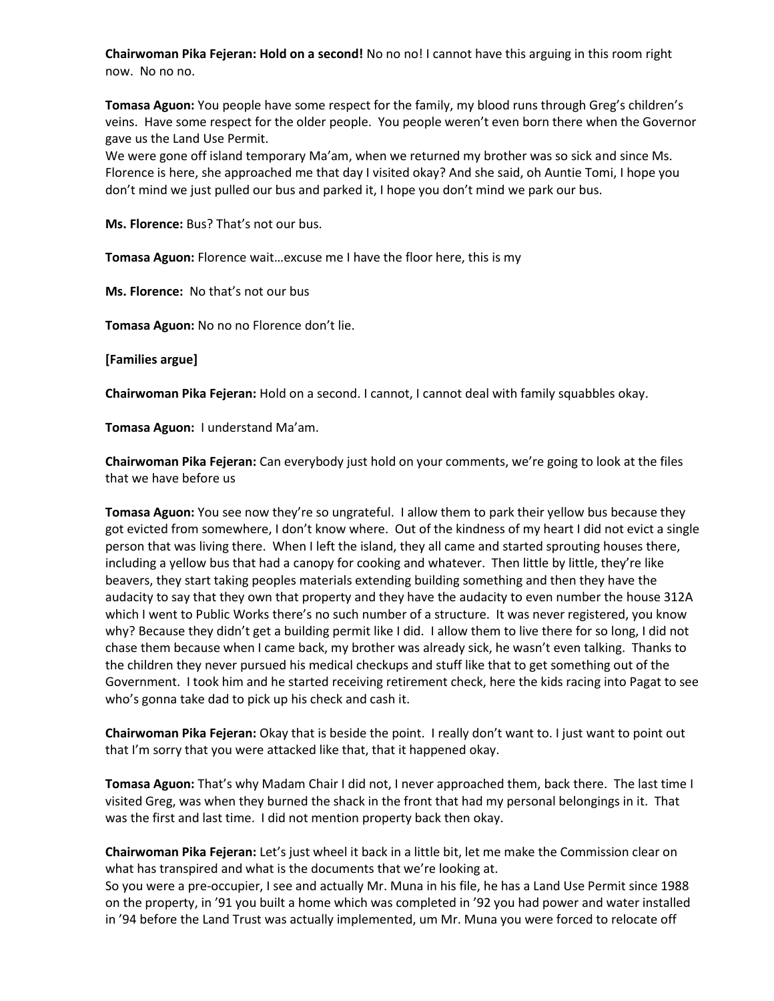**Chairwoman Pika Fejeran: Hold on a second!** No no no! I cannot have this arguing in this room right now. No no no.

**Tomasa Aguon:** You people have some respect for the family, my blood runs through Greg's children's veins. Have some respect for the older people. You people weren't even born there when the Governor gave us the Land Use Permit.

We were gone off island temporary Ma'am, when we returned my brother was so sick and since Ms. Florence is here, she approached me that day I visited okay? And she said, oh Auntie Tomi, I hope you don't mind we just pulled our bus and parked it, I hope you don't mind we park our bus.

**Ms. Florence:** Bus? That's not our bus.

**Tomasa Aguon:** Florence wait…excuse me I have the floor here, this is my

**Ms. Florence:** No that's not our bus

**Tomasa Aguon:** No no no Florence don't lie.

**[Families argue]**

**Chairwoman Pika Fejeran:** Hold on a second. I cannot, I cannot deal with family squabbles okay.

**Tomasa Aguon:** I understand Ma'am.

**Chairwoman Pika Fejeran:** Can everybody just hold on your comments, we're going to look at the files that we have before us

**Tomasa Aguon:** You see now they're so ungrateful. I allow them to park their yellow bus because they got evicted from somewhere, I don't know where. Out of the kindness of my heart I did not evict a single person that was living there. When I left the island, they all came and started sprouting houses there, including a yellow bus that had a canopy for cooking and whatever. Then little by little, they're like beavers, they start taking peoples materials extending building something and then they have the audacity to say that they own that property and they have the audacity to even number the house 312A which I went to Public Works there's no such number of a structure. It was never registered, you know why? Because they didn't get a building permit like I did. I allow them to live there for so long, I did not chase them because when I came back, my brother was already sick, he wasn't even talking. Thanks to the children they never pursued his medical checkups and stuff like that to get something out of the Government. I took him and he started receiving retirement check, here the kids racing into Pagat to see who's gonna take dad to pick up his check and cash it.

**Chairwoman Pika Fejeran:** Okay that is beside the point. I really don't want to. I just want to point out that I'm sorry that you were attacked like that, that it happened okay.

**Tomasa Aguon:** That's why Madam Chair I did not, I never approached them, back there. The last time I visited Greg, was when they burned the shack in the front that had my personal belongings in it. That was the first and last time. I did not mention property back then okay.

**Chairwoman Pika Fejeran:** Let's just wheel it back in a little bit, let me make the Commission clear on what has transpired and what is the documents that we're looking at.

So you were a pre-occupier, I see and actually Mr. Muna in his file, he has a Land Use Permit since 1988 on the property, in '91 you built a home which was completed in '92 you had power and water installed in '94 before the Land Trust was actually implemented, um Mr. Muna you were forced to relocate off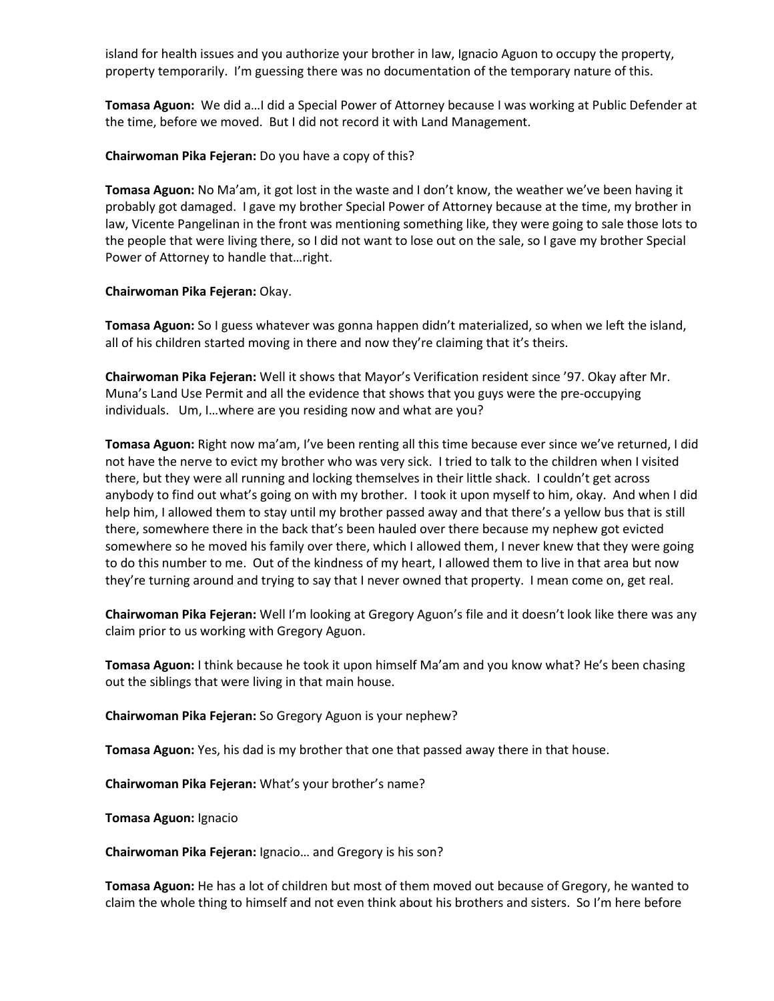island for health issues and you authorize your brother in law, Ignacio Aguon to occupy the property, property temporarily. I'm guessing there was no documentation of the temporary nature of this.

**Tomasa Aguon:** We did a…I did a Special Power of Attorney because I was working at Public Defender at the time, before we moved. But I did not record it with Land Management.

#### **Chairwoman Pika Fejeran:** Do you have a copy of this?

**Tomasa Aguon:** No Ma'am, it got lost in the waste and I don't know, the weather we've been having it probably got damaged. I gave my brother Special Power of Attorney because at the time, my brother in law, Vicente Pangelinan in the front was mentioning something like, they were going to sale those lots to the people that were living there, so I did not want to lose out on the sale, so I gave my brother Special Power of Attorney to handle that…right.

## **Chairwoman Pika Fejeran:** Okay.

**Tomasa Aguon:** So I guess whatever was gonna happen didn't materialized, so when we left the island, all of his children started moving in there and now they're claiming that it's theirs.

**Chairwoman Pika Fejeran:** Well it shows that Mayor's Verification resident since '97. Okay after Mr. Muna's Land Use Permit and all the evidence that shows that you guys were the pre-occupying individuals. Um, I…where are you residing now and what are you?

**Tomasa Aguon:** Right now ma'am, I've been renting all this time because ever since we've returned, I did not have the nerve to evict my brother who was very sick. I tried to talk to the children when I visited there, but they were all running and locking themselves in their little shack. I couldn't get across anybody to find out what's going on with my brother. I took it upon myself to him, okay. And when I did help him, I allowed them to stay until my brother passed away and that there's a yellow bus that is still there, somewhere there in the back that's been hauled over there because my nephew got evicted somewhere so he moved his family over there, which I allowed them, I never knew that they were going to do this number to me. Out of the kindness of my heart, I allowed them to live in that area but now they're turning around and trying to say that I never owned that property. I mean come on, get real.

**Chairwoman Pika Fejeran:** Well I'm looking at Gregory Aguon's file and it doesn't look like there was any claim prior to us working with Gregory Aguon.

**Tomasa Aguon:** I think because he took it upon himself Ma'am and you know what? He's been chasing out the siblings that were living in that main house.

**Chairwoman Pika Fejeran:** So Gregory Aguon is your nephew?

**Tomasa Aguon:** Yes, his dad is my brother that one that passed away there in that house.

**Chairwoman Pika Fejeran:** What's your brother's name?

**Tomasa Aguon:** Ignacio

**Chairwoman Pika Fejeran:** Ignacio… and Gregory is his son?

**Tomasa Aguon:** He has a lot of children but most of them moved out because of Gregory, he wanted to claim the whole thing to himself and not even think about his brothers and sisters. So I'm here before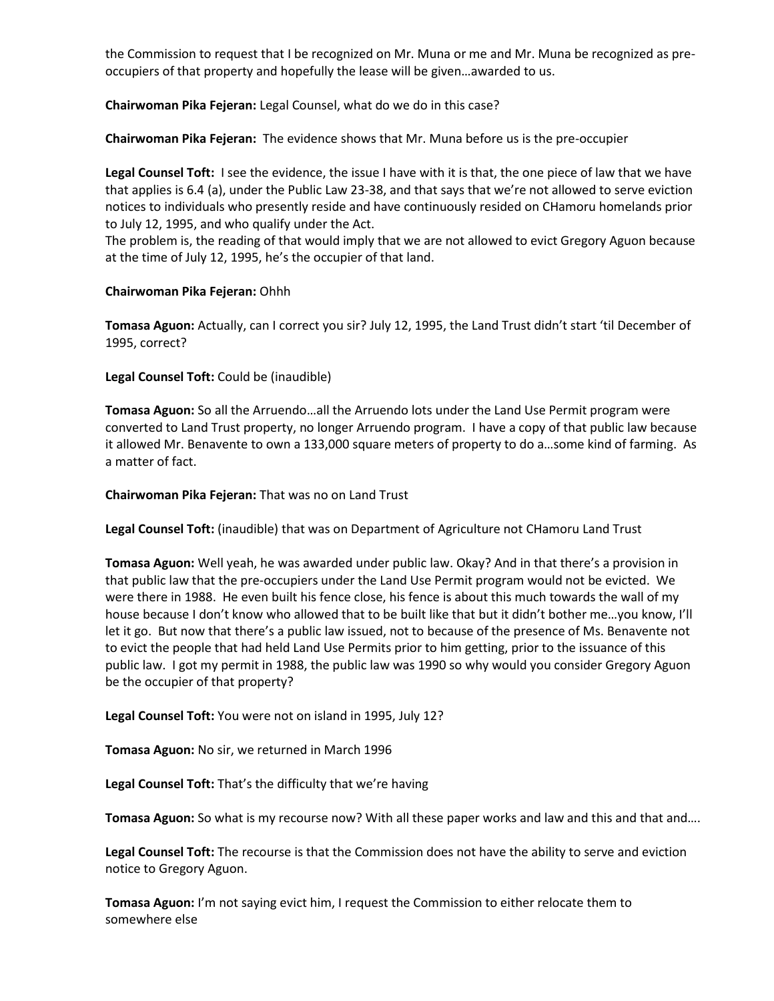the Commission to request that I be recognized on Mr. Muna or me and Mr. Muna be recognized as preoccupiers of that property and hopefully the lease will be given…awarded to us.

**Chairwoman Pika Fejeran:** Legal Counsel, what do we do in this case?

**Chairwoman Pika Fejeran:** The evidence shows that Mr. Muna before us is the pre-occupier

**Legal Counsel Toft:** I see the evidence, the issue I have with it is that, the one piece of law that we have that applies is 6.4 (a), under the Public Law 23-38, and that says that we're not allowed to serve eviction notices to individuals who presently reside and have continuously resided on CHamoru homelands prior to July 12, 1995, and who qualify under the Act.

The problem is, the reading of that would imply that we are not allowed to evict Gregory Aguon because at the time of July 12, 1995, he's the occupier of that land.

## **Chairwoman Pika Fejeran:** Ohhh

**Tomasa Aguon:** Actually, can I correct you sir? July 12, 1995, the Land Trust didn't start 'til December of 1995, correct?

**Legal Counsel Toft:** Could be (inaudible)

**Tomasa Aguon:** So all the Arruendo…all the Arruendo lots under the Land Use Permit program were converted to Land Trust property, no longer Arruendo program. I have a copy of that public law because it allowed Mr. Benavente to own a 133,000 square meters of property to do a…some kind of farming. As a matter of fact.

**Chairwoman Pika Fejeran:** That was no on Land Trust

**Legal Counsel Toft:** (inaudible) that was on Department of Agriculture not CHamoru Land Trust

**Tomasa Aguon:** Well yeah, he was awarded under public law. Okay? And in that there's a provision in that public law that the pre-occupiers under the Land Use Permit program would not be evicted. We were there in 1988. He even built his fence close, his fence is about this much towards the wall of my house because I don't know who allowed that to be built like that but it didn't bother me…you know, I'll let it go. But now that there's a public law issued, not to because of the presence of Ms. Benavente not to evict the people that had held Land Use Permits prior to him getting, prior to the issuance of this public law. I got my permit in 1988, the public law was 1990 so why would you consider Gregory Aguon be the occupier of that property?

**Legal Counsel Toft:** You were not on island in 1995, July 12?

**Tomasa Aguon:** No sir, we returned in March 1996

**Legal Counsel Toft:** That's the difficulty that we're having

**Tomasa Aguon:** So what is my recourse now? With all these paper works and law and this and that and….

**Legal Counsel Toft:** The recourse is that the Commission does not have the ability to serve and eviction notice to Gregory Aguon.

**Tomasa Aguon:** I'm not saying evict him, I request the Commission to either relocate them to somewhere else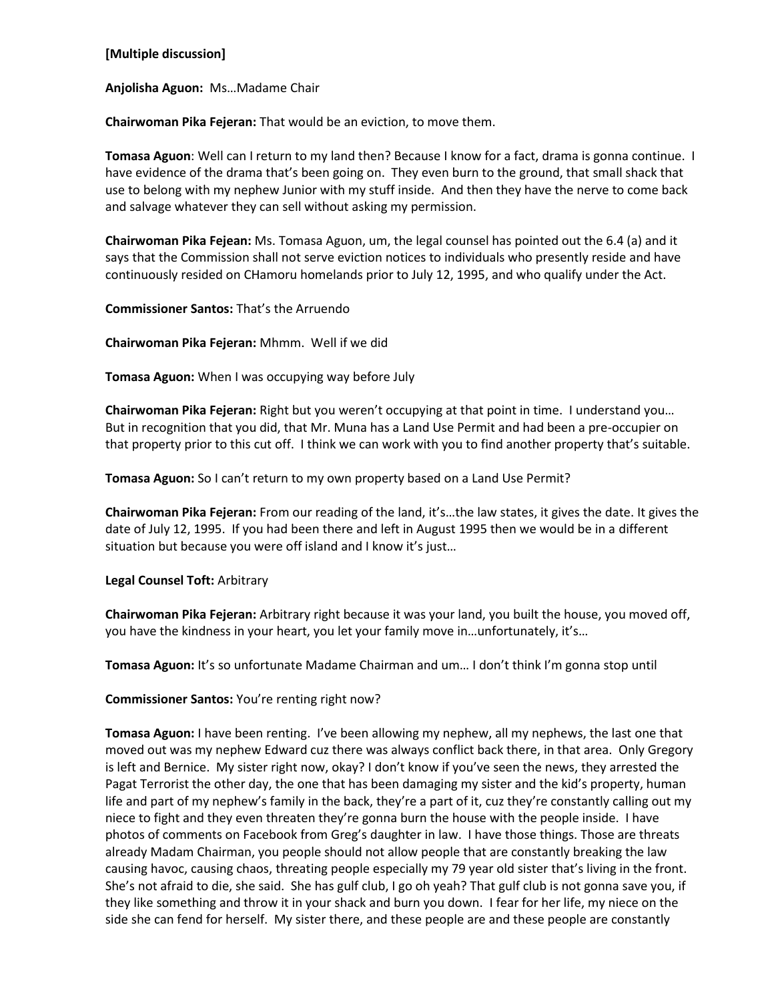# **[Multiple discussion]**

**Anjolisha Aguon:** Ms…Madame Chair

**Chairwoman Pika Fejeran:** That would be an eviction, to move them.

**Tomasa Aguon**: Well can I return to my land then? Because I know for a fact, drama is gonna continue. I have evidence of the drama that's been going on. They even burn to the ground, that small shack that use to belong with my nephew Junior with my stuff inside. And then they have the nerve to come back and salvage whatever they can sell without asking my permission.

**Chairwoman Pika Fejean:** Ms. Tomasa Aguon, um, the legal counsel has pointed out the 6.4 (a) and it says that the Commission shall not serve eviction notices to individuals who presently reside and have continuously resided on CHamoru homelands prior to July 12, 1995, and who qualify under the Act.

**Commissioner Santos:** That's the Arruendo

**Chairwoman Pika Fejeran:** Mhmm. Well if we did

**Tomasa Aguon:** When I was occupying way before July

**Chairwoman Pika Fejeran:** Right but you weren't occupying at that point in time. I understand you… But in recognition that you did, that Mr. Muna has a Land Use Permit and had been a pre-occupier on that property prior to this cut off. I think we can work with you to find another property that's suitable.

**Tomasa Aguon:** So I can't return to my own property based on a Land Use Permit?

**Chairwoman Pika Fejeran:** From our reading of the land, it's…the law states, it gives the date. It gives the date of July 12, 1995. If you had been there and left in August 1995 then we would be in a different situation but because you were off island and I know it's just…

# **Legal Counsel Toft:** Arbitrary

**Chairwoman Pika Fejeran:** Arbitrary right because it was your land, you built the house, you moved off, you have the kindness in your heart, you let your family move in…unfortunately, it's…

**Tomasa Aguon:** It's so unfortunate Madame Chairman and um… I don't think I'm gonna stop until

**Commissioner Santos:** You're renting right now?

**Tomasa Aguon:** I have been renting. I've been allowing my nephew, all my nephews, the last one that moved out was my nephew Edward cuz there was always conflict back there, in that area. Only Gregory is left and Bernice. My sister right now, okay? I don't know if you've seen the news, they arrested the Pagat Terrorist the other day, the one that has been damaging my sister and the kid's property, human life and part of my nephew's family in the back, they're a part of it, cuz they're constantly calling out my niece to fight and they even threaten they're gonna burn the house with the people inside. I have photos of comments on Facebook from Greg's daughter in law. I have those things. Those are threats already Madam Chairman, you people should not allow people that are constantly breaking the law causing havoc, causing chaos, threating people especially my 79 year old sister that's living in the front. She's not afraid to die, she said. She has gulf club, I go oh yeah? That gulf club is not gonna save you, if they like something and throw it in your shack and burn you down. I fear for her life, my niece on the side she can fend for herself. My sister there, and these people are and these people are constantly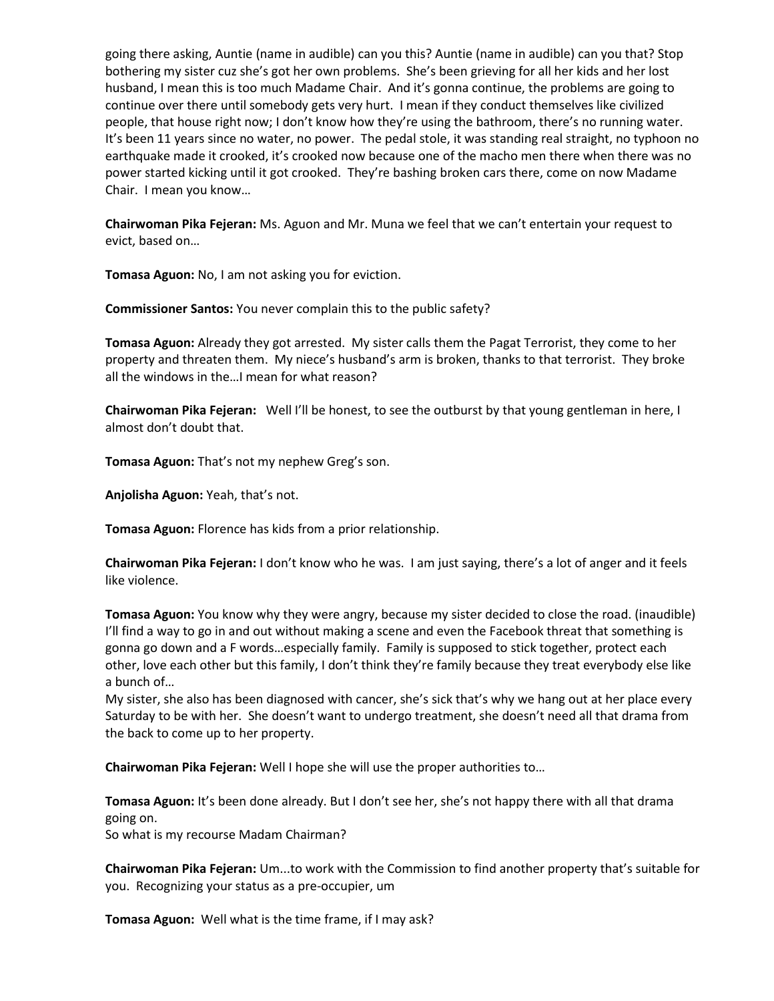going there asking, Auntie (name in audible) can you this? Auntie (name in audible) can you that? Stop bothering my sister cuz she's got her own problems. She's been grieving for all her kids and her lost husband, I mean this is too much Madame Chair. And it's gonna continue, the problems are going to continue over there until somebody gets very hurt. I mean if they conduct themselves like civilized people, that house right now; I don't know how they're using the bathroom, there's no running water. It's been 11 years since no water, no power. The pedal stole, it was standing real straight, no typhoon no earthquake made it crooked, it's crooked now because one of the macho men there when there was no power started kicking until it got crooked. They're bashing broken cars there, come on now Madame Chair. I mean you know…

**Chairwoman Pika Fejeran:** Ms. Aguon and Mr. Muna we feel that we can't entertain your request to evict, based on…

**Tomasa Aguon:** No, I am not asking you for eviction.

**Commissioner Santos:** You never complain this to the public safety?

**Tomasa Aguon:** Already they got arrested. My sister calls them the Pagat Terrorist, they come to her property and threaten them. My niece's husband's arm is broken, thanks to that terrorist. They broke all the windows in the…I mean for what reason?

**Chairwoman Pika Fejeran:** Well I'll be honest, to see the outburst by that young gentleman in here, I almost don't doubt that.

**Tomasa Aguon:** That's not my nephew Greg's son.

**Anjolisha Aguon:** Yeah, that's not.

**Tomasa Aguon:** Florence has kids from a prior relationship.

**Chairwoman Pika Fejeran:** I don't know who he was. I am just saying, there's a lot of anger and it feels like violence.

**Tomasa Aguon:** You know why they were angry, because my sister decided to close the road. (inaudible) I'll find a way to go in and out without making a scene and even the Facebook threat that something is gonna go down and a F words…especially family. Family is supposed to stick together, protect each other, love each other but this family, I don't think they're family because they treat everybody else like a bunch of…

My sister, she also has been diagnosed with cancer, she's sick that's why we hang out at her place every Saturday to be with her. She doesn't want to undergo treatment, she doesn't need all that drama from the back to come up to her property.

**Chairwoman Pika Fejeran:** Well I hope she will use the proper authorities to…

**Tomasa Aguon:** It's been done already. But I don't see her, she's not happy there with all that drama going on.

So what is my recourse Madam Chairman?

**Chairwoman Pika Fejeran:** Um...to work with the Commission to find another property that's suitable for you. Recognizing your status as a pre-occupier, um

**Tomasa Aguon:** Well what is the time frame, if I may ask?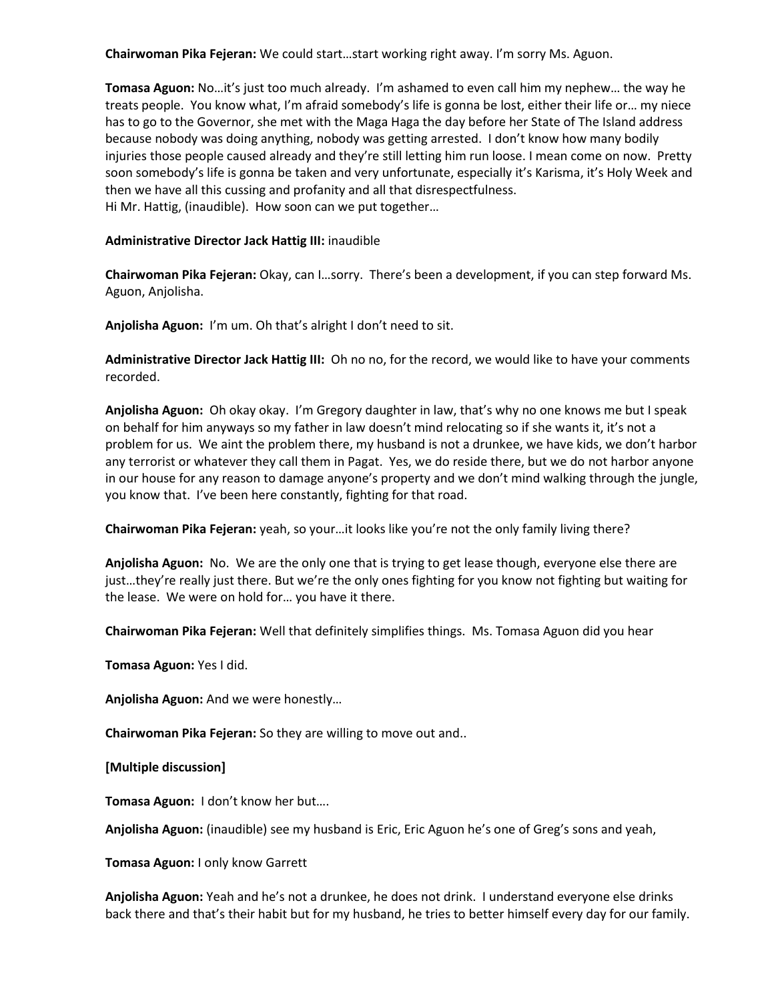**Chairwoman Pika Fejeran:** We could start…start working right away. I'm sorry Ms. Aguon.

**Tomasa Aguon:** No…it's just too much already. I'm ashamed to even call him my nephew… the way he treats people. You know what, I'm afraid somebody's life is gonna be lost, either their life or… my niece has to go to the Governor, she met with the Maga Haga the day before her State of The Island address because nobody was doing anything, nobody was getting arrested. I don't know how many bodily injuries those people caused already and they're still letting him run loose. I mean come on now. Pretty soon somebody's life is gonna be taken and very unfortunate, especially it's Karisma, it's Holy Week and then we have all this cussing and profanity and all that disrespectfulness. Hi Mr. Hattig, (inaudible). How soon can we put together…

## **Administrative Director Jack Hattig III:** inaudible

**Chairwoman Pika Fejeran:** Okay, can I…sorry. There's been a development, if you can step forward Ms. Aguon, Anjolisha.

**Anjolisha Aguon:** I'm um. Oh that's alright I don't need to sit.

**Administrative Director Jack Hattig III:** Oh no no, for the record, we would like to have your comments recorded.

**Anjolisha Aguon:** Oh okay okay. I'm Gregory daughter in law, that's why no one knows me but I speak on behalf for him anyways so my father in law doesn't mind relocating so if she wants it, it's not a problem for us. We aint the problem there, my husband is not a drunkee, we have kids, we don't harbor any terrorist or whatever they call them in Pagat. Yes, we do reside there, but we do not harbor anyone in our house for any reason to damage anyone's property and we don't mind walking through the jungle, you know that. I've been here constantly, fighting for that road.

**Chairwoman Pika Fejeran:** yeah, so your…it looks like you're not the only family living there?

**Anjolisha Aguon:** No. We are the only one that is trying to get lease though, everyone else there are just…they're really just there. But we're the only ones fighting for you know not fighting but waiting for the lease. We were on hold for… you have it there.

**Chairwoman Pika Fejeran:** Well that definitely simplifies things. Ms. Tomasa Aguon did you hear

**Tomasa Aguon:** Yes I did.

**Anjolisha Aguon:** And we were honestly…

**Chairwoman Pika Fejeran:** So they are willing to move out and..

**[Multiple discussion]**

**Tomasa Aguon:** I don't know her but….

**Anjolisha Aguon:** (inaudible) see my husband is Eric, Eric Aguon he's one of Greg's sons and yeah,

**Tomasa Aguon:** I only know Garrett

**Anjolisha Aguon:** Yeah and he's not a drunkee, he does not drink. I understand everyone else drinks back there and that's their habit but for my husband, he tries to better himself every day for our family.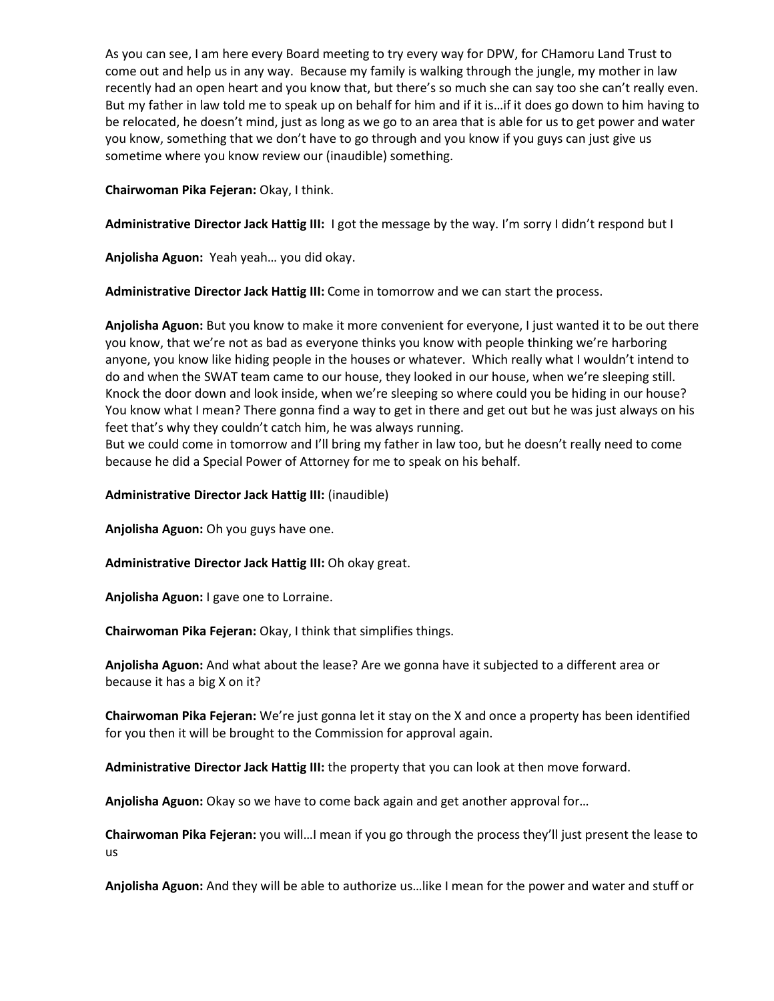As you can see, I am here every Board meeting to try every way for DPW, for CHamoru Land Trust to come out and help us in any way. Because my family is walking through the jungle, my mother in law recently had an open heart and you know that, but there's so much she can say too she can't really even. But my father in law told me to speak up on behalf for him and if it is…if it does go down to him having to be relocated, he doesn't mind, just as long as we go to an area that is able for us to get power and water you know, something that we don't have to go through and you know if you guys can just give us sometime where you know review our (inaudible) something.

**Chairwoman Pika Fejeran:** Okay, I think.

**Administrative Director Jack Hattig III:** I got the message by the way. I'm sorry I didn't respond but I

**Anjolisha Aguon:** Yeah yeah… you did okay.

**Administrative Director Jack Hattig III:** Come in tomorrow and we can start the process.

**Anjolisha Aguon:** But you know to make it more convenient for everyone, I just wanted it to be out there you know, that we're not as bad as everyone thinks you know with people thinking we're harboring anyone, you know like hiding people in the houses or whatever. Which really what I wouldn't intend to do and when the SWAT team came to our house, they looked in our house, when we're sleeping still. Knock the door down and look inside, when we're sleeping so where could you be hiding in our house? You know what I mean? There gonna find a way to get in there and get out but he was just always on his feet that's why they couldn't catch him, he was always running.

But we could come in tomorrow and I'll bring my father in law too, but he doesn't really need to come because he did a Special Power of Attorney for me to speak on his behalf.

## **Administrative Director Jack Hattig III:** (inaudible)

**Anjolisha Aguon:** Oh you guys have one.

**Administrative Director Jack Hattig III:** Oh okay great.

**Anjolisha Aguon:** I gave one to Lorraine.

**Chairwoman Pika Fejeran:** Okay, I think that simplifies things.

**Anjolisha Aguon:** And what about the lease? Are we gonna have it subjected to a different area or because it has a big X on it?

**Chairwoman Pika Fejeran:** We're just gonna let it stay on the X and once a property has been identified for you then it will be brought to the Commission for approval again.

**Administrative Director Jack Hattig III:** the property that you can look at then move forward.

**Anjolisha Aguon:** Okay so we have to come back again and get another approval for…

**Chairwoman Pika Fejeran:** you will…I mean if you go through the process they'll just present the lease to us

**Anjolisha Aguon:** And they will be able to authorize us…like I mean for the power and water and stuff or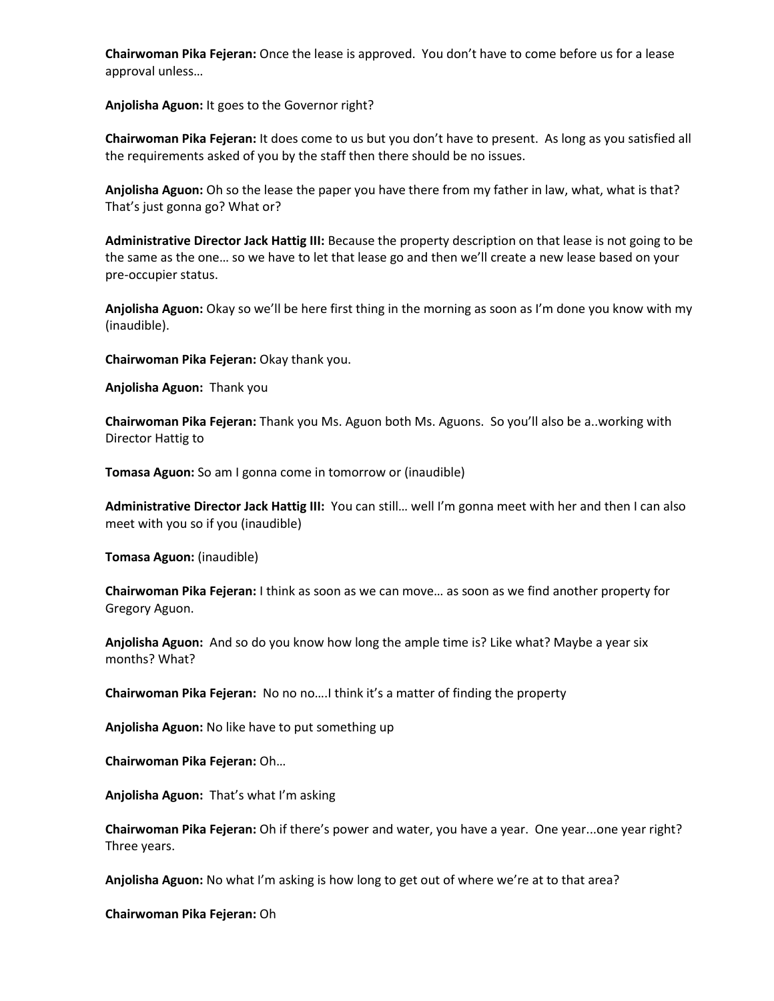**Chairwoman Pika Fejeran:** Once the lease is approved. You don't have to come before us for a lease approval unless…

**Anjolisha Aguon:** It goes to the Governor right?

**Chairwoman Pika Fejeran:** It does come to us but you don't have to present. As long as you satisfied all the requirements asked of you by the staff then there should be no issues.

**Anjolisha Aguon:** Oh so the lease the paper you have there from my father in law, what, what is that? That's just gonna go? What or?

**Administrative Director Jack Hattig III:** Because the property description on that lease is not going to be the same as the one… so we have to let that lease go and then we'll create a new lease based on your pre-occupier status.

**Anjolisha Aguon:** Okay so we'll be here first thing in the morning as soon as I'm done you know with my (inaudible).

**Chairwoman Pika Fejeran:** Okay thank you.

**Anjolisha Aguon:** Thank you

**Chairwoman Pika Fejeran:** Thank you Ms. Aguon both Ms. Aguons. So you'll also be a..working with Director Hattig to

**Tomasa Aguon:** So am I gonna come in tomorrow or (inaudible)

**Administrative Director Jack Hattig III:** You can still… well I'm gonna meet with her and then I can also meet with you so if you (inaudible)

**Tomasa Aguon:** (inaudible)

**Chairwoman Pika Fejeran:** I think as soon as we can move… as soon as we find another property for Gregory Aguon.

**Anjolisha Aguon:** And so do you know how long the ample time is? Like what? Maybe a year six months? What?

**Chairwoman Pika Fejeran:** No no no….I think it's a matter of finding the property

**Anjolisha Aguon:** No like have to put something up

**Chairwoman Pika Fejeran:** Oh…

**Anjolisha Aguon:** That's what I'm asking

**Chairwoman Pika Fejeran:** Oh if there's power and water, you have a year. One year...one year right? Three years.

**Anjolisha Aguon:** No what I'm asking is how long to get out of where we're at to that area?

**Chairwoman Pika Fejeran:** Oh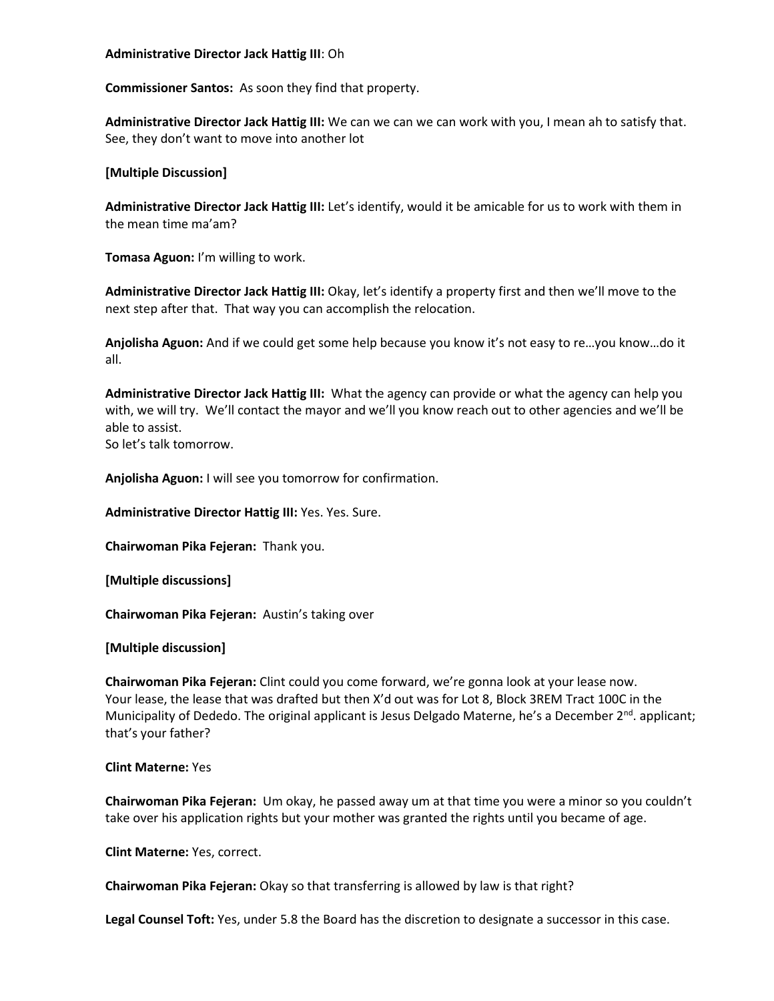#### **Administrative Director Jack Hattig III**: Oh

**Commissioner Santos:** As soon they find that property.

**Administrative Director Jack Hattig III:** We can we can we can work with you, I mean ah to satisfy that. See, they don't want to move into another lot

## **[Multiple Discussion]**

**Administrative Director Jack Hattig III:** Let's identify, would it be amicable for us to work with them in the mean time ma'am?

**Tomasa Aguon:** I'm willing to work.

**Administrative Director Jack Hattig III:** Okay, let's identify a property first and then we'll move to the next step after that. That way you can accomplish the relocation.

**Anjolisha Aguon:** And if we could get some help because you know it's not easy to re…you know…do it all.

**Administrative Director Jack Hattig III:** What the agency can provide or what the agency can help you with, we will try. We'll contact the mayor and we'll you know reach out to other agencies and we'll be able to assist.

So let's talk tomorrow.

**Anjolisha Aguon:** I will see you tomorrow for confirmation.

**Administrative Director Hattig III:** Yes. Yes. Sure.

**Chairwoman Pika Fejeran:** Thank you.

**[Multiple discussions]**

**Chairwoman Pika Fejeran:** Austin's taking over

**[Multiple discussion]**

**Chairwoman Pika Fejeran:** Clint could you come forward, we're gonna look at your lease now. Your lease, the lease that was drafted but then X'd out was for Lot 8, Block 3REM Tract 100C in the Municipality of Dededo. The original applicant is Jesus Delgado Materne, he's a December  $2^{nd}$ . applicant; that's your father?

#### **Clint Materne:** Yes

**Chairwoman Pika Fejeran:** Um okay, he passed away um at that time you were a minor so you couldn't take over his application rights but your mother was granted the rights until you became of age.

**Clint Materne:** Yes, correct.

**Chairwoman Pika Fejeran:** Okay so that transferring is allowed by law is that right?

**Legal Counsel Toft:** Yes, under 5.8 the Board has the discretion to designate a successor in this case.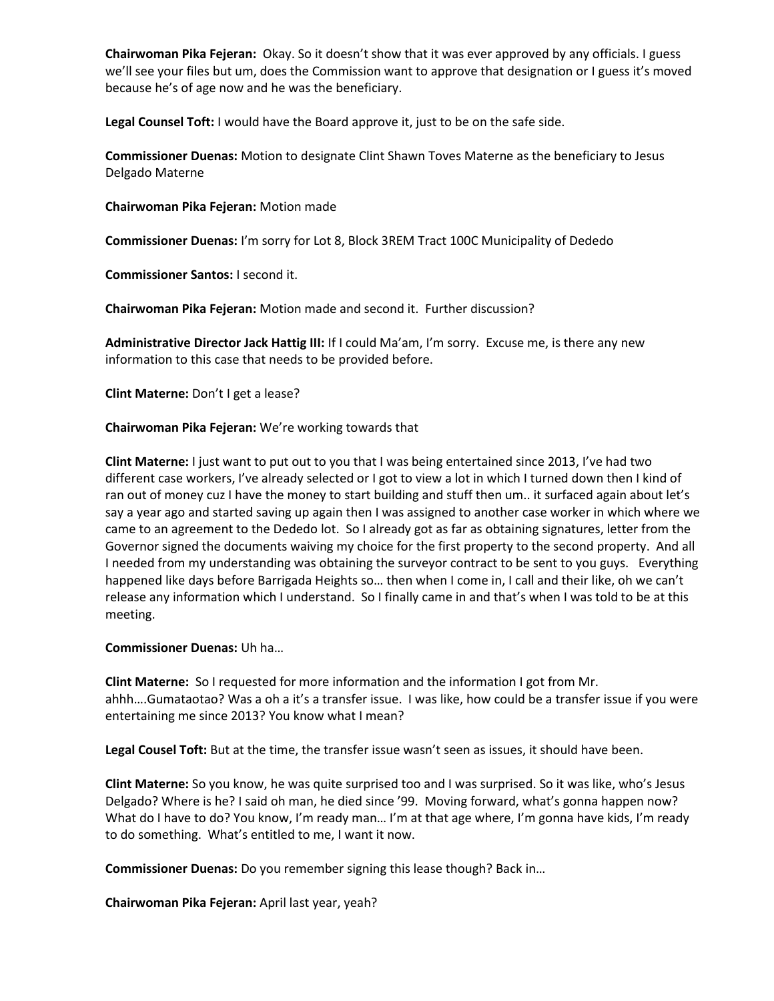**Chairwoman Pika Fejeran:** Okay. So it doesn't show that it was ever approved by any officials. I guess we'll see your files but um, does the Commission want to approve that designation or I guess it's moved because he's of age now and he was the beneficiary.

**Legal Counsel Toft:** I would have the Board approve it, just to be on the safe side.

**Commissioner Duenas:** Motion to designate Clint Shawn Toves Materne as the beneficiary to Jesus Delgado Materne

**Chairwoman Pika Fejeran:** Motion made

**Commissioner Duenas:** I'm sorry for Lot 8, Block 3REM Tract 100C Municipality of Dededo

**Commissioner Santos:** I second it.

**Chairwoman Pika Fejeran:** Motion made and second it. Further discussion?

**Administrative Director Jack Hattig III:** If I could Ma'am, I'm sorry. Excuse me, is there any new information to this case that needs to be provided before.

**Clint Materne:** Don't I get a lease?

**Chairwoman Pika Fejeran:** We're working towards that

**Clint Materne:** I just want to put out to you that I was being entertained since 2013, I've had two different case workers, I've already selected or I got to view a lot in which I turned down then I kind of ran out of money cuz I have the money to start building and stuff then um.. it surfaced again about let's say a year ago and started saving up again then I was assigned to another case worker in which where we came to an agreement to the Dededo lot. So I already got as far as obtaining signatures, letter from the Governor signed the documents waiving my choice for the first property to the second property. And all I needed from my understanding was obtaining the surveyor contract to be sent to you guys. Everything happened like days before Barrigada Heights so… then when I come in, I call and their like, oh we can't release any information which I understand. So I finally came in and that's when I was told to be at this meeting.

**Commissioner Duenas:** Uh ha…

**Clint Materne:** So I requested for more information and the information I got from Mr. ahhh….Gumataotao? Was a oh a it's a transfer issue. I was like, how could be a transfer issue if you were entertaining me since 2013? You know what I mean?

**Legal Cousel Toft:** But at the time, the transfer issue wasn't seen as issues, it should have been.

**Clint Materne:** So you know, he was quite surprised too and I was surprised. So it was like, who's Jesus Delgado? Where is he? I said oh man, he died since '99. Moving forward, what's gonna happen now? What do I have to do? You know, I'm ready man… I'm at that age where, I'm gonna have kids, I'm ready to do something. What's entitled to me, I want it now.

**Commissioner Duenas:** Do you remember signing this lease though? Back in…

**Chairwoman Pika Fejeran:** April last year, yeah?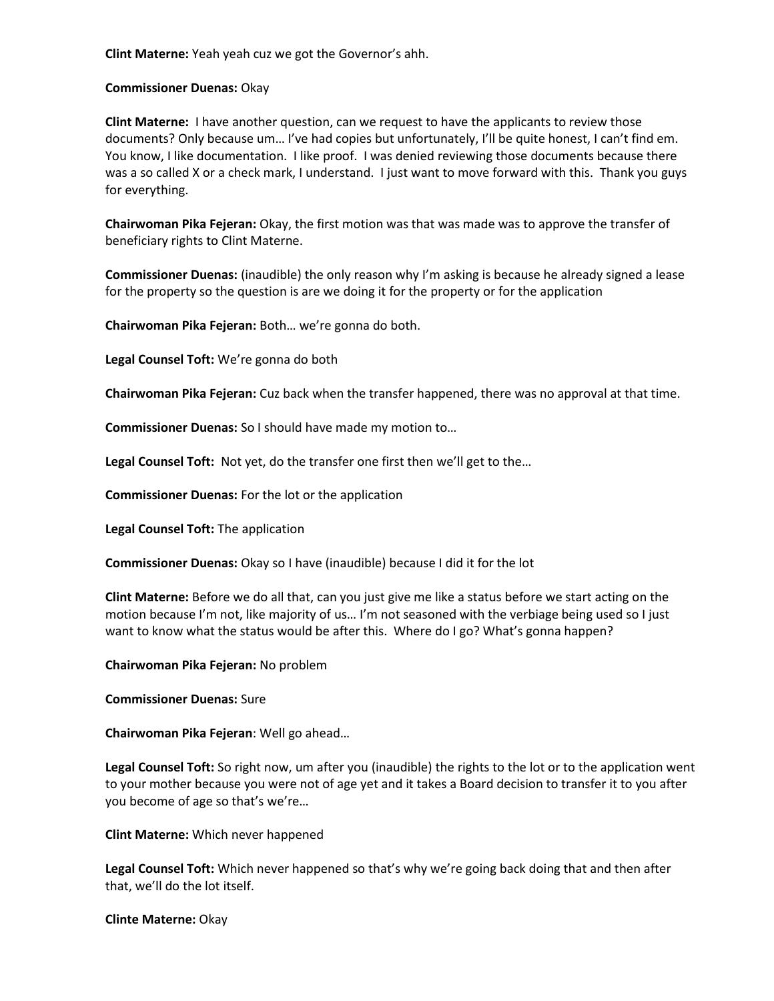**Clint Materne:** Yeah yeah cuz we got the Governor's ahh.

## **Commissioner Duenas:** Okay

**Clint Materne:** I have another question, can we request to have the applicants to review those documents? Only because um… I've had copies but unfortunately, I'll be quite honest, I can't find em. You know, I like documentation. I like proof. I was denied reviewing those documents because there was a so called X or a check mark, I understand. I just want to move forward with this. Thank you guys for everything.

**Chairwoman Pika Fejeran:** Okay, the first motion was that was made was to approve the transfer of beneficiary rights to Clint Materne.

**Commissioner Duenas:** (inaudible) the only reason why I'm asking is because he already signed a lease for the property so the question is are we doing it for the property or for the application

**Chairwoman Pika Fejeran:** Both… we're gonna do both.

**Legal Counsel Toft:** We're gonna do both

**Chairwoman Pika Fejeran:** Cuz back when the transfer happened, there was no approval at that time.

**Commissioner Duenas:** So I should have made my motion to…

**Legal Counsel Toft:** Not yet, do the transfer one first then we'll get to the…

**Commissioner Duenas:** For the lot or the application

**Legal Counsel Toft:** The application

**Commissioner Duenas:** Okay so I have (inaudible) because I did it for the lot

**Clint Materne:** Before we do all that, can you just give me like a status before we start acting on the motion because I'm not, like majority of us… I'm not seasoned with the verbiage being used so I just want to know what the status would be after this. Where do I go? What's gonna happen?

**Chairwoman Pika Fejeran:** No problem

**Commissioner Duenas:** Sure

**Chairwoman Pika Fejeran**: Well go ahead…

**Legal Counsel Toft:** So right now, um after you (inaudible) the rights to the lot or to the application went to your mother because you were not of age yet and it takes a Board decision to transfer it to you after you become of age so that's we're…

**Clint Materne:** Which never happened

**Legal Counsel Toft:** Which never happened so that's why we're going back doing that and then after that, we'll do the lot itself.

**Clinte Materne:** Okay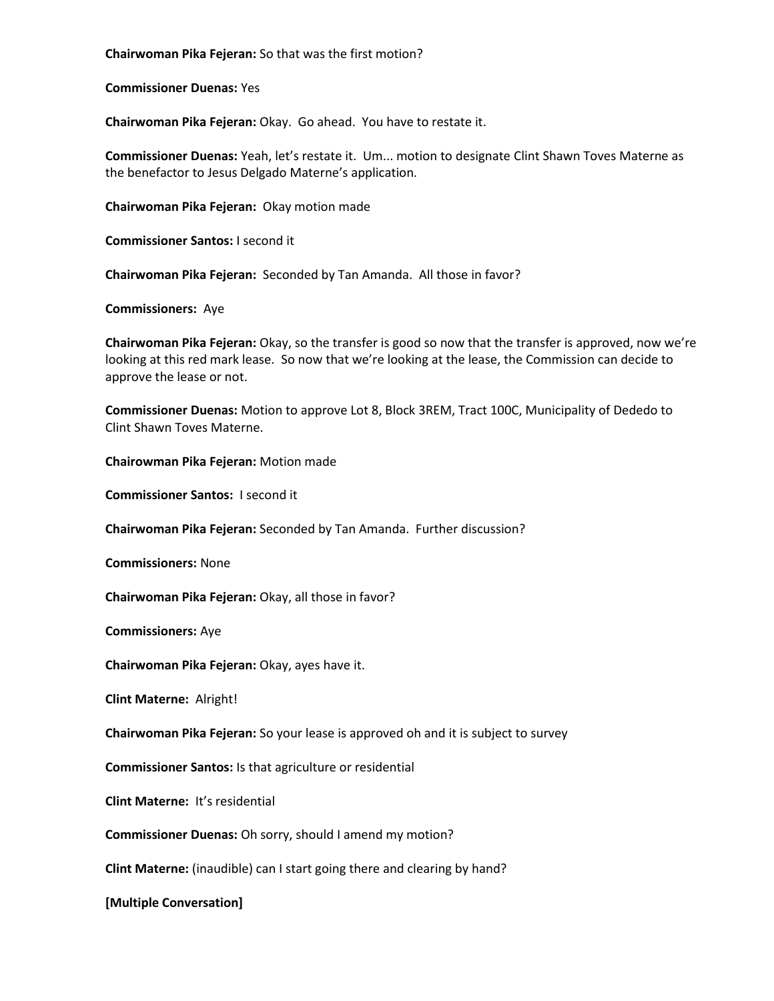**Chairwoman Pika Fejeran:** So that was the first motion?

**Commissioner Duenas:** Yes

**Chairwoman Pika Fejeran:** Okay. Go ahead. You have to restate it.

**Commissioner Duenas:** Yeah, let's restate it. Um... motion to designate Clint Shawn Toves Materne as the benefactor to Jesus Delgado Materne's application.

**Chairwoman Pika Fejeran:** Okay motion made

**Commissioner Santos:** I second it

**Chairwoman Pika Fejeran:** Seconded by Tan Amanda. All those in favor?

**Commissioners:** Aye

**Chairwoman Pika Fejeran:** Okay, so the transfer is good so now that the transfer is approved, now we're looking at this red mark lease. So now that we're looking at the lease, the Commission can decide to approve the lease or not.

**Commissioner Duenas:** Motion to approve Lot 8, Block 3REM, Tract 100C, Municipality of Dededo to Clint Shawn Toves Materne.

**Chairowman Pika Fejeran:** Motion made

**Commissioner Santos:** I second it

**Chairwoman Pika Fejeran:** Seconded by Tan Amanda. Further discussion?

**Commissioners:** None

**Chairwoman Pika Fejeran:** Okay, all those in favor?

**Commissioners:** Aye

**Chairwoman Pika Fejeran:** Okay, ayes have it.

**Clint Materne:** Alright!

**Chairwoman Pika Fejeran:** So your lease is approved oh and it is subject to survey

**Commissioner Santos:** Is that agriculture or residential

**Clint Materne:** It's residential

**Commissioner Duenas:** Oh sorry, should I amend my motion?

**Clint Materne:** (inaudible) can I start going there and clearing by hand?

**[Multiple Conversation]**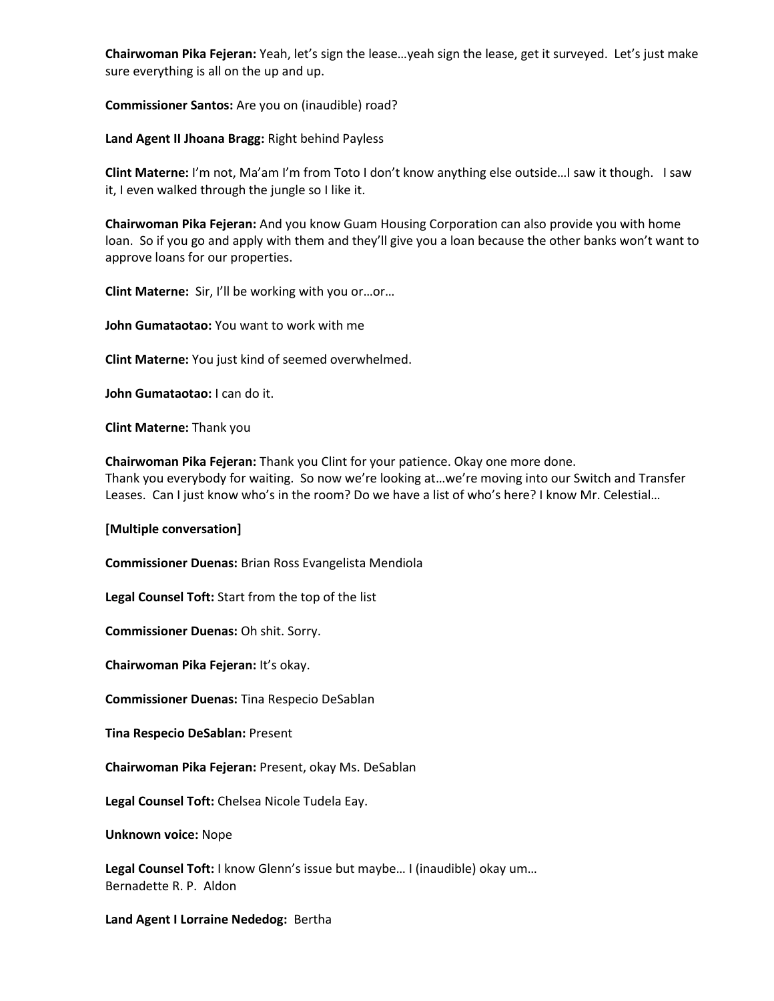**Chairwoman Pika Fejeran:** Yeah, let's sign the lease…yeah sign the lease, get it surveyed. Let's just make sure everything is all on the up and up.

**Commissioner Santos:** Are you on (inaudible) road?

**Land Agent II Jhoana Bragg:** Right behind Payless

**Clint Materne:** I'm not, Ma'am I'm from Toto I don't know anything else outside…I saw it though. I saw it, I even walked through the jungle so I like it.

**Chairwoman Pika Fejeran:** And you know Guam Housing Corporation can also provide you with home loan. So if you go and apply with them and they'll give you a loan because the other banks won't want to approve loans for our properties.

**Clint Materne:** Sir, I'll be working with you or…or…

**John Gumataotao:** You want to work with me

**Clint Materne:** You just kind of seemed overwhelmed.

**John Gumataotao:** I can do it.

**Clint Materne:** Thank you

**Chairwoman Pika Fejeran:** Thank you Clint for your patience. Okay one more done. Thank you everybody for waiting. So now we're looking at…we're moving into our Switch and Transfer Leases. Can I just know who's in the room? Do we have a list of who's here? I know Mr. Celestial…

#### **[Multiple conversation]**

**Commissioner Duenas:** Brian Ross Evangelista Mendiola

**Legal Counsel Toft:** Start from the top of the list

**Commissioner Duenas:** Oh shit. Sorry.

**Chairwoman Pika Fejeran:** It's okay.

**Commissioner Duenas:** Tina Respecio DeSablan

**Tina Respecio DeSablan:** Present

**Chairwoman Pika Fejeran:** Present, okay Ms. DeSablan

**Legal Counsel Toft:** Chelsea Nicole Tudela Eay.

**Unknown voice:** Nope

**Legal Counsel Toft:** I know Glenn's issue but maybe… I (inaudible) okay um… Bernadette R. P. Aldon

**Land Agent I Lorraine Nededog:** Bertha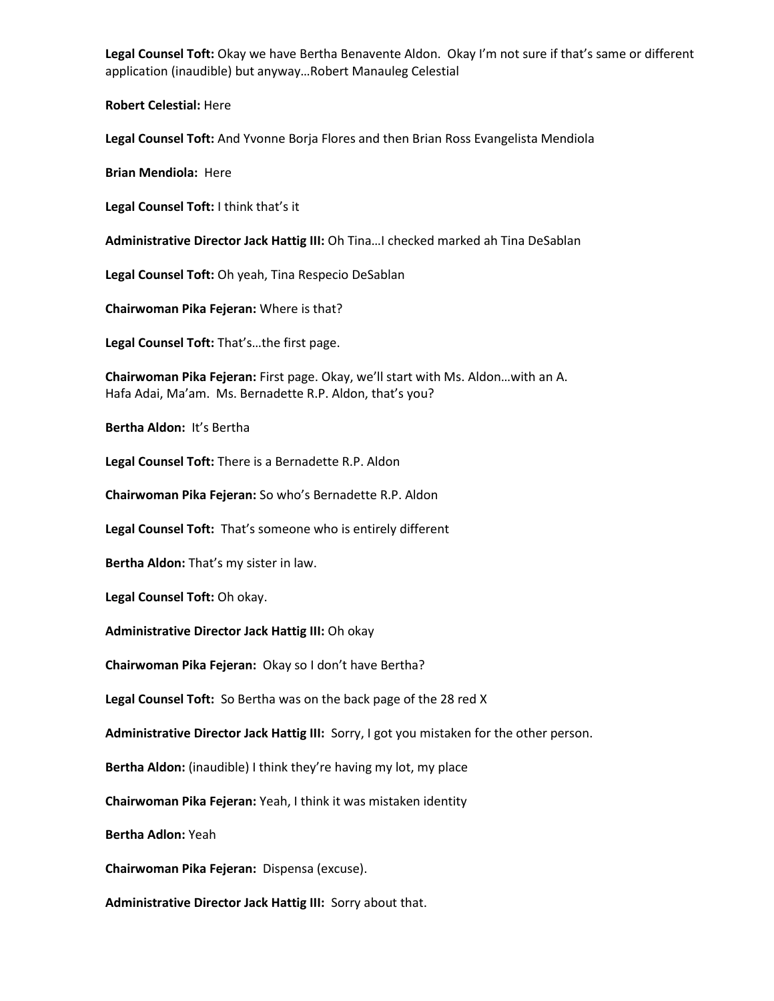**Legal Counsel Toft:** Okay we have Bertha Benavente Aldon. Okay I'm not sure if that's same or different application (inaudible) but anyway…Robert Manauleg Celestial

**Robert Celestial:** Here

**Legal Counsel Toft:** And Yvonne Borja Flores and then Brian Ross Evangelista Mendiola

**Brian Mendiola:** Here

**Legal Counsel Toft:** I think that's it

**Administrative Director Jack Hattig III:** Oh Tina…I checked marked ah Tina DeSablan

**Legal Counsel Toft:** Oh yeah, Tina Respecio DeSablan

**Chairwoman Pika Fejeran:** Where is that?

**Legal Counsel Toft:** That's…the first page.

**Chairwoman Pika Fejeran:** First page. Okay, we'll start with Ms. Aldon…with an A. Hafa Adai, Ma'am. Ms. Bernadette R.P. Aldon, that's you?

**Bertha Aldon:** It's Bertha

**Legal Counsel Toft:** There is a Bernadette R.P. Aldon

**Chairwoman Pika Fejeran:** So who's Bernadette R.P. Aldon

**Legal Counsel Toft:** That's someone who is entirely different

**Bertha Aldon:** That's my sister in law.

**Legal Counsel Toft:** Oh okay.

**Administrative Director Jack Hattig III:** Oh okay

**Chairwoman Pika Fejeran:** Okay so I don't have Bertha?

**Legal Counsel Toft:** So Bertha was on the back page of the 28 red X

**Administrative Director Jack Hattig III:** Sorry, I got you mistaken for the other person.

**Bertha Aldon:** (inaudible) I think they're having my lot, my place

**Chairwoman Pika Fejeran:** Yeah, I think it was mistaken identity

**Bertha Adlon:** Yeah

**Chairwoman Pika Fejeran:** Dispensa (excuse).

**Administrative Director Jack Hattig III:** Sorry about that.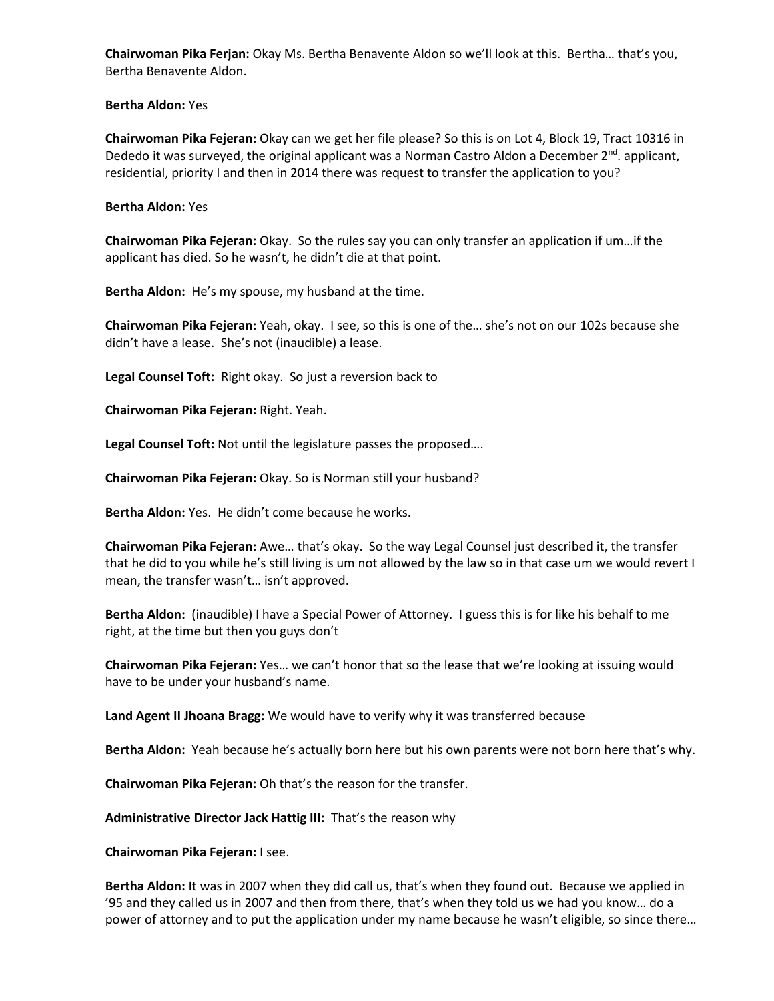**Chairwoman Pika Ferjan:** Okay Ms. Bertha Benavente Aldon so we'll look at this. Bertha… that's you, Bertha Benavente Aldon.

## **Bertha Aldon:** Yes

**Chairwoman Pika Fejeran:** Okay can we get her file please? So this is on Lot 4, Block 19, Tract 10316 in Dededo it was surveyed, the original applicant was a Norman Castro Aldon a December  $2^{nd}$ . applicant, residential, priority I and then in 2014 there was request to transfer the application to you?

## **Bertha Aldon:** Yes

**Chairwoman Pika Fejeran:** Okay. So the rules say you can only transfer an application if um…if the applicant has died. So he wasn't, he didn't die at that point.

**Bertha Aldon:** He's my spouse, my husband at the time.

**Chairwoman Pika Fejeran:** Yeah, okay. I see, so this is one of the… she's not on our 102s because she didn't have a lease. She's not (inaudible) a lease.

**Legal Counsel Toft:** Right okay. So just a reversion back to

**Chairwoman Pika Fejeran:** Right. Yeah.

**Legal Counsel Toft:** Not until the legislature passes the proposed….

**Chairwoman Pika Fejeran:** Okay. So is Norman still your husband?

**Bertha Aldon:** Yes. He didn't come because he works.

**Chairwoman Pika Fejeran:** Awe… that's okay. So the way Legal Counsel just described it, the transfer that he did to you while he's still living is um not allowed by the law so in that case um we would revert I mean, the transfer wasn't… isn't approved.

**Bertha Aldon:** (inaudible) I have a Special Power of Attorney. I guess this is for like his behalf to me right, at the time but then you guys don't

**Chairwoman Pika Fejeran:** Yes… we can't honor that so the lease that we're looking at issuing would have to be under your husband's name.

**Land Agent II Jhoana Bragg:** We would have to verify why it was transferred because

**Bertha Aldon:** Yeah because he's actually born here but his own parents were not born here that's why.

**Chairwoman Pika Fejeran:** Oh that's the reason for the transfer.

**Administrative Director Jack Hattig III:** That's the reason why

**Chairwoman Pika Fejeran:** I see.

**Bertha Aldon:** It was in 2007 when they did call us, that's when they found out. Because we applied in '95 and they called us in 2007 and then from there, that's when they told us we had you know… do a power of attorney and to put the application under my name because he wasn't eligible, so since there…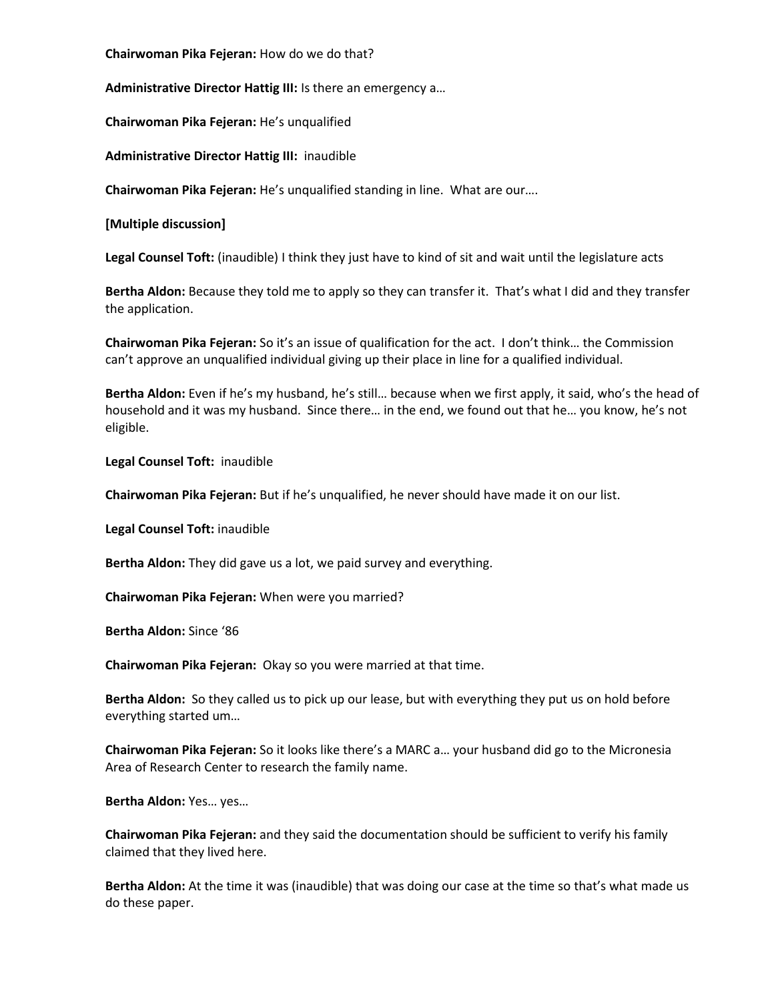**Chairwoman Pika Fejeran:** How do we do that?

**Administrative Director Hattig III:** Is there an emergency a…

**Chairwoman Pika Fejeran:** He's unqualified

**Administrative Director Hattig III:** inaudible

**Chairwoman Pika Fejeran:** He's unqualified standing in line. What are our….

**[Multiple discussion]**

**Legal Counsel Toft:** (inaudible) I think they just have to kind of sit and wait until the legislature acts

**Bertha Aldon:** Because they told me to apply so they can transfer it. That's what I did and they transfer the application.

**Chairwoman Pika Fejeran:** So it's an issue of qualification for the act. I don't think… the Commission can't approve an unqualified individual giving up their place in line for a qualified individual.

**Bertha Aldon:** Even if he's my husband, he's still… because when we first apply, it said, who's the head of household and it was my husband. Since there… in the end, we found out that he… you know, he's not eligible.

**Legal Counsel Toft:** inaudible

**Chairwoman Pika Fejeran:** But if he's unqualified, he never should have made it on our list.

**Legal Counsel Toft:** inaudible

**Bertha Aldon:** They did gave us a lot, we paid survey and everything.

**Chairwoman Pika Fejeran:** When were you married?

**Bertha Aldon:** Since '86

**Chairwoman Pika Fejeran:** Okay so you were married at that time.

**Bertha Aldon:** So they called us to pick up our lease, but with everything they put us on hold before everything started um…

**Chairwoman Pika Fejeran:** So it looks like there's a MARC a… your husband did go to the Micronesia Area of Research Center to research the family name.

**Bertha Aldon:** Yes… yes…

**Chairwoman Pika Fejeran:** and they said the documentation should be sufficient to verify his family claimed that they lived here.

**Bertha Aldon:** At the time it was (inaudible) that was doing our case at the time so that's what made us do these paper.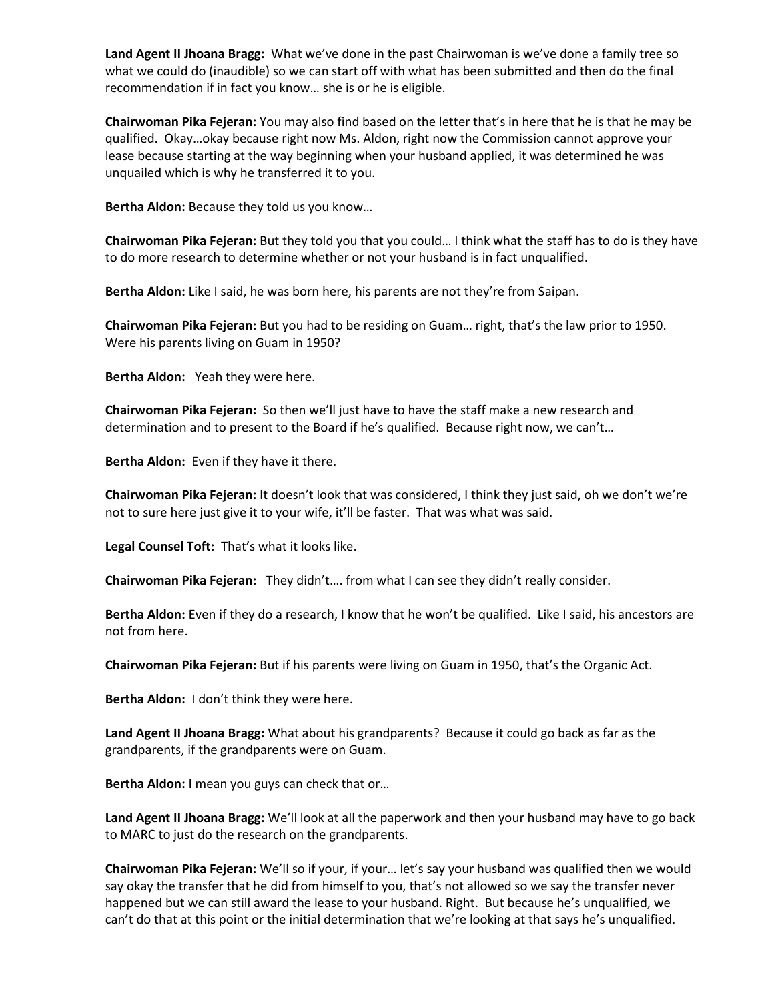**Land Agent II Jhoana Bragg:** What we've done in the past Chairwoman is we've done a family tree so what we could do (inaudible) so we can start off with what has been submitted and then do the final recommendation if in fact you know… she is or he is eligible.

**Chairwoman Pika Fejeran:** You may also find based on the letter that's in here that he is that he may be qualified. Okay…okay because right now Ms. Aldon, right now the Commission cannot approve your lease because starting at the way beginning when your husband applied, it was determined he was unquailed which is why he transferred it to you.

**Bertha Aldon:** Because they told us you know…

**Chairwoman Pika Fejeran:** But they told you that you could… I think what the staff has to do is they have to do more research to determine whether or not your husband is in fact unqualified.

**Bertha Aldon:** Like I said, he was born here, his parents are not they're from Saipan.

**Chairwoman Pika Fejeran:** But you had to be residing on Guam… right, that's the law prior to 1950. Were his parents living on Guam in 1950?

**Bertha Aldon:** Yeah they were here.

**Chairwoman Pika Fejeran:** So then we'll just have to have the staff make a new research and determination and to present to the Board if he's qualified. Because right now, we can't…

**Bertha Aldon:** Even if they have it there.

**Chairwoman Pika Fejeran:** It doesn't look that was considered, I think they just said, oh we don't we're not to sure here just give it to your wife, it'll be faster. That was what was said.

**Legal Counsel Toft:** That's what it looks like.

**Chairwoman Pika Fejeran:** They didn't…. from what I can see they didn't really consider.

**Bertha Aldon:** Even if they do a research, I know that he won't be qualified. Like I said, his ancestors are not from here.

**Chairwoman Pika Fejeran:** But if his parents were living on Guam in 1950, that's the Organic Act.

**Bertha Aldon:** I don't think they were here.

**Land Agent II Jhoana Bragg:** What about his grandparents? Because it could go back as far as the grandparents, if the grandparents were on Guam.

**Bertha Aldon:** I mean you guys can check that or…

**Land Agent II Jhoana Bragg:** We'll look at all the paperwork and then your husband may have to go back to MARC to just do the research on the grandparents.

**Chairwoman Pika Fejeran:** We'll so if your, if your… let's say your husband was qualified then we would say okay the transfer that he did from himself to you, that's not allowed so we say the transfer never happened but we can still award the lease to your husband. Right. But because he's unqualified, we can't do that at this point or the initial determination that we're looking at that says he's unqualified.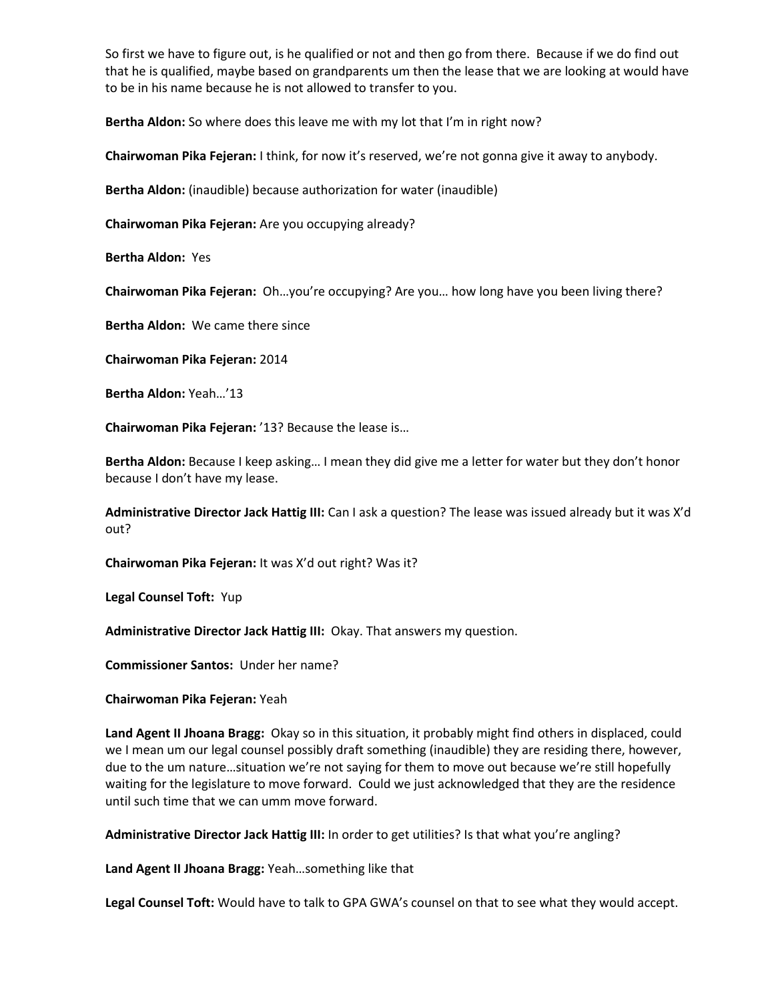So first we have to figure out, is he qualified or not and then go from there. Because if we do find out that he is qualified, maybe based on grandparents um then the lease that we are looking at would have to be in his name because he is not allowed to transfer to you.

**Bertha Aldon:** So where does this leave me with my lot that I'm in right now?

**Chairwoman Pika Fejeran:** I think, for now it's reserved, we're not gonna give it away to anybody.

**Bertha Aldon:** (inaudible) because authorization for water (inaudible)

**Chairwoman Pika Fejeran:** Are you occupying already?

**Bertha Aldon:** Yes

**Chairwoman Pika Fejeran:** Oh…you're occupying? Are you… how long have you been living there?

**Bertha Aldon:** We came there since

**Chairwoman Pika Fejeran:** 2014

**Bertha Aldon:** Yeah…'13

**Chairwoman Pika Fejeran:** '13? Because the lease is…

**Bertha Aldon:** Because I keep asking… I mean they did give me a letter for water but they don't honor because I don't have my lease.

**Administrative Director Jack Hattig III:** Can I ask a question? The lease was issued already but it was X'd out?

**Chairwoman Pika Fejeran:** It was X'd out right? Was it?

**Legal Counsel Toft:** Yup

**Administrative Director Jack Hattig III:** Okay. That answers my question.

**Commissioner Santos:** Under her name?

**Chairwoman Pika Fejeran:** Yeah

**Land Agent II Jhoana Bragg:** Okay so in this situation, it probably might find others in displaced, could we I mean um our legal counsel possibly draft something (inaudible) they are residing there, however, due to the um nature…situation we're not saying for them to move out because we're still hopefully waiting for the legislature to move forward. Could we just acknowledged that they are the residence until such time that we can umm move forward.

**Administrative Director Jack Hattig III:** In order to get utilities? Is that what you're angling?

**Land Agent II Jhoana Bragg:** Yeah…something like that

**Legal Counsel Toft:** Would have to talk to GPA GWA's counsel on that to see what they would accept.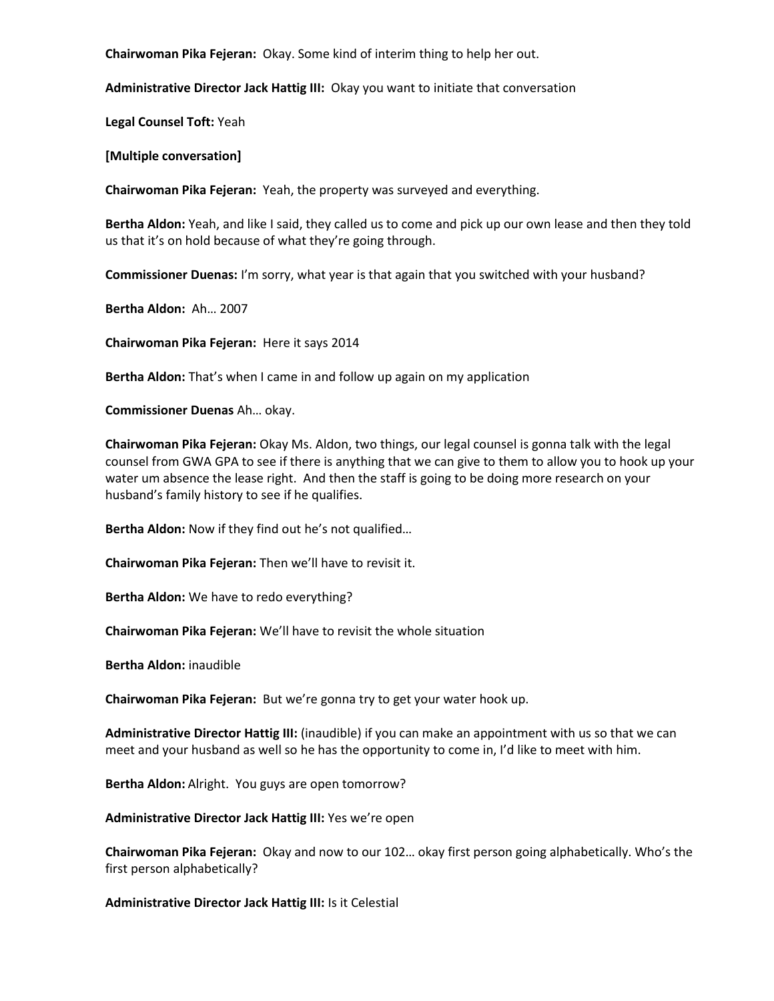**Chairwoman Pika Fejeran:** Okay. Some kind of interim thing to help her out.

**Administrative Director Jack Hattig III:** Okay you want to initiate that conversation

**Legal Counsel Toft:** Yeah

**[Multiple conversation]**

**Chairwoman Pika Fejeran:** Yeah, the property was surveyed and everything.

**Bertha Aldon:** Yeah, and like I said, they called us to come and pick up our own lease and then they told us that it's on hold because of what they're going through.

**Commissioner Duenas:** I'm sorry, what year is that again that you switched with your husband?

**Bertha Aldon:** Ah… 2007

**Chairwoman Pika Fejeran:** Here it says 2014

**Bertha Aldon:** That's when I came in and follow up again on my application

**Commissioner Duenas** Ah… okay.

**Chairwoman Pika Fejeran:** Okay Ms. Aldon, two things, our legal counsel is gonna talk with the legal counsel from GWA GPA to see if there is anything that we can give to them to allow you to hook up your water um absence the lease right. And then the staff is going to be doing more research on your husband's family history to see if he qualifies.

**Bertha Aldon:** Now if they find out he's not qualified…

**Chairwoman Pika Fejeran:** Then we'll have to revisit it.

**Bertha Aldon:** We have to redo everything?

**Chairwoman Pika Fejeran:** We'll have to revisit the whole situation

**Bertha Aldon:** inaudible

**Chairwoman Pika Fejeran:** But we're gonna try to get your water hook up.

**Administrative Director Hattig III:** (inaudible) if you can make an appointment with us so that we can meet and your husband as well so he has the opportunity to come in, I'd like to meet with him.

**Bertha Aldon:** Alright. You guys are open tomorrow?

**Administrative Director Jack Hattig III:** Yes we're open

**Chairwoman Pika Fejeran:** Okay and now to our 102… okay first person going alphabetically. Who's the first person alphabetically?

**Administrative Director Jack Hattig III:** Is it Celestial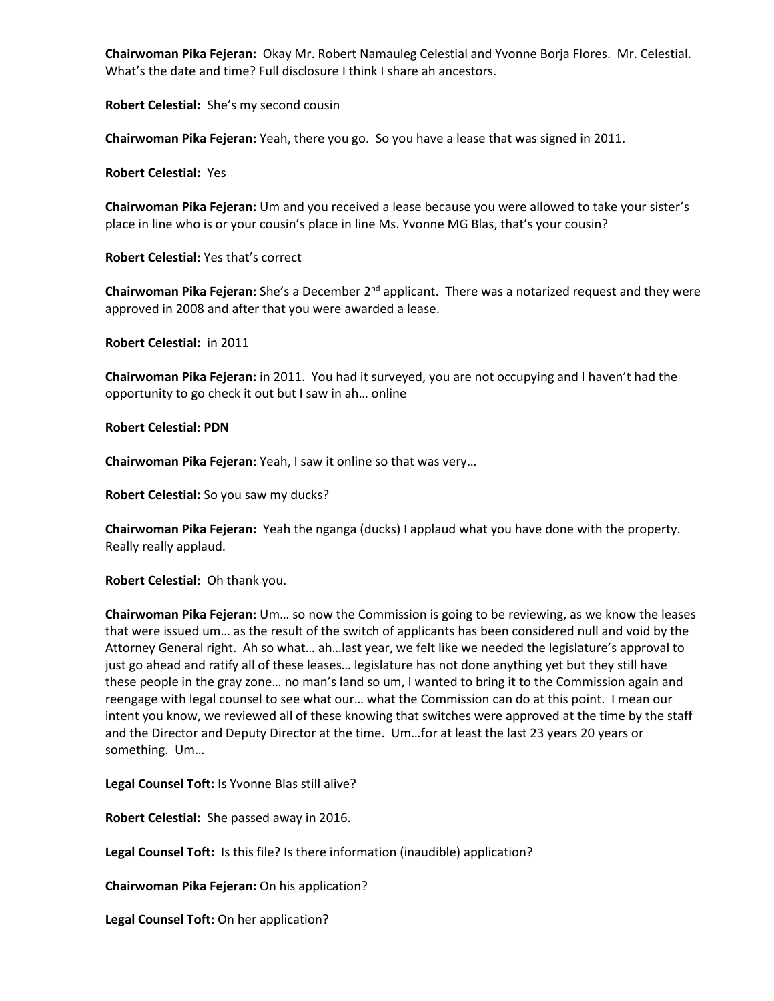**Chairwoman Pika Fejeran:** Okay Mr. Robert Namauleg Celestial and Yvonne Borja Flores. Mr. Celestial. What's the date and time? Full disclosure I think I share ah ancestors.

**Robert Celestial:** She's my second cousin

**Chairwoman Pika Fejeran:** Yeah, there you go. So you have a lease that was signed in 2011.

**Robert Celestial:** Yes

**Chairwoman Pika Fejeran:** Um and you received a lease because you were allowed to take your sister's place in line who is or your cousin's place in line Ms. Yvonne MG Blas, that's your cousin?

**Robert Celestial:** Yes that's correct

**Chairwoman Pika Fejeran:** She's a December 2nd applicant. There was a notarized request and they were approved in 2008 and after that you were awarded a lease.

**Robert Celestial:** in 2011

**Chairwoman Pika Fejeran:** in 2011. You had it surveyed, you are not occupying and I haven't had the opportunity to go check it out but I saw in ah… online

**Robert Celestial: PDN**

**Chairwoman Pika Fejeran:** Yeah, I saw it online so that was very…

**Robert Celestial:** So you saw my ducks?

**Chairwoman Pika Fejeran:** Yeah the nganga (ducks) I applaud what you have done with the property. Really really applaud.

**Robert Celestial:** Oh thank you.

**Chairwoman Pika Fejeran:** Um… so now the Commission is going to be reviewing, as we know the leases that were issued um… as the result of the switch of applicants has been considered null and void by the Attorney General right. Ah so what… ah…last year, we felt like we needed the legislature's approval to just go ahead and ratify all of these leases… legislature has not done anything yet but they still have these people in the gray zone… no man's land so um, I wanted to bring it to the Commission again and reengage with legal counsel to see what our… what the Commission can do at this point. I mean our intent you know, we reviewed all of these knowing that switches were approved at the time by the staff and the Director and Deputy Director at the time. Um…for at least the last 23 years 20 years or something. Um…

**Legal Counsel Toft:** Is Yvonne Blas still alive?

**Robert Celestial:** She passed away in 2016.

**Legal Counsel Toft:** Is this file? Is there information (inaudible) application?

**Chairwoman Pika Fejeran:** On his application?

**Legal Counsel Toft:** On her application?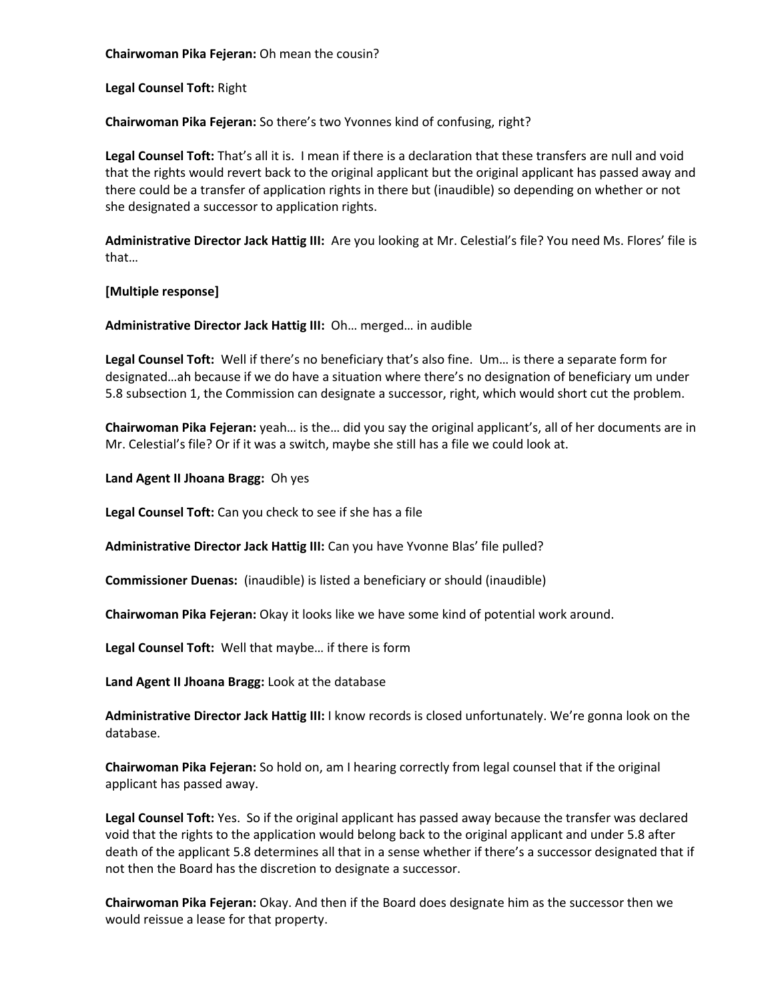## **Chairwoman Pika Fejeran:** Oh mean the cousin?

**Legal Counsel Toft:** Right

**Chairwoman Pika Fejeran:** So there's two Yvonnes kind of confusing, right?

**Legal Counsel Toft:** That's all it is. I mean if there is a declaration that these transfers are null and void that the rights would revert back to the original applicant but the original applicant has passed away and there could be a transfer of application rights in there but (inaudible) so depending on whether or not she designated a successor to application rights.

**Administrative Director Jack Hattig III:** Are you looking at Mr. Celestial's file? You need Ms. Flores' file is that…

**[Multiple response]**

**Administrative Director Jack Hattig III:** Oh… merged… in audible

**Legal Counsel Toft:** Well if there's no beneficiary that's also fine. Um… is there a separate form for designated…ah because if we do have a situation where there's no designation of beneficiary um under 5.8 subsection 1, the Commission can designate a successor, right, which would short cut the problem.

**Chairwoman Pika Fejeran:** yeah… is the… did you say the original applicant's, all of her documents are in Mr. Celestial's file? Or if it was a switch, maybe she still has a file we could look at.

**Land Agent II Jhoana Bragg:** Oh yes

**Legal Counsel Toft:** Can you check to see if she has a file

**Administrative Director Jack Hattig III:** Can you have Yvonne Blas' file pulled?

**Commissioner Duenas:** (inaudible) is listed a beneficiary or should (inaudible)

**Chairwoman Pika Fejeran:** Okay it looks like we have some kind of potential work around.

**Legal Counsel Toft:** Well that maybe… if there is form

**Land Agent II Jhoana Bragg:** Look at the database

**Administrative Director Jack Hattig III:** I know records is closed unfortunately. We're gonna look on the database.

**Chairwoman Pika Fejeran:** So hold on, am I hearing correctly from legal counsel that if the original applicant has passed away.

**Legal Counsel Toft:** Yes. So if the original applicant has passed away because the transfer was declared void that the rights to the application would belong back to the original applicant and under 5.8 after death of the applicant 5.8 determines all that in a sense whether if there's a successor designated that if not then the Board has the discretion to designate a successor.

**Chairwoman Pika Fejeran:** Okay. And then if the Board does designate him as the successor then we would reissue a lease for that property.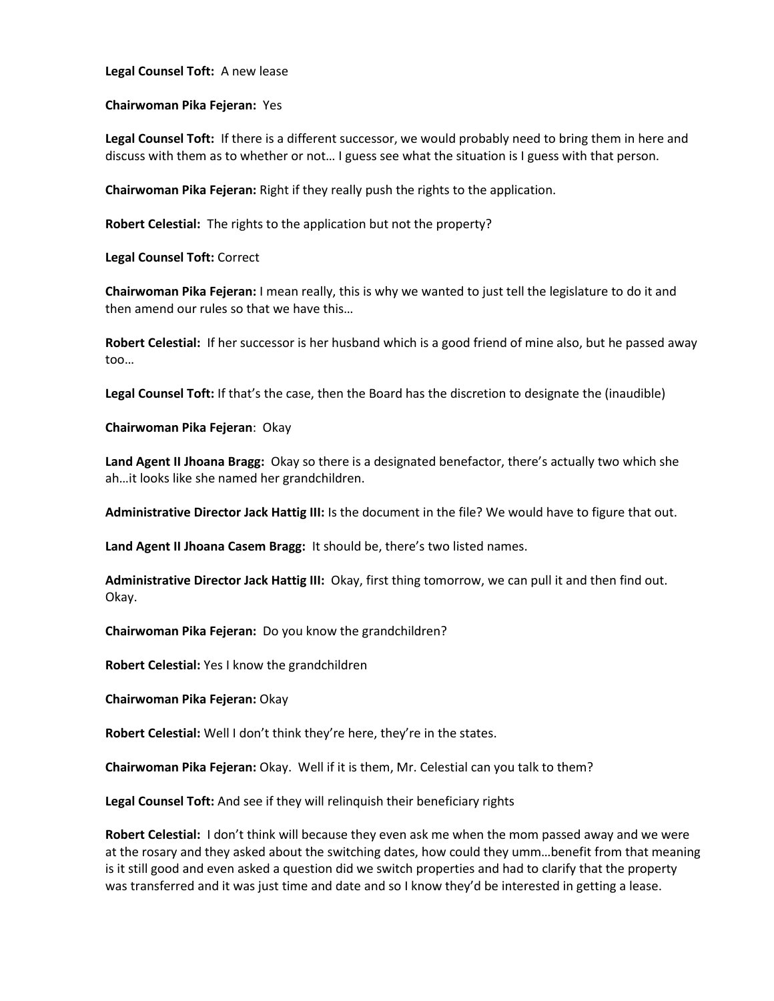**Legal Counsel Toft:** A new lease

**Chairwoman Pika Fejeran:** Yes

**Legal Counsel Toft:** If there is a different successor, we would probably need to bring them in here and discuss with them as to whether or not… I guess see what the situation is I guess with that person.

**Chairwoman Pika Fejeran:** Right if they really push the rights to the application.

**Robert Celestial:** The rights to the application but not the property?

**Legal Counsel Toft:** Correct

**Chairwoman Pika Fejeran:** I mean really, this is why we wanted to just tell the legislature to do it and then amend our rules so that we have this…

**Robert Celestial:** If her successor is her husband which is a good friend of mine also, but he passed away too…

**Legal Counsel Toft:** If that's the case, then the Board has the discretion to designate the (inaudible)

**Chairwoman Pika Fejeran**: Okay

**Land Agent II Jhoana Bragg:** Okay so there is a designated benefactor, there's actually two which she ah…it looks like she named her grandchildren.

**Administrative Director Jack Hattig III:** Is the document in the file? We would have to figure that out.

**Land Agent II Jhoana Casem Bragg:** It should be, there's two listed names.

**Administrative Director Jack Hattig III:** Okay, first thing tomorrow, we can pull it and then find out. Okay.

**Chairwoman Pika Fejeran:** Do you know the grandchildren?

**Robert Celestial:** Yes I know the grandchildren

**Chairwoman Pika Fejeran:** Okay

**Robert Celestial:** Well I don't think they're here, they're in the states.

**Chairwoman Pika Fejeran:** Okay. Well if it is them, Mr. Celestial can you talk to them?

**Legal Counsel Toft:** And see if they will relinquish their beneficiary rights

**Robert Celestial:** I don't think will because they even ask me when the mom passed away and we were at the rosary and they asked about the switching dates, how could they umm…benefit from that meaning is it still good and even asked a question did we switch properties and had to clarify that the property was transferred and it was just time and date and so I know they'd be interested in getting a lease.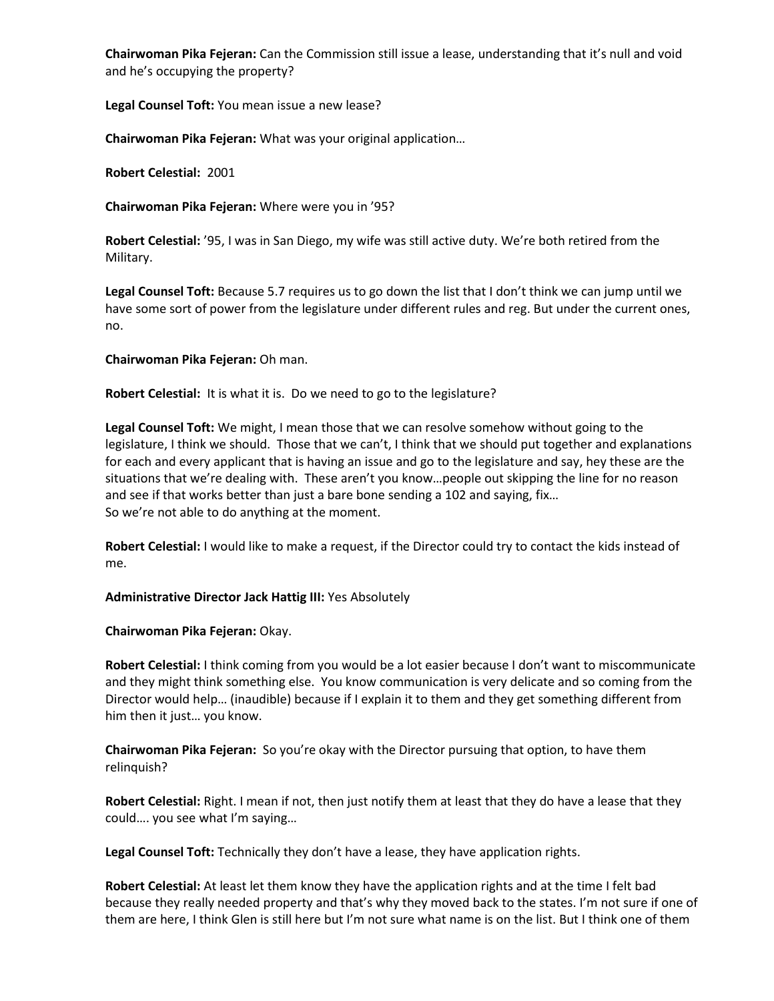**Chairwoman Pika Fejeran:** Can the Commission still issue a lease, understanding that it's null and void and he's occupying the property?

**Legal Counsel Toft:** You mean issue a new lease?

**Chairwoman Pika Fejeran:** What was your original application…

**Robert Celestial:** 2001

**Chairwoman Pika Fejeran:** Where were you in '95?

**Robert Celestial:** '95, I was in San Diego, my wife was still active duty. We're both retired from the Military.

**Legal Counsel Toft:** Because 5.7 requires us to go down the list that I don't think we can jump until we have some sort of power from the legislature under different rules and reg. But under the current ones, no.

**Chairwoman Pika Fejeran:** Oh man.

**Robert Celestial:** It is what it is. Do we need to go to the legislature?

**Legal Counsel Toft:** We might, I mean those that we can resolve somehow without going to the legislature, I think we should. Those that we can't, I think that we should put together and explanations for each and every applicant that is having an issue and go to the legislature and say, hey these are the situations that we're dealing with. These aren't you know…people out skipping the line for no reason and see if that works better than just a bare bone sending a 102 and saying, fix… So we're not able to do anything at the moment.

**Robert Celestial:** I would like to make a request, if the Director could try to contact the kids instead of me.

**Administrative Director Jack Hattig III:** Yes Absolutely

**Chairwoman Pika Fejeran:** Okay.

**Robert Celestial:** I think coming from you would be a lot easier because I don't want to miscommunicate and they might think something else. You know communication is very delicate and so coming from the Director would help… (inaudible) because if I explain it to them and they get something different from him then it just… you know.

**Chairwoman Pika Fejeran:** So you're okay with the Director pursuing that option, to have them relinquish?

**Robert Celestial:** Right. I mean if not, then just notify them at least that they do have a lease that they could…. you see what I'm saying…

**Legal Counsel Toft:** Technically they don't have a lease, they have application rights.

**Robert Celestial:** At least let them know they have the application rights and at the time I felt bad because they really needed property and that's why they moved back to the states. I'm not sure if one of them are here, I think Glen is still here but I'm not sure what name is on the list. But I think one of them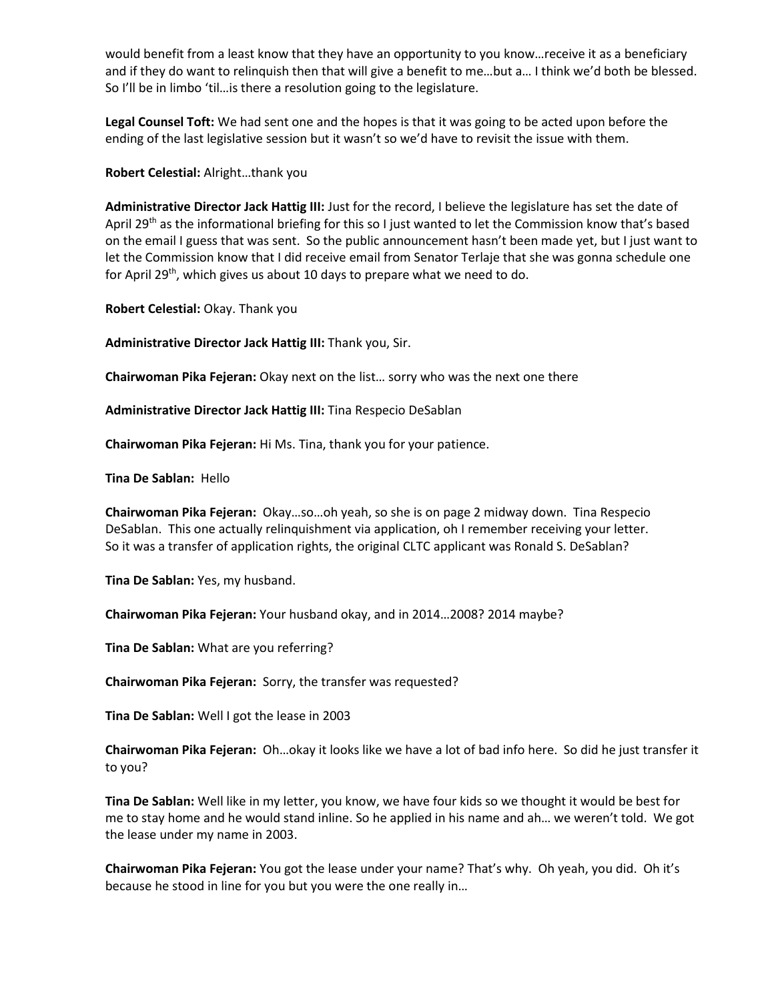would benefit from a least know that they have an opportunity to you know…receive it as a beneficiary and if they do want to relinquish then that will give a benefit to me…but a… I think we'd both be blessed. So I'll be in limbo 'til…is there a resolution going to the legislature.

**Legal Counsel Toft:** We had sent one and the hopes is that it was going to be acted upon before the ending of the last legislative session but it wasn't so we'd have to revisit the issue with them.

**Robert Celestial:** Alright…thank you

**Administrative Director Jack Hattig III:** Just for the record, I believe the legislature has set the date of April 29<sup>th</sup> as the informational briefing for this so I just wanted to let the Commission know that's based on the email I guess that was sent. So the public announcement hasn't been made yet, but I just want to let the Commission know that I did receive email from Senator Terlaje that she was gonna schedule one for April 29<sup>th</sup>, which gives us about 10 days to prepare what we need to do.

**Robert Celestial:** Okay. Thank you

**Administrative Director Jack Hattig III:** Thank you, Sir.

**Chairwoman Pika Fejeran:** Okay next on the list… sorry who was the next one there

**Administrative Director Jack Hattig III:** Tina Respecio DeSablan

**Chairwoman Pika Fejeran:** Hi Ms. Tina, thank you for your patience.

**Tina De Sablan:** Hello

**Chairwoman Pika Fejeran:** Okay…so…oh yeah, so she is on page 2 midway down. Tina Respecio DeSablan. This one actually relinquishment via application, oh I remember receiving your letter. So it was a transfer of application rights, the original CLTC applicant was Ronald S. DeSablan?

**Tina De Sablan:** Yes, my husband.

**Chairwoman Pika Fejeran:** Your husband okay, and in 2014…2008? 2014 maybe?

**Tina De Sablan:** What are you referring?

**Chairwoman Pika Fejeran:** Sorry, the transfer was requested?

**Tina De Sablan:** Well I got the lease in 2003

**Chairwoman Pika Fejeran:** Oh…okay it looks like we have a lot of bad info here. So did he just transfer it to you?

**Tina De Sablan:** Well like in my letter, you know, we have four kids so we thought it would be best for me to stay home and he would stand inline. So he applied in his name and ah… we weren't told. We got the lease under my name in 2003.

**Chairwoman Pika Fejeran:** You got the lease under your name? That's why. Oh yeah, you did. Oh it's because he stood in line for you but you were the one really in…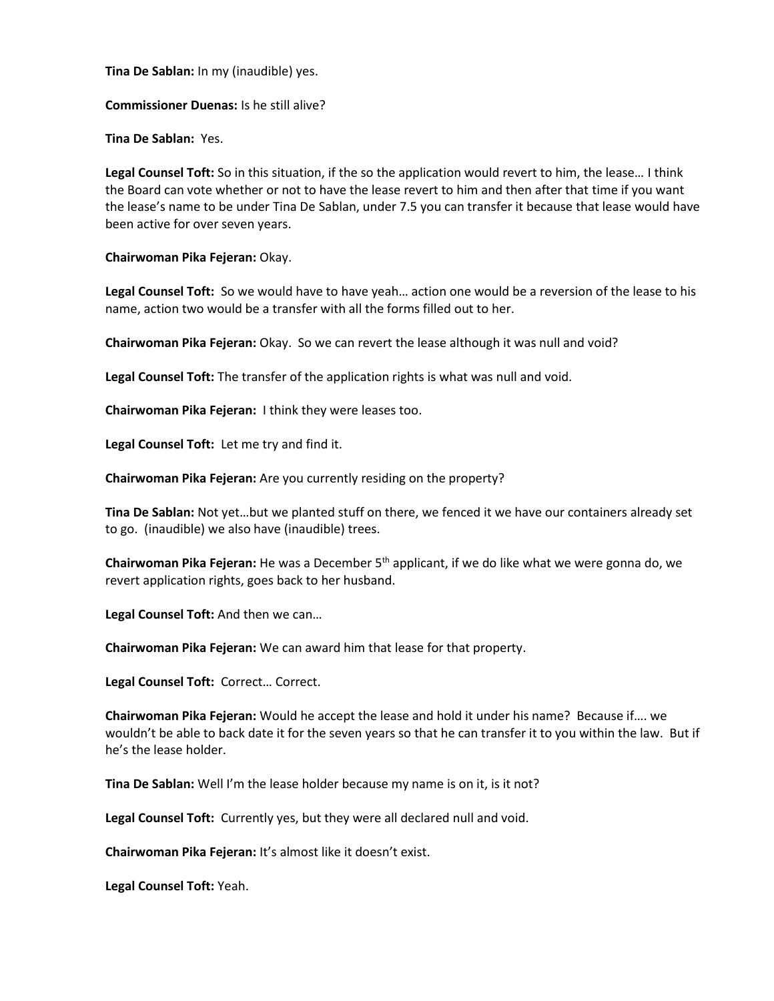**Tina De Sablan:** In my (inaudible) yes.

**Commissioner Duenas:** Is he still alive?

**Tina De Sablan:** Yes.

**Legal Counsel Toft:** So in this situation, if the so the application would revert to him, the lease… I think the Board can vote whether or not to have the lease revert to him and then after that time if you want the lease's name to be under Tina De Sablan, under 7.5 you can transfer it because that lease would have been active for over seven years.

**Chairwoman Pika Fejeran:** Okay.

**Legal Counsel Toft:** So we would have to have yeah… action one would be a reversion of the lease to his name, action two would be a transfer with all the forms filled out to her.

**Chairwoman Pika Fejeran:** Okay. So we can revert the lease although it was null and void?

**Legal Counsel Toft:** The transfer of the application rights is what was null and void.

**Chairwoman Pika Fejeran:** I think they were leases too.

**Legal Counsel Toft:** Let me try and find it.

**Chairwoman Pika Fejeran:** Are you currently residing on the property?

**Tina De Sablan:** Not yet…but we planted stuff on there, we fenced it we have our containers already set to go. (inaudible) we also have (inaudible) trees.

**Chairwoman Pika Fejeran:** He was a December 5th applicant, if we do like what we were gonna do, we revert application rights, goes back to her husband.

**Legal Counsel Toft:** And then we can…

**Chairwoman Pika Fejeran:** We can award him that lease for that property.

**Legal Counsel Toft:** Correct… Correct.

**Chairwoman Pika Fejeran:** Would he accept the lease and hold it under his name? Because if…. we wouldn't be able to back date it for the seven years so that he can transfer it to you within the law. But if he's the lease holder.

**Tina De Sablan:** Well I'm the lease holder because my name is on it, is it not?

**Legal Counsel Toft:** Currently yes, but they were all declared null and void.

**Chairwoman Pika Fejeran:** It's almost like it doesn't exist.

**Legal Counsel Toft:** Yeah.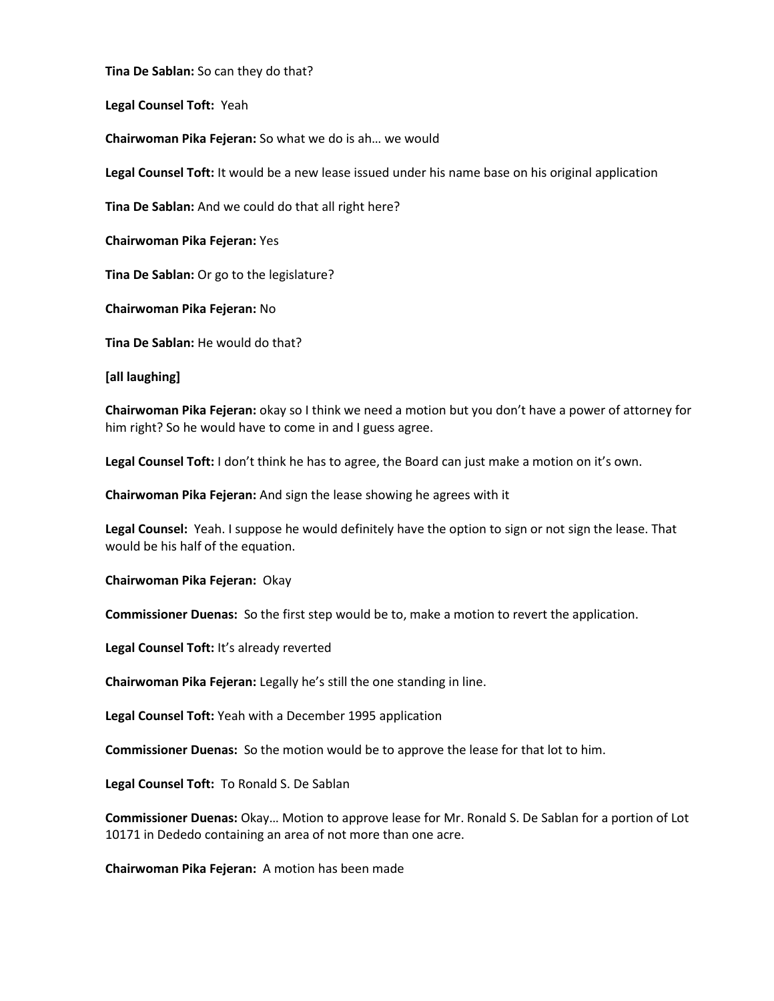**Tina De Sablan:** So can they do that?

**Legal Counsel Toft:** Yeah

**Chairwoman Pika Fejeran:** So what we do is ah… we would

**Legal Counsel Toft:** It would be a new lease issued under his name base on his original application

**Tina De Sablan:** And we could do that all right here?

**Chairwoman Pika Fejeran:** Yes

**Tina De Sablan:** Or go to the legislature?

**Chairwoman Pika Fejeran:** No

**Tina De Sablan:** He would do that?

**[all laughing]**

**Chairwoman Pika Fejeran:** okay so I think we need a motion but you don't have a power of attorney for him right? So he would have to come in and I guess agree.

**Legal Counsel Toft:** I don't think he has to agree, the Board can just make a motion on it's own.

**Chairwoman Pika Fejeran:** And sign the lease showing he agrees with it

**Legal Counsel:** Yeah. I suppose he would definitely have the option to sign or not sign the lease. That would be his half of the equation.

**Chairwoman Pika Fejeran:** Okay

**Commissioner Duenas:** So the first step would be to, make a motion to revert the application.

**Legal Counsel Toft:** It's already reverted

**Chairwoman Pika Fejeran:** Legally he's still the one standing in line.

**Legal Counsel Toft:** Yeah with a December 1995 application

**Commissioner Duenas:** So the motion would be to approve the lease for that lot to him.

**Legal Counsel Toft:** To Ronald S. De Sablan

**Commissioner Duenas:** Okay… Motion to approve lease for Mr. Ronald S. De Sablan for a portion of Lot 10171 in Dededo containing an area of not more than one acre.

**Chairwoman Pika Fejeran:** A motion has been made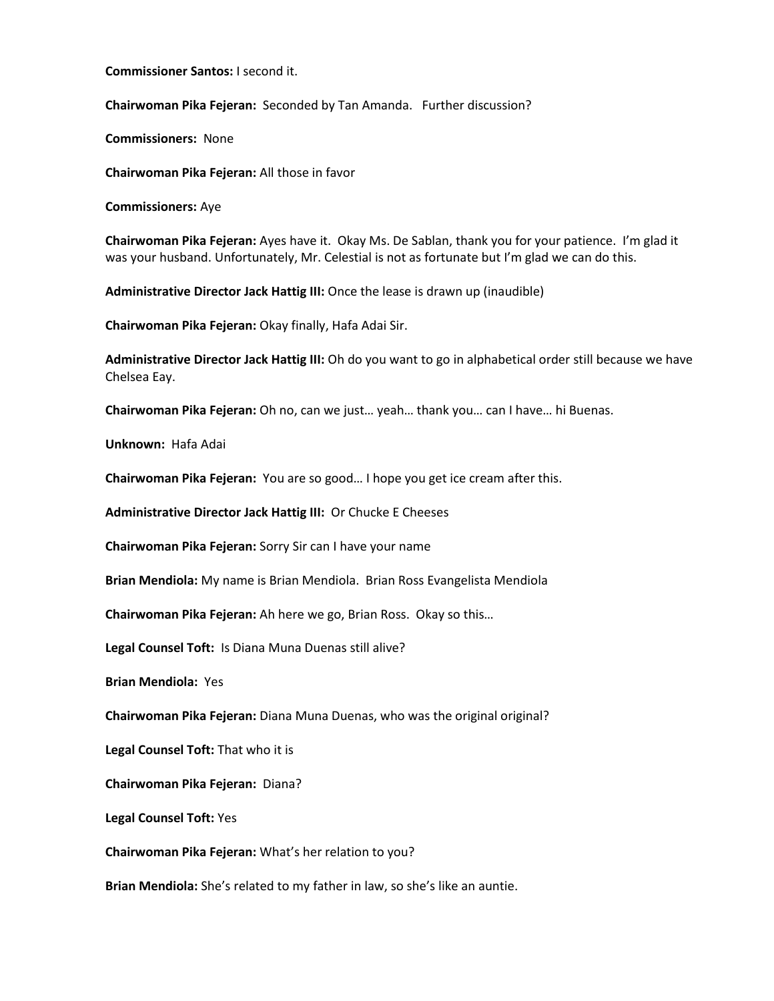**Commissioner Santos:** I second it.

**Chairwoman Pika Fejeran:** Seconded by Tan Amanda. Further discussion?

**Commissioners:** None

**Chairwoman Pika Fejeran:** All those in favor

**Commissioners:** Aye

**Chairwoman Pika Fejeran:** Ayes have it. Okay Ms. De Sablan, thank you for your patience. I'm glad it was your husband. Unfortunately, Mr. Celestial is not as fortunate but I'm glad we can do this.

**Administrative Director Jack Hattig III:** Once the lease is drawn up (inaudible)

**Chairwoman Pika Fejeran:** Okay finally, Hafa Adai Sir.

**Administrative Director Jack Hattig III:** Oh do you want to go in alphabetical order still because we have Chelsea Eay.

**Chairwoman Pika Fejeran:** Oh no, can we just… yeah… thank you… can I have… hi Buenas.

**Unknown:** Hafa Adai

**Chairwoman Pika Fejeran:** You are so good… I hope you get ice cream after this.

**Administrative Director Jack Hattig III:** Or Chucke E Cheeses

**Chairwoman Pika Fejeran:** Sorry Sir can I have your name

**Brian Mendiola:** My name is Brian Mendiola. Brian Ross Evangelista Mendiola

**Chairwoman Pika Fejeran:** Ah here we go, Brian Ross. Okay so this…

**Legal Counsel Toft:** Is Diana Muna Duenas still alive?

**Brian Mendiola:** Yes

**Chairwoman Pika Fejeran:** Diana Muna Duenas, who was the original original?

**Legal Counsel Toft:** That who it is

**Chairwoman Pika Fejeran:** Diana?

**Legal Counsel Toft:** Yes

**Chairwoman Pika Fejeran:** What's her relation to you?

**Brian Mendiola:** She's related to my father in law, so she's like an auntie.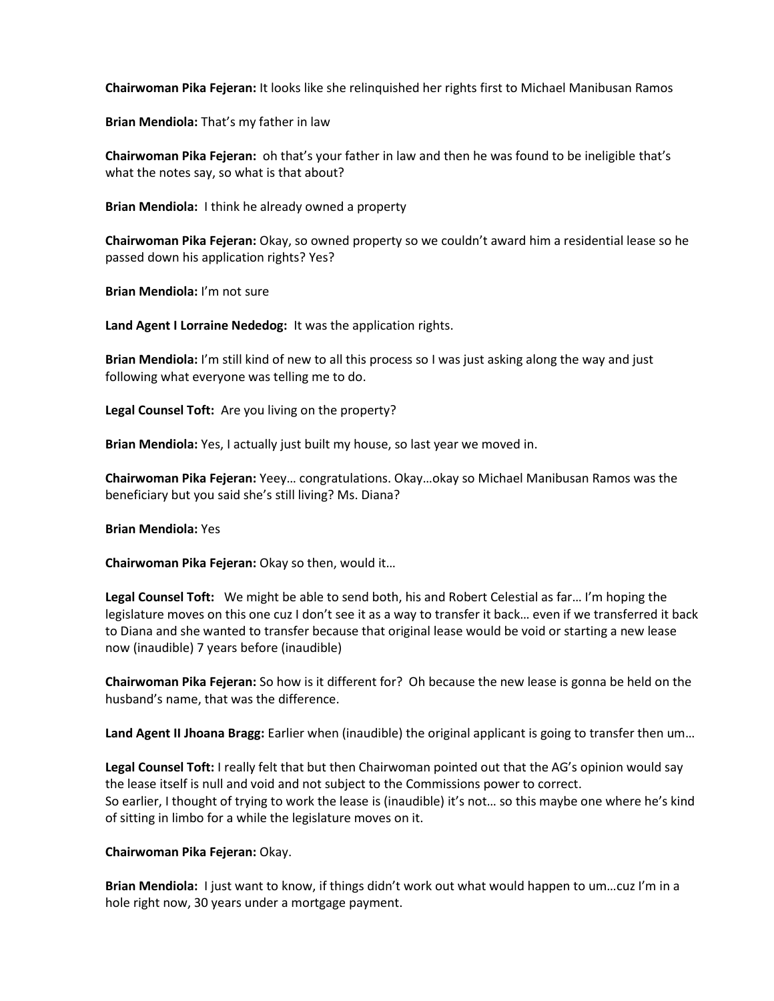**Chairwoman Pika Fejeran:** It looks like she relinquished her rights first to Michael Manibusan Ramos

**Brian Mendiola:** That's my father in law

**Chairwoman Pika Fejeran:** oh that's your father in law and then he was found to be ineligible that's what the notes say, so what is that about?

**Brian Mendiola:** I think he already owned a property

**Chairwoman Pika Fejeran:** Okay, so owned property so we couldn't award him a residential lease so he passed down his application rights? Yes?

**Brian Mendiola:** I'm not sure

**Land Agent I Lorraine Nededog:** It was the application rights.

**Brian Mendiola:** I'm still kind of new to all this process so I was just asking along the way and just following what everyone was telling me to do.

**Legal Counsel Toft:** Are you living on the property?

**Brian Mendiola:** Yes, I actually just built my house, so last year we moved in.

**Chairwoman Pika Fejeran:** Yeey… congratulations. Okay…okay so Michael Manibusan Ramos was the beneficiary but you said she's still living? Ms. Diana?

**Brian Mendiola:** Yes

**Chairwoman Pika Fejeran:** Okay so then, would it…

**Legal Counsel Toft:** We might be able to send both, his and Robert Celestial as far… I'm hoping the legislature moves on this one cuz I don't see it as a way to transfer it back… even if we transferred it back to Diana and she wanted to transfer because that original lease would be void or starting a new lease now (inaudible) 7 years before (inaudible)

**Chairwoman Pika Fejeran:** So how is it different for? Oh because the new lease is gonna be held on the husband's name, that was the difference.

**Land Agent II Jhoana Bragg:** Earlier when (inaudible) the original applicant is going to transfer then um…

**Legal Counsel Toft:** I really felt that but then Chairwoman pointed out that the AG's opinion would say the lease itself is null and void and not subject to the Commissions power to correct. So earlier, I thought of trying to work the lease is (inaudible) it's not… so this maybe one where he's kind of sitting in limbo for a while the legislature moves on it.

## **Chairwoman Pika Fejeran:** Okay.

**Brian Mendiola:** I just want to know, if things didn't work out what would happen to um…cuz I'm in a hole right now, 30 years under a mortgage payment.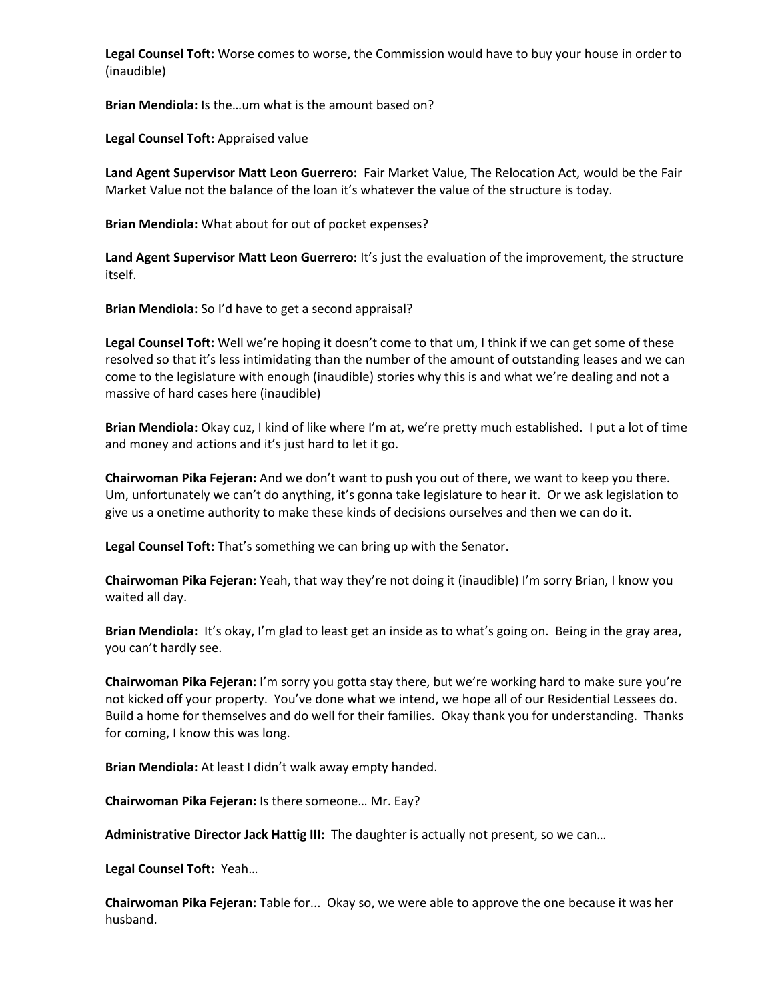**Legal Counsel Toft:** Worse comes to worse, the Commission would have to buy your house in order to (inaudible)

**Brian Mendiola:** Is the…um what is the amount based on?

**Legal Counsel Toft:** Appraised value

**Land Agent Supervisor Matt Leon Guerrero:** Fair Market Value, The Relocation Act, would be the Fair Market Value not the balance of the loan it's whatever the value of the structure is today.

**Brian Mendiola:** What about for out of pocket expenses?

**Land Agent Supervisor Matt Leon Guerrero:** It's just the evaluation of the improvement, the structure itself.

**Brian Mendiola:** So I'd have to get a second appraisal?

**Legal Counsel Toft:** Well we're hoping it doesn't come to that um, I think if we can get some of these resolved so that it's less intimidating than the number of the amount of outstanding leases and we can come to the legislature with enough (inaudible) stories why this is and what we're dealing and not a massive of hard cases here (inaudible)

**Brian Mendiola:** Okay cuz, I kind of like where I'm at, we're pretty much established. I put a lot of time and money and actions and it's just hard to let it go.

**Chairwoman Pika Fejeran:** And we don't want to push you out of there, we want to keep you there. Um, unfortunately we can't do anything, it's gonna take legislature to hear it. Or we ask legislation to give us a onetime authority to make these kinds of decisions ourselves and then we can do it.

**Legal Counsel Toft:** That's something we can bring up with the Senator.

**Chairwoman Pika Fejeran:** Yeah, that way they're not doing it (inaudible) I'm sorry Brian, I know you waited all day.

**Brian Mendiola:** It's okay, I'm glad to least get an inside as to what's going on. Being in the gray area, you can't hardly see.

**Chairwoman Pika Fejeran:** I'm sorry you gotta stay there, but we're working hard to make sure you're not kicked off your property. You've done what we intend, we hope all of our Residential Lessees do. Build a home for themselves and do well for their families. Okay thank you for understanding. Thanks for coming, I know this was long.

**Brian Mendiola:** At least I didn't walk away empty handed.

**Chairwoman Pika Fejeran:** Is there someone… Mr. Eay?

**Administrative Director Jack Hattig III:** The daughter is actually not present, so we can…

**Legal Counsel Toft:** Yeah…

**Chairwoman Pika Fejeran:** Table for... Okay so, we were able to approve the one because it was her husband.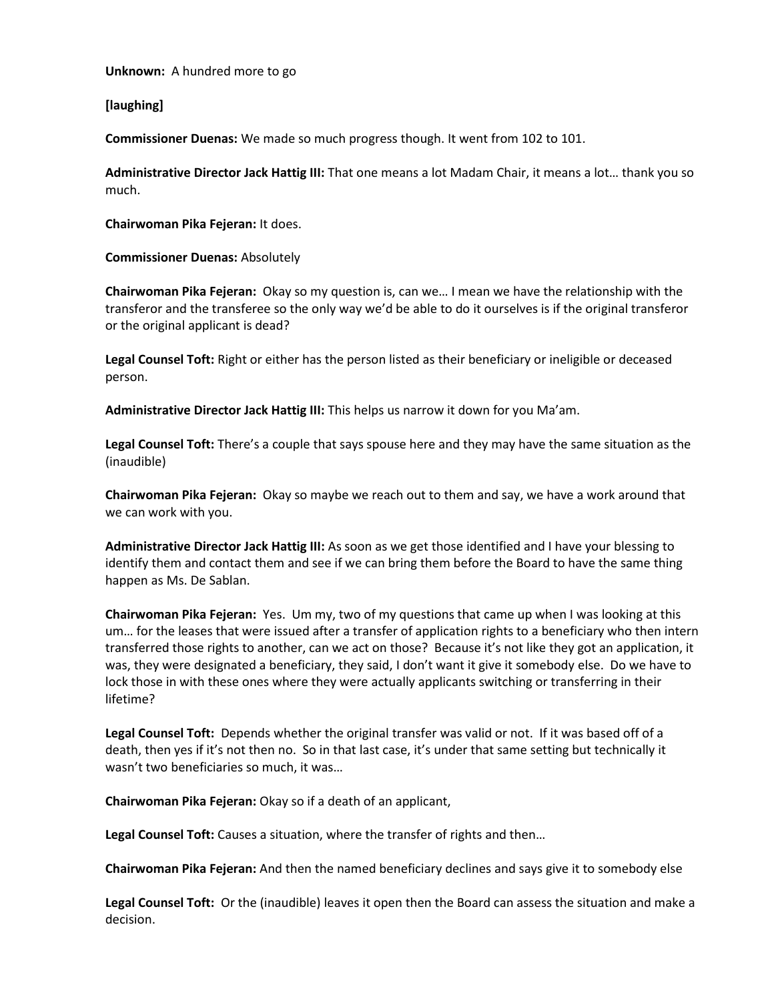**Unknown:** A hundred more to go

**[laughing]**

**Commissioner Duenas:** We made so much progress though. It went from 102 to 101.

**Administrative Director Jack Hattig III:** That one means a lot Madam Chair, it means a lot… thank you so much.

**Chairwoman Pika Fejeran:** It does.

**Commissioner Duenas:** Absolutely

**Chairwoman Pika Fejeran:** Okay so my question is, can we… I mean we have the relationship with the transferor and the transferee so the only way we'd be able to do it ourselves is if the original transferor or the original applicant is dead?

**Legal Counsel Toft:** Right or either has the person listed as their beneficiary or ineligible or deceased person.

**Administrative Director Jack Hattig III:** This helps us narrow it down for you Ma'am.

**Legal Counsel Toft:** There's a couple that says spouse here and they may have the same situation as the (inaudible)

**Chairwoman Pika Fejeran:** Okay so maybe we reach out to them and say, we have a work around that we can work with you.

**Administrative Director Jack Hattig III:** As soon as we get those identified and I have your blessing to identify them and contact them and see if we can bring them before the Board to have the same thing happen as Ms. De Sablan.

**Chairwoman Pika Fejeran:** Yes. Um my, two of my questions that came up when I was looking at this um… for the leases that were issued after a transfer of application rights to a beneficiary who then intern transferred those rights to another, can we act on those? Because it's not like they got an application, it was, they were designated a beneficiary, they said, I don't want it give it somebody else. Do we have to lock those in with these ones where they were actually applicants switching or transferring in their lifetime?

**Legal Counsel Toft:** Depends whether the original transfer was valid or not. If it was based off of a death, then yes if it's not then no. So in that last case, it's under that same setting but technically it wasn't two beneficiaries so much, it was…

**Chairwoman Pika Fejeran:** Okay so if a death of an applicant,

**Legal Counsel Toft:** Causes a situation, where the transfer of rights and then…

**Chairwoman Pika Fejeran:** And then the named beneficiary declines and says give it to somebody else

**Legal Counsel Toft:** Or the (inaudible) leaves it open then the Board can assess the situation and make a decision.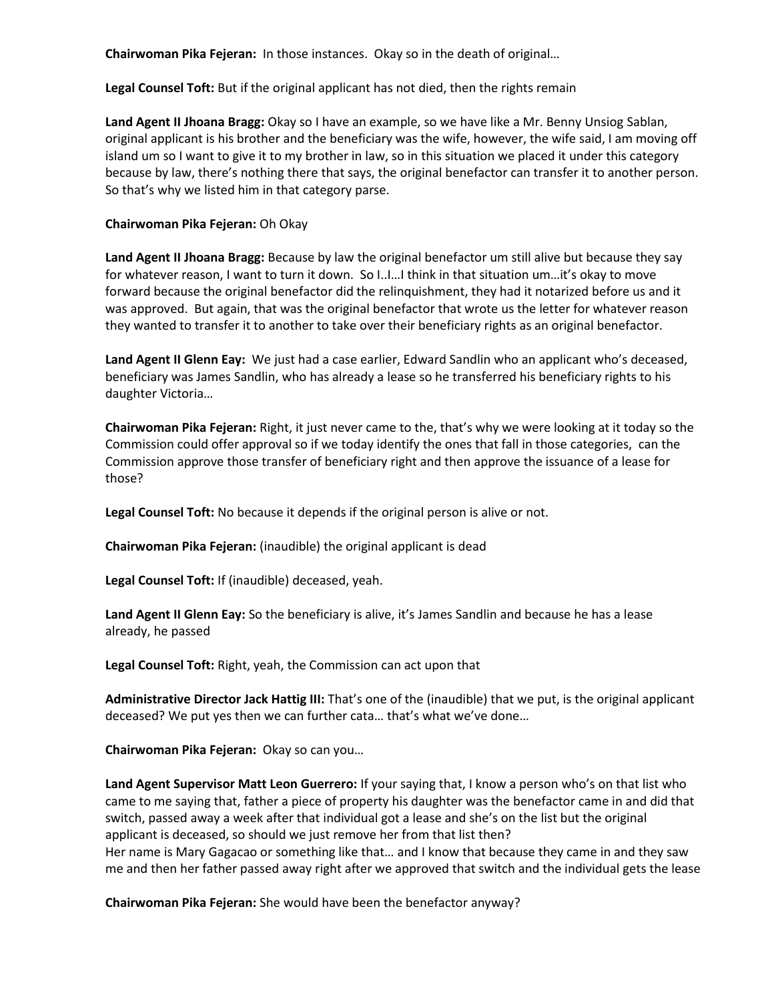**Chairwoman Pika Fejeran:** In those instances. Okay so in the death of original…

**Legal Counsel Toft:** But if the original applicant has not died, then the rights remain

**Land Agent II Jhoana Bragg:** Okay so I have an example, so we have like a Mr. Benny Unsiog Sablan, original applicant is his brother and the beneficiary was the wife, however, the wife said, I am moving off island um so I want to give it to my brother in law, so in this situation we placed it under this category because by law, there's nothing there that says, the original benefactor can transfer it to another person. So that's why we listed him in that category parse.

## **Chairwoman Pika Fejeran:** Oh Okay

**Land Agent II Jhoana Bragg:** Because by law the original benefactor um still alive but because they say for whatever reason, I want to turn it down. So I..I…I think in that situation um…it's okay to move forward because the original benefactor did the relinquishment, they had it notarized before us and it was approved. But again, that was the original benefactor that wrote us the letter for whatever reason they wanted to transfer it to another to take over their beneficiary rights as an original benefactor.

**Land Agent II Glenn Eay:** We just had a case earlier, Edward Sandlin who an applicant who's deceased, beneficiary was James Sandlin, who has already a lease so he transferred his beneficiary rights to his daughter Victoria…

**Chairwoman Pika Fejeran:** Right, it just never came to the, that's why we were looking at it today so the Commission could offer approval so if we today identify the ones that fall in those categories, can the Commission approve those transfer of beneficiary right and then approve the issuance of a lease for those?

**Legal Counsel Toft:** No because it depends if the original person is alive or not.

**Chairwoman Pika Fejeran:** (inaudible) the original applicant is dead

**Legal Counsel Toft:** If (inaudible) deceased, yeah.

**Land Agent II Glenn Eay:** So the beneficiary is alive, it's James Sandlin and because he has a lease already, he passed

**Legal Counsel Toft:** Right, yeah, the Commission can act upon that

**Administrative Director Jack Hattig III:** That's one of the (inaudible) that we put, is the original applicant deceased? We put yes then we can further cata… that's what we've done…

**Chairwoman Pika Fejeran:** Okay so can you…

**Land Agent Supervisor Matt Leon Guerrero:** If your saying that, I know a person who's on that list who came to me saying that, father a piece of property his daughter was the benefactor came in and did that switch, passed away a week after that individual got a lease and she's on the list but the original applicant is deceased, so should we just remove her from that list then? Her name is Mary Gagacao or something like that… and I know that because they came in and they saw me and then her father passed away right after we approved that switch and the individual gets the lease

**Chairwoman Pika Fejeran:** She would have been the benefactor anyway?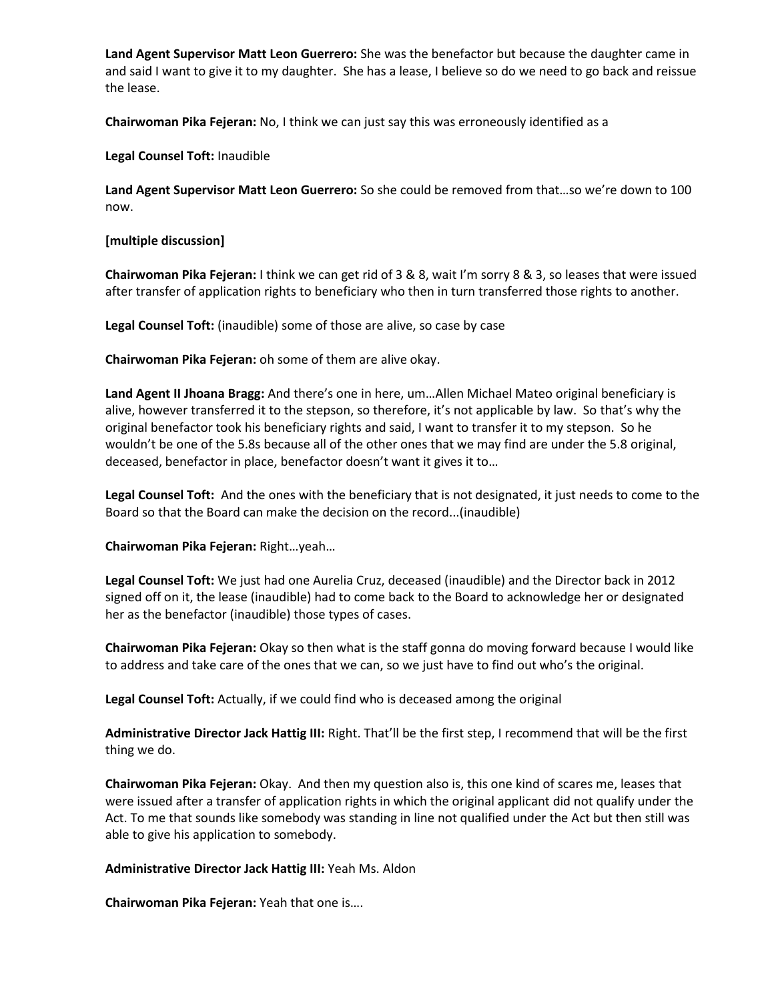**Land Agent Supervisor Matt Leon Guerrero:** She was the benefactor but because the daughter came in and said I want to give it to my daughter. She has a lease, I believe so do we need to go back and reissue the lease.

**Chairwoman Pika Fejeran:** No, I think we can just say this was erroneously identified as a

**Legal Counsel Toft:** Inaudible

**Land Agent Supervisor Matt Leon Guerrero:** So she could be removed from that…so we're down to 100 now.

**[multiple discussion]**

**Chairwoman Pika Fejeran:** I think we can get rid of 3 & 8, wait I'm sorry 8 & 3, so leases that were issued after transfer of application rights to beneficiary who then in turn transferred those rights to another.

**Legal Counsel Toft:** (inaudible) some of those are alive, so case by case

**Chairwoman Pika Fejeran:** oh some of them are alive okay.

**Land Agent II Jhoana Bragg:** And there's one in here, um…Allen Michael Mateo original beneficiary is alive, however transferred it to the stepson, so therefore, it's not applicable by law. So that's why the original benefactor took his beneficiary rights and said, I want to transfer it to my stepson. So he wouldn't be one of the 5.8s because all of the other ones that we may find are under the 5.8 original, deceased, benefactor in place, benefactor doesn't want it gives it to…

**Legal Counsel Toft:** And the ones with the beneficiary that is not designated, it just needs to come to the Board so that the Board can make the decision on the record...(inaudible)

**Chairwoman Pika Fejeran:** Right…yeah…

**Legal Counsel Toft:** We just had one Aurelia Cruz, deceased (inaudible) and the Director back in 2012 signed off on it, the lease (inaudible) had to come back to the Board to acknowledge her or designated her as the benefactor (inaudible) those types of cases.

**Chairwoman Pika Fejeran:** Okay so then what is the staff gonna do moving forward because I would like to address and take care of the ones that we can, so we just have to find out who's the original.

**Legal Counsel Toft:** Actually, if we could find who is deceased among the original

**Administrative Director Jack Hattig III:** Right. That'll be the first step, I recommend that will be the first thing we do.

**Chairwoman Pika Fejeran:** Okay. And then my question also is, this one kind of scares me, leases that were issued after a transfer of application rights in which the original applicant did not qualify under the Act. To me that sounds like somebody was standing in line not qualified under the Act but then still was able to give his application to somebody.

**Administrative Director Jack Hattig III:** Yeah Ms. Aldon

**Chairwoman Pika Fejeran:** Yeah that one is….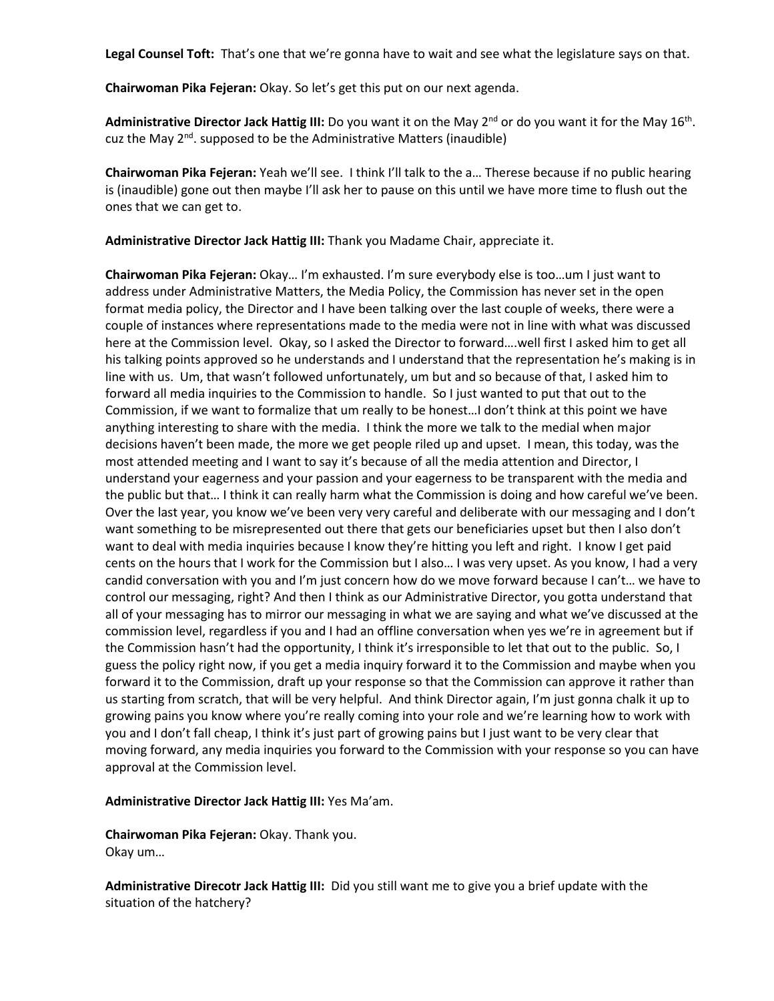**Legal Counsel Toft:** That's one that we're gonna have to wait and see what the legislature says on that.

**Chairwoman Pika Fejeran:** Okay. So let's get this put on our next agenda.

Administrative Director Jack Hattig III: Do you want it on the May 2<sup>nd</sup> or do you want it for the May 16<sup>th</sup>. cuz the May 2<sup>nd</sup>. supposed to be the Administrative Matters (inaudible)

**Chairwoman Pika Fejeran:** Yeah we'll see. I think I'll talk to the a… Therese because if no public hearing is (inaudible) gone out then maybe I'll ask her to pause on this until we have more time to flush out the ones that we can get to.

**Administrative Director Jack Hattig III:** Thank you Madame Chair, appreciate it.

**Chairwoman Pika Fejeran:** Okay… I'm exhausted. I'm sure everybody else is too…um I just want to address under Administrative Matters, the Media Policy, the Commission has never set in the open format media policy, the Director and I have been talking over the last couple of weeks, there were a couple of instances where representations made to the media were not in line with what was discussed here at the Commission level. Okay, so I asked the Director to forward….well first I asked him to get all his talking points approved so he understands and I understand that the representation he's making is in line with us. Um, that wasn't followed unfortunately, um but and so because of that, I asked him to forward all media inquiries to the Commission to handle. So I just wanted to put that out to the Commission, if we want to formalize that um really to be honest…I don't think at this point we have anything interesting to share with the media. I think the more we talk to the medial when major decisions haven't been made, the more we get people riled up and upset. I mean, this today, was the most attended meeting and I want to say it's because of all the media attention and Director, I understand your eagerness and your passion and your eagerness to be transparent with the media and the public but that… I think it can really harm what the Commission is doing and how careful we've been. Over the last year, you know we've been very very careful and deliberate with our messaging and I don't want something to be misrepresented out there that gets our beneficiaries upset but then I also don't want to deal with media inquiries because I know they're hitting you left and right. I know I get paid cents on the hours that I work for the Commission but I also… I was very upset. As you know, I had a very candid conversation with you and I'm just concern how do we move forward because I can't… we have to control our messaging, right? And then I think as our Administrative Director, you gotta understand that all of your messaging has to mirror our messaging in what we are saying and what we've discussed at the commission level, regardless if you and I had an offline conversation when yes we're in agreement but if the Commission hasn't had the opportunity, I think it's irresponsible to let that out to the public. So, I guess the policy right now, if you get a media inquiry forward it to the Commission and maybe when you forward it to the Commission, draft up your response so that the Commission can approve it rather than us starting from scratch, that will be very helpful. And think Director again, I'm just gonna chalk it up to growing pains you know where you're really coming into your role and we're learning how to work with you and I don't fall cheap, I think it's just part of growing pains but I just want to be very clear that moving forward, any media inquiries you forward to the Commission with your response so you can have approval at the Commission level.

**Administrative Director Jack Hattig III:** Yes Ma'am.

**Chairwoman Pika Fejeran:** Okay. Thank you. Okay um…

**Administrative Direcotr Jack Hattig III:** Did you still want me to give you a brief update with the situation of the hatchery?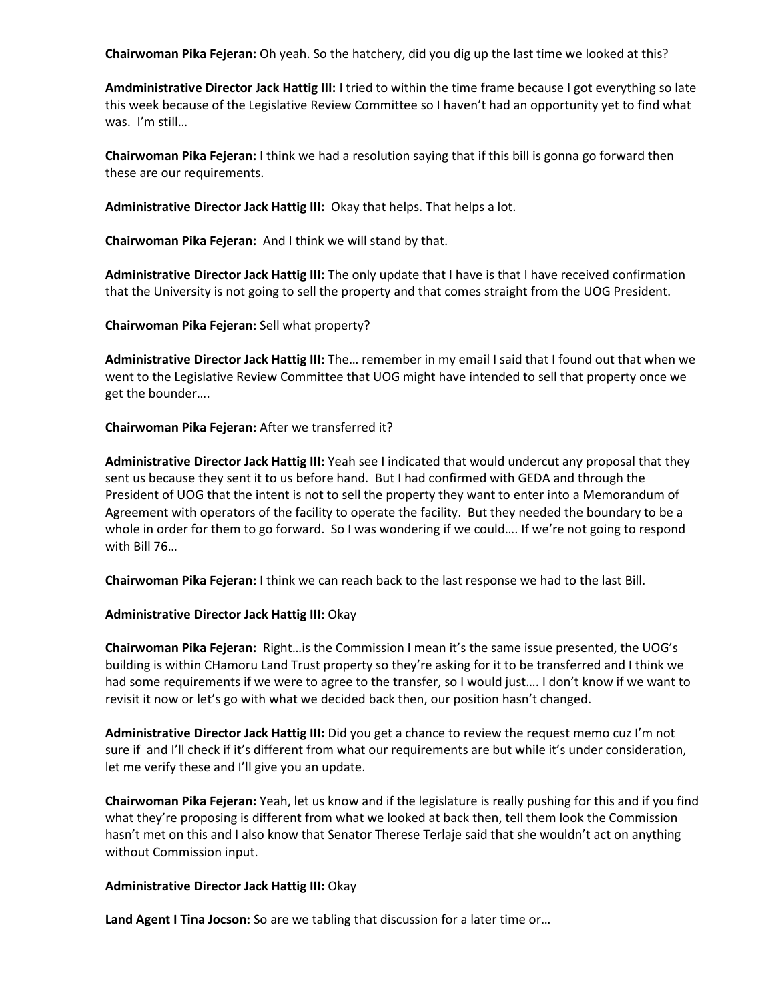**Chairwoman Pika Fejeran:** Oh yeah. So the hatchery, did you dig up the last time we looked at this?

**Amdministrative Director Jack Hattig III:** I tried to within the time frame because I got everything so late this week because of the Legislative Review Committee so I haven't had an opportunity yet to find what was. I'm still…

**Chairwoman Pika Fejeran:** I think we had a resolution saying that if this bill is gonna go forward then these are our requirements.

**Administrative Director Jack Hattig III:** Okay that helps. That helps a lot.

**Chairwoman Pika Fejeran:** And I think we will stand by that.

**Administrative Director Jack Hattig III:** The only update that I have is that I have received confirmation that the University is not going to sell the property and that comes straight from the UOG President.

**Chairwoman Pika Fejeran:** Sell what property?

**Administrative Director Jack Hattig III:** The… remember in my email I said that I found out that when we went to the Legislative Review Committee that UOG might have intended to sell that property once we get the bounder….

**Chairwoman Pika Fejeran:** After we transferred it?

**Administrative Director Jack Hattig III:** Yeah see I indicated that would undercut any proposal that they sent us because they sent it to us before hand. But I had confirmed with GEDA and through the President of UOG that the intent is not to sell the property they want to enter into a Memorandum of Agreement with operators of the facility to operate the facility. But they needed the boundary to be a whole in order for them to go forward. So I was wondering if we could…. If we're not going to respond with Bill 76…

**Chairwoman Pika Fejeran:** I think we can reach back to the last response we had to the last Bill.

#### **Administrative Director Jack Hattig III:** Okay

**Chairwoman Pika Fejeran:** Right…is the Commission I mean it's the same issue presented, the UOG's building is within CHamoru Land Trust property so they're asking for it to be transferred and I think we had some requirements if we were to agree to the transfer, so I would just…. I don't know if we want to revisit it now or let's go with what we decided back then, our position hasn't changed.

**Administrative Director Jack Hattig III:** Did you get a chance to review the request memo cuz I'm not sure if and I'll check if it's different from what our requirements are but while it's under consideration, let me verify these and I'll give you an update.

**Chairwoman Pika Fejeran:** Yeah, let us know and if the legislature is really pushing for this and if you find what they're proposing is different from what we looked at back then, tell them look the Commission hasn't met on this and I also know that Senator Therese Terlaje said that she wouldn't act on anything without Commission input.

#### **Administrative Director Jack Hattig III:** Okay

**Land Agent I Tina Jocson:** So are we tabling that discussion for a later time or…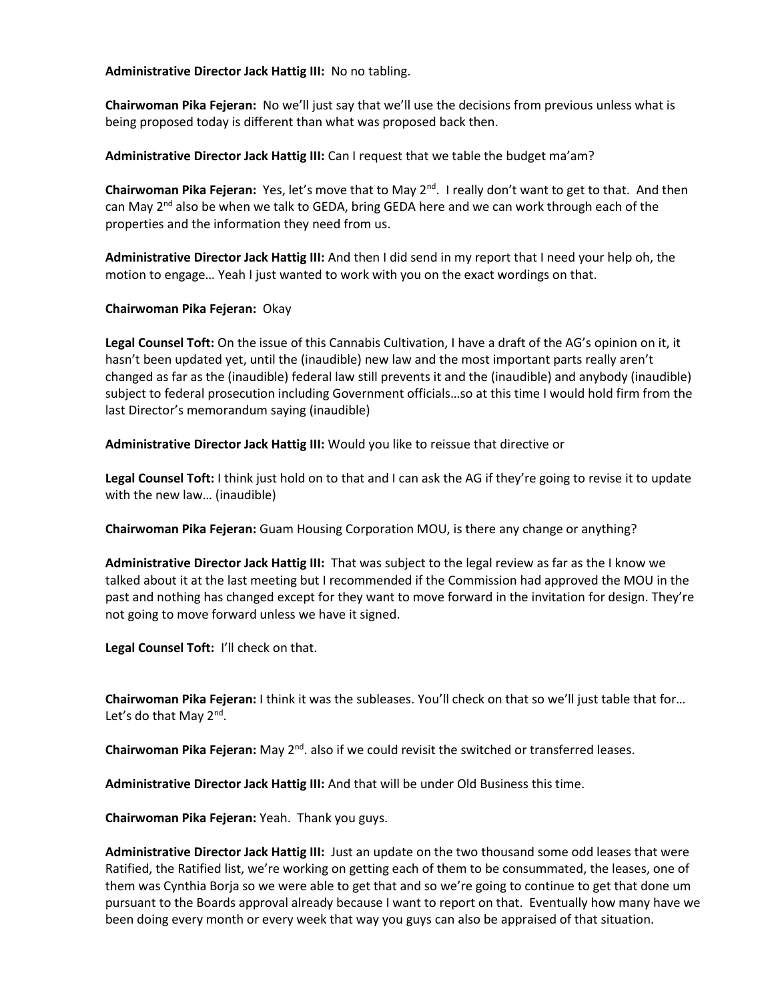## **Administrative Director Jack Hattig III:** No no tabling.

**Chairwoman Pika Fejeran:** No we'll just say that we'll use the decisions from previous unless what is being proposed today is different than what was proposed back then.

**Administrative Director Jack Hattig III:** Can I request that we table the budget ma'am?

**Chairwoman Pika Fejeran:** Yes, let's move that to May 2<sup>nd</sup>. I really don't want to get to that. And then can May  $2^{nd}$  also be when we talk to GEDA, bring GEDA here and we can work through each of the properties and the information they need from us.

**Administrative Director Jack Hattig III:** And then I did send in my report that I need your help oh, the motion to engage… Yeah I just wanted to work with you on the exact wordings on that.

# **Chairwoman Pika Fejeran:** Okay

**Legal Counsel Toft:** On the issue of this Cannabis Cultivation, I have a draft of the AG's opinion on it, it hasn't been updated yet, until the (inaudible) new law and the most important parts really aren't changed as far as the (inaudible) federal law still prevents it and the (inaudible) and anybody (inaudible) subject to federal prosecution including Government officials…so at this time I would hold firm from the last Director's memorandum saying (inaudible)

**Administrative Director Jack Hattig III:** Would you like to reissue that directive or

**Legal Counsel Toft:** I think just hold on to that and I can ask the AG if they're going to revise it to update with the new law… (inaudible)

**Chairwoman Pika Fejeran:** Guam Housing Corporation MOU, is there any change or anything?

**Administrative Director Jack Hattig III:** That was subject to the legal review as far as the I know we talked about it at the last meeting but I recommended if the Commission had approved the MOU in the past and nothing has changed except for they want to move forward in the invitation for design. They're not going to move forward unless we have it signed.

**Legal Counsel Toft:** I'll check on that.

**Chairwoman Pika Fejeran:** I think it was the subleases. You'll check on that so we'll just table that for… Let's do that May 2<sup>nd</sup>.

Chairwoman Pika Fejeran: May 2<sup>nd</sup>. also if we could revisit the switched or transferred leases.

**Administrative Director Jack Hattig III:** And that will be under Old Business this time.

**Chairwoman Pika Fejeran:** Yeah. Thank you guys.

**Administrative Director Jack Hattig III:** Just an update on the two thousand some odd leases that were Ratified, the Ratified list, we're working on getting each of them to be consummated, the leases, one of them was Cynthia Borja so we were able to get that and so we're going to continue to get that done um pursuant to the Boards approval already because I want to report on that. Eventually how many have we been doing every month or every week that way you guys can also be appraised of that situation.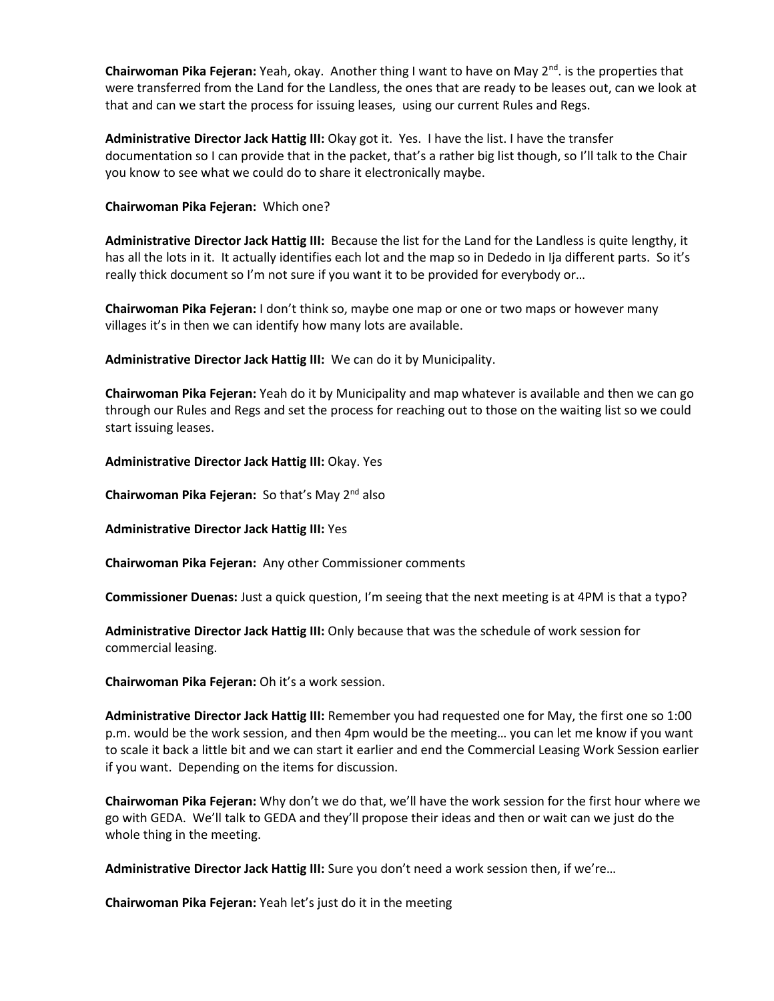**Chairwoman Pika Fejeran:** Yeah, okay. Another thing I want to have on May 2<sup>nd</sup>. is the properties that were transferred from the Land for the Landless, the ones that are ready to be leases out, can we look at that and can we start the process for issuing leases, using our current Rules and Regs.

**Administrative Director Jack Hattig III:** Okay got it. Yes. I have the list. I have the transfer documentation so I can provide that in the packet, that's a rather big list though, so I'll talk to the Chair you know to see what we could do to share it electronically maybe.

**Chairwoman Pika Fejeran:** Which one?

**Administrative Director Jack Hattig III:** Because the list for the Land for the Landless is quite lengthy, it has all the lots in it. It actually identifies each lot and the map so in Dededo in Ija different parts. So it's really thick document so I'm not sure if you want it to be provided for everybody or…

**Chairwoman Pika Fejeran:** I don't think so, maybe one map or one or two maps or however many villages it's in then we can identify how many lots are available.

**Administrative Director Jack Hattig III:** We can do it by Municipality.

**Chairwoman Pika Fejeran:** Yeah do it by Municipality and map whatever is available and then we can go through our Rules and Regs and set the process for reaching out to those on the waiting list so we could start issuing leases.

**Administrative Director Jack Hattig III:** Okay. Yes

**Chairwoman Pika Fejeran:** So that's May 2nd also

**Administrative Director Jack Hattig III:** Yes

**Chairwoman Pika Fejeran:** Any other Commissioner comments

**Commissioner Duenas:** Just a quick question, I'm seeing that the next meeting is at 4PM is that a typo?

**Administrative Director Jack Hattig III:** Only because that was the schedule of work session for commercial leasing.

**Chairwoman Pika Fejeran:** Oh it's a work session.

**Administrative Director Jack Hattig III:** Remember you had requested one for May, the first one so 1:00 p.m. would be the work session, and then 4pm would be the meeting… you can let me know if you want to scale it back a little bit and we can start it earlier and end the Commercial Leasing Work Session earlier if you want. Depending on the items for discussion.

**Chairwoman Pika Fejeran:** Why don't we do that, we'll have the work session for the first hour where we go with GEDA. We'll talk to GEDA and they'll propose their ideas and then or wait can we just do the whole thing in the meeting.

**Administrative Director Jack Hattig III:** Sure you don't need a work session then, if we're…

**Chairwoman Pika Fejeran:** Yeah let's just do it in the meeting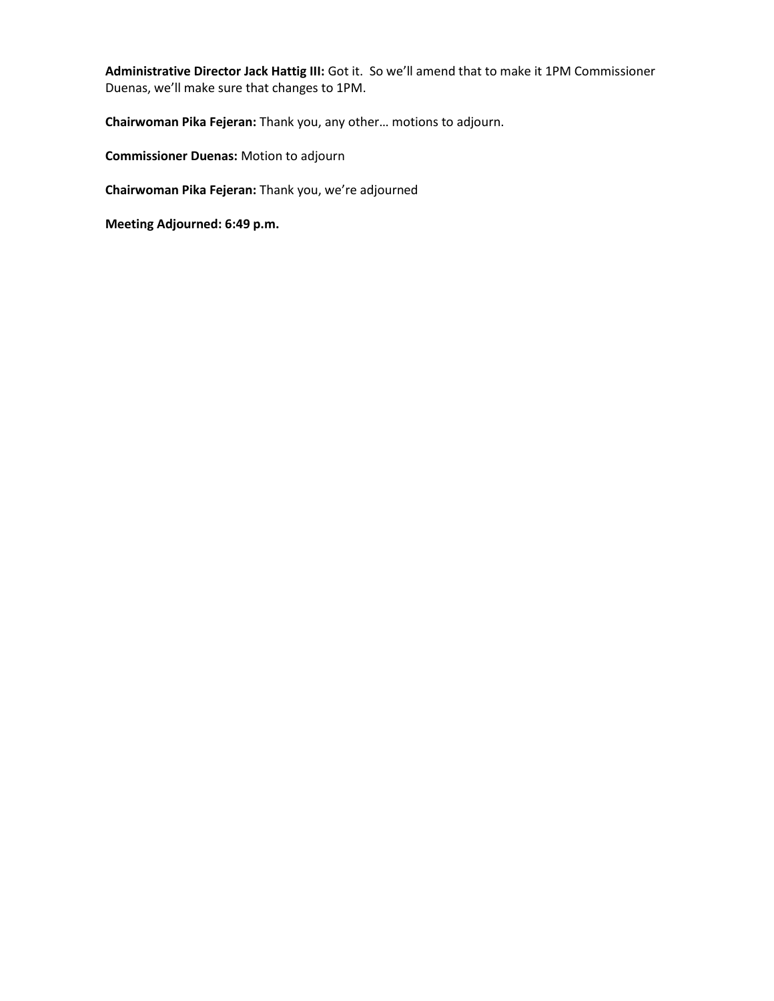**Administrative Director Jack Hattig III:** Got it. So we'll amend that to make it 1PM Commissioner Duenas, we'll make sure that changes to 1PM.

**Chairwoman Pika Fejeran:** Thank you, any other… motions to adjourn.

**Commissioner Duenas:** Motion to adjourn

**Chairwoman Pika Fejeran:** Thank you, we're adjourned

**Meeting Adjourned: 6:49 p.m.**